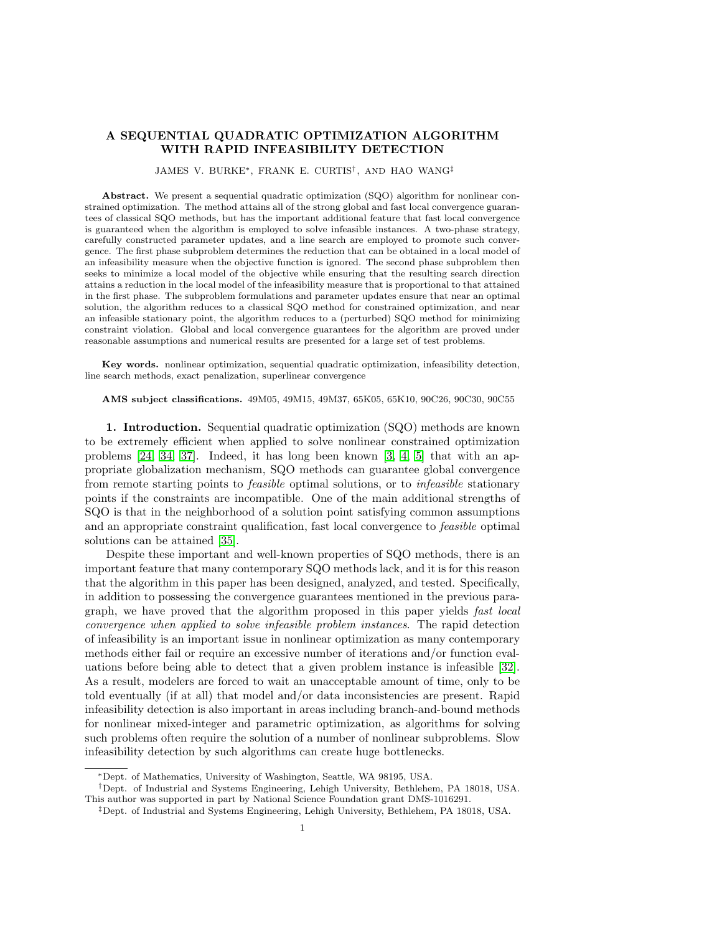## A SEQUENTIAL QUADRATIC OPTIMIZATION ALGORITHM WITH RAPID INFEASIBILITY DETECTION

JAMES V. BURKE∗, FRANK E. CURTIS† , AND HAO WANG‡

Abstract. We present a sequential quadratic optimization (SQO) algorithm for nonlinear constrained optimization. The method attains all of the strong global and fast local convergence guarantees of classical SQO methods, but has the important additional feature that fast local convergence is guaranteed when the algorithm is employed to solve infeasible instances. A two-phase strategy, carefully constructed parameter updates, and a line search are employed to promote such convergence. The first phase subproblem determines the reduction that can be obtained in a local model of an infeasibility measure when the objective function is ignored. The second phase subproblem then seeks to minimize a local model of the objective while ensuring that the resulting search direction attains a reduction in the local model of the infeasibility measure that is proportional to that attained in the first phase. The subproblem formulations and parameter updates ensure that near an optimal solution, the algorithm reduces to a classical SQO method for constrained optimization, and near an infeasible stationary point, the algorithm reduces to a (perturbed) SQO method for minimizing constraint violation. Global and local convergence guarantees for the algorithm are proved under reasonable assumptions and numerical results are presented for a large set of test problems.

Key words. nonlinear optimization, sequential quadratic optimization, infeasibility detection, line search methods, exact penalization, superlinear convergence

AMS subject classifications. 49M05, 49M15, 49M37, 65K05, 65K10, 90C26, 90C30, 90C55

1. Introduction. Sequential quadratic optimization (SQO) methods are known to be extremely efficient when applied to solve nonlinear constrained optimization problems [\[24,](#page-32-0) [34,](#page-32-1) [37\]](#page-32-2). Indeed, it has long been known [\[3,](#page-31-0) [4,](#page-31-1) [5\]](#page-31-2) that with an appropriate globalization mechanism, SQO methods can guarantee global convergence from remote starting points to *feasible* optimal solutions, or to *infeasible* stationary points if the constraints are incompatible. One of the main additional strengths of SQO is that in the neighborhood of a solution point satisfying common assumptions and an appropriate constraint qualification, fast local convergence to feasible optimal solutions can be attained [\[35\]](#page-32-3).

Despite these important and well-known properties of SQO methods, there is an important feature that many contemporary SQO methods lack, and it is for this reason that the algorithm in this paper has been designed, analyzed, and tested. Specifically, in addition to possessing the convergence guarantees mentioned in the previous paragraph, we have proved that the algorithm proposed in this paper yields fast local convergence when applied to solve infeasible problem instances. The rapid detection of infeasibility is an important issue in nonlinear optimization as many contemporary methods either fail or require an excessive number of iterations and/or function evaluations before being able to detect that a given problem instance is infeasible [\[32\]](#page-32-4). As a result, modelers are forced to wait an unacceptable amount of time, only to be told eventually (if at all) that model and/or data inconsistencies are present. Rapid infeasibility detection is also important in areas including branch-and-bound methods for nonlinear mixed-integer and parametric optimization, as algorithms for solving such problems often require the solution of a number of nonlinear subproblems. Slow infeasibility detection by such algorithms can create huge bottlenecks.

<sup>∗</sup>Dept. of Mathematics, University of Washington, Seattle, WA 98195, USA.

<sup>†</sup>Dept. of Industrial and Systems Engineering, Lehigh University, Bethlehem, PA 18018, USA. This author was supported in part by National Science Foundation grant DMS-1016291.

<sup>‡</sup>Dept. of Industrial and Systems Engineering, Lehigh University, Bethlehem, PA 18018, USA.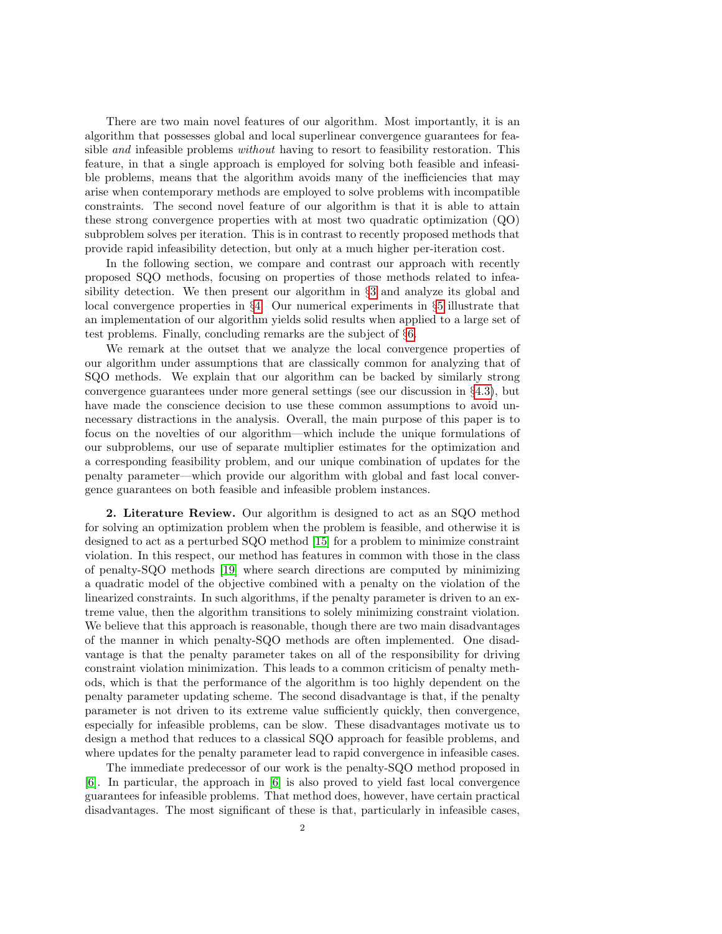There are two main novel features of our algorithm. Most importantly, it is an algorithm that possesses global and local superlinear convergence guarantees for feasible and infeasible problems without having to resort to feasibility restoration. This feature, in that a single approach is employed for solving both feasible and infeasible problems, means that the algorithm avoids many of the inefficiencies that may arise when contemporary methods are employed to solve problems with incompatible constraints. The second novel feature of our algorithm is that it is able to attain these strong convergence properties with at most two quadratic optimization (QO) subproblem solves per iteration. This is in contrast to recently proposed methods that provide rapid infeasibility detection, but only at a much higher per-iteration cost.

In the following section, we compare and contrast our approach with recently proposed SQO methods, focusing on properties of those methods related to infeasibility detection. We then present our algorithm in §[3](#page-2-0) and analyze its global and local convergence properties in §[4.](#page-8-0) Our numerical experiments in §[5](#page-27-0) illustrate that an implementation of our algorithm yields solid results when applied to a large set of test problems. Finally, concluding remarks are the subject of §[6.](#page-30-0)

We remark at the outset that we analyze the local convergence properties of our algorithm under assumptions that are classically common for analyzing that of SQO methods. We explain that our algorithm can be backed by similarly strong convergence guarantees under more general settings (see our discussion in §[4.3\)](#page-19-0), but have made the conscience decision to use these common assumptions to avoid unnecessary distractions in the analysis. Overall, the main purpose of this paper is to focus on the novelties of our algorithm—which include the unique formulations of our subproblems, our use of separate multiplier estimates for the optimization and a corresponding feasibility problem, and our unique combination of updates for the penalty parameter—which provide our algorithm with global and fast local convergence guarantees on both feasible and infeasible problem instances.

<span id="page-1-0"></span>2. Literature Review. Our algorithm is designed to act as an SQO method for solving an optimization problem when the problem is feasible, and otherwise it is designed to act as a perturbed SQO method [\[15\]](#page-32-5) for a problem to minimize constraint violation. In this respect, our method has features in common with those in the class of penalty-SQO methods [\[19\]](#page-32-6) where search directions are computed by minimizing a quadratic model of the objective combined with a penalty on the violation of the linearized constraints. In such algorithms, if the penalty parameter is driven to an extreme value, then the algorithm transitions to solely minimizing constraint violation. We believe that this approach is reasonable, though there are two main disadvantages of the manner in which penalty-SQO methods are often implemented. One disadvantage is that the penalty parameter takes on all of the responsibility for driving constraint violation minimization. This leads to a common criticism of penalty methods, which is that the performance of the algorithm is too highly dependent on the penalty parameter updating scheme. The second disadvantage is that, if the penalty parameter is not driven to its extreme value sufficiently quickly, then convergence, especially for infeasible problems, can be slow. These disadvantages motivate us to design a method that reduces to a classical SQO approach for feasible problems, and where updates for the penalty parameter lead to rapid convergence in infeasible cases.

The immediate predecessor of our work is the penalty-SQO method proposed in [\[6\]](#page-31-3). In particular, the approach in [\[6\]](#page-31-3) is also proved to yield fast local convergence guarantees for infeasible problems. That method does, however, have certain practical disadvantages. The most significant of these is that, particularly in infeasible cases,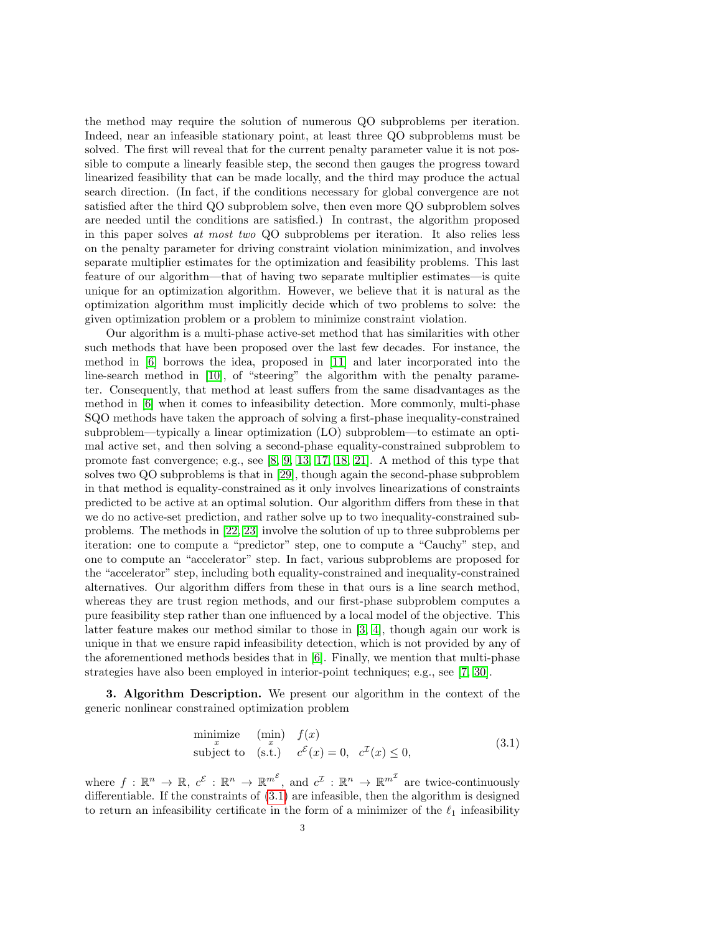the method may require the solution of numerous QO subproblems per iteration. Indeed, near an infeasible stationary point, at least three QO subproblems must be solved. The first will reveal that for the current penalty parameter value it is not possible to compute a linearly feasible step, the second then gauges the progress toward linearized feasibility that can be made locally, and the third may produce the actual search direction. (In fact, if the conditions necessary for global convergence are not satisfied after the third QO subproblem solve, then even more QO subproblem solves are needed until the conditions are satisfied.) In contrast, the algorithm proposed in this paper solves at most two QO subproblems per iteration. It also relies less on the penalty parameter for driving constraint violation minimization, and involves separate multiplier estimates for the optimization and feasibility problems. This last feature of our algorithm—that of having two separate multiplier estimates—is quite unique for an optimization algorithm. However, we believe that it is natural as the optimization algorithm must implicitly decide which of two problems to solve: the given optimization problem or a problem to minimize constraint violation.

Our algorithm is a multi-phase active-set method that has similarities with other such methods that have been proposed over the last few decades. For instance, the method in [\[6\]](#page-31-3) borrows the idea, proposed in [\[11\]](#page-31-4) and later incorporated into the line-search method in [\[10\]](#page-31-5), of "steering" the algorithm with the penalty parameter. Consequently, that method at least suffers from the same disadvantages as the method in [\[6\]](#page-31-3) when it comes to infeasibility detection. More commonly, multi-phase SQO methods have taken the approach of solving a first-phase inequality-constrained subproblem—typically a linear optimization (LO) subproblem—to estimate an optimal active set, and then solving a second-phase equality-constrained subproblem to promote fast convergence; e.g., see [\[8,](#page-31-6) [9,](#page-31-7) [13,](#page-32-7) [17,](#page-32-8) [18,](#page-32-9) [21\]](#page-32-10). A method of this type that solves two QO subproblems is that in [\[29\]](#page-32-11), though again the second-phase subproblem in that method is equality-constrained as it only involves linearizations of constraints predicted to be active at an optimal solution. Our algorithm differs from these in that we do no active-set prediction, and rather solve up to two inequality-constrained subproblems. The methods in [\[22,](#page-32-12) [23\]](#page-32-13) involve the solution of up to three subproblems per iteration: one to compute a "predictor" step, one to compute a "Cauchy" step, and one to compute an "accelerator" step. In fact, various subproblems are proposed for the "accelerator" step, including both equality-constrained and inequality-constrained alternatives. Our algorithm differs from these in that ours is a line search method, whereas they are trust region methods, and our first-phase subproblem computes a pure feasibility step rather than one influenced by a local model of the objective. This latter feature makes our method similar to those in [\[3,](#page-31-0) [4\]](#page-31-1), though again our work is unique in that we ensure rapid infeasibility detection, which is not provided by any of the aforementioned methods besides that in [\[6\]](#page-31-3). Finally, we mention that multi-phase strategies have also been employed in interior-point techniques; e.g., see [\[7,](#page-31-8) [30\]](#page-32-14).

<span id="page-2-0"></span>3. Algorithm Description. We present our algorithm in the context of the generic nonlinear constrained optimization problem

<span id="page-2-1"></span>
$$
\begin{array}{ll}\n\text{minimize} & (\text{min}) \quad f(x) \\
\text{subject to} & (\text{s.t.)} \quad c^{\mathcal{E}}(x) = 0, \quad c^{\mathcal{I}}(x) \le 0,\n\end{array} \tag{3.1}
$$

where  $f: \mathbb{R}^n \to \mathbb{R}, c^{\mathcal{E}}: \mathbb{R}^n \to \mathbb{R}^{m^{\mathcal{E}}},$  and  $c^{\mathcal{I}}: \mathbb{R}^n \to \mathbb{R}^{m^{\mathcal{I}}}$  are twice-continuously differentiable. If the constraints of [\(3.1\)](#page-2-1) are infeasible, then the algorithm is designed to return an infeasibility certificate in the form of a minimizer of the  $\ell_1$  infeasibility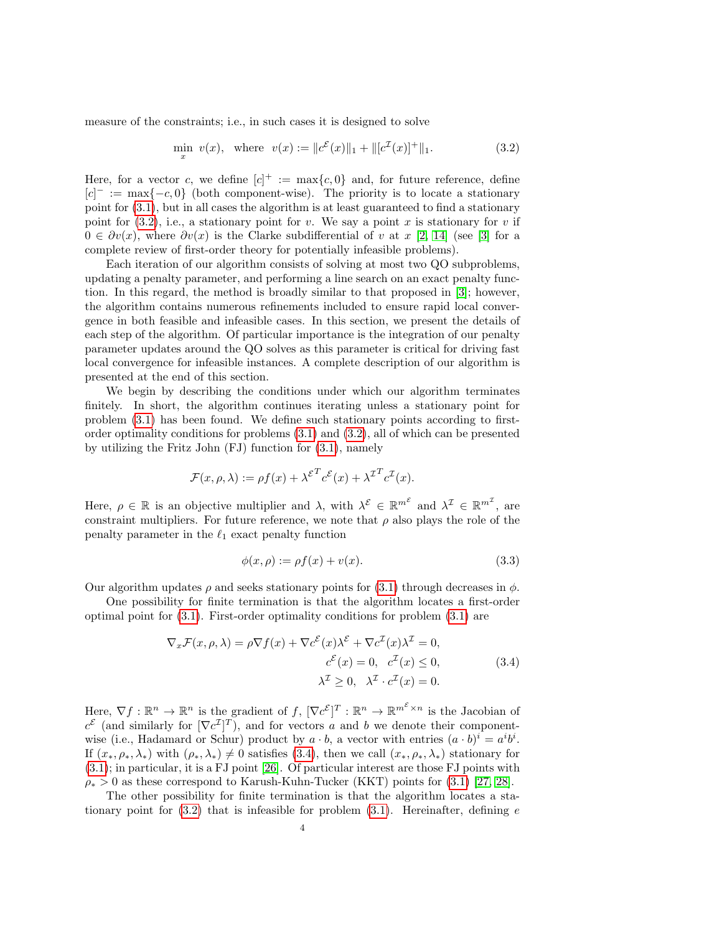measure of the constraints; i.e., in such cases it is designed to solve

<span id="page-3-0"></span>
$$
\min_{x} \ v(x), \quad \text{where} \quad v(x) := \|c^{\mathcal{E}}(x)\|_{1} + \|[c^{\mathcal{I}}(x)]^{+}\|_{1}.
$$
 (3.2)

Here, for a vector c, we define  $[c]^+ := \max\{c, 0\}$  and, for future reference, define  $[c]^- := \max\{-c, 0\}$  (both component-wise). The priority is to locate a stationary point for [\(3.1\)](#page-2-1), but in all cases the algorithm is at least guaranteed to find a stationary point for [\(3.2\)](#page-3-0), i.e., a stationary point for v. We say a point x is stationary for v if  $0 \in \partial v(x)$ , where  $\partial v(x)$  is the Clarke subdifferential of v at x [\[2,](#page-31-9) [14\]](#page-32-15) (see [\[3\]](#page-31-0) for a complete review of first-order theory for potentially infeasible problems).

Each iteration of our algorithm consists of solving at most two QO subproblems, updating a penalty parameter, and performing a line search on an exact penalty function. In this regard, the method is broadly similar to that proposed in [\[3\]](#page-31-0); however, the algorithm contains numerous refinements included to ensure rapid local convergence in both feasible and infeasible cases. In this section, we present the details of each step of the algorithm. Of particular importance is the integration of our penalty parameter updates around the QO solves as this parameter is critical for driving fast local convergence for infeasible instances. A complete description of our algorithm is presented at the end of this section.

We begin by describing the conditions under which our algorithm terminates finitely. In short, the algorithm continues iterating unless a stationary point for problem [\(3.1\)](#page-2-1) has been found. We define such stationary points according to firstorder optimality conditions for problems [\(3.1\)](#page-2-1) and [\(3.2\)](#page-3-0), all of which can be presented by utilizing the Fritz John (FJ) function for [\(3.1\)](#page-2-1), namely

$$
\mathcal{F}(x,\rho,\lambda) := \rho f(x) + \lambda^{\mathcal{E}^T} c^{\mathcal{E}}(x) + \lambda^{\mathcal{I}^T} c^{\mathcal{I}}(x).
$$

Here,  $\rho \in \mathbb{R}$  is an objective multiplier and  $\lambda$ , with  $\lambda^{\mathcal{E}} \in \mathbb{R}^{m^{\mathcal{E}}}$  and  $\lambda^{\mathcal{I}} \in \mathbb{R}^{m^{\mathcal{I}}}$ , are constraint multipliers. For future reference, we note that  $\rho$  also plays the role of the penalty parameter in the  $\ell_1$  exact penalty function

<span id="page-3-2"></span>
$$
\phi(x,\rho) := \rho f(x) + v(x). \tag{3.3}
$$

Our algorithm updates  $\rho$  and seeks stationary points for [\(3.1\)](#page-2-1) through decreases in  $\phi$ .

One possibility for finite termination is that the algorithm locates a first-order optimal point for [\(3.1\)](#page-2-1). First-order optimality conditions for problem [\(3.1\)](#page-2-1) are

<span id="page-3-1"></span>
$$
\nabla_x \mathcal{F}(x,\rho,\lambda) = \rho \nabla f(x) + \nabla c^{\mathcal{E}}(x)\lambda^{\mathcal{E}} + \nabla c^{\mathcal{I}}(x)\lambda^{\mathcal{I}} = 0,
$$
  

$$
c^{\mathcal{E}}(x) = 0, \quad c^{\mathcal{I}}(x) \le 0,
$$
  

$$
\lambda^{\mathcal{I}} \ge 0, \quad \lambda^{\mathcal{I}} \cdot c^{\mathcal{I}}(x) = 0.
$$
 (3.4)

Here,  $\nabla f : \mathbb{R}^n \to \mathbb{R}^n$  is the gradient of  $f, [\nabla c^{\mathcal{E}}]^T : \mathbb{R}^n \to \mathbb{R}^{m^{\mathcal{E}} \times n}$  is the Jacobian of  $c^{\mathcal{E}}$  (and similarly for  $[\nabla c^{\mathcal{I}}]^T$ ), and for vectors a and b we denote their componentwise (i.e., Hadamard or Schur) product by  $a \cdot b$ , a vector with entries  $(a \cdot b)^i = a^i b^i$ . If  $(x_*, \rho_*, \lambda_*)$  with  $(\rho_*, \lambda_*) \neq 0$  satisfies [\(3.4\)](#page-3-1), then we call  $(x_*, \rho_*, \lambda_*)$  stationary for [\(3.1\)](#page-2-1); in particular, it is a FJ point [\[26\]](#page-32-16). Of particular interest are those FJ points with  $\rho_* > 0$  as these correspond to Karush-Kuhn-Tucker (KKT) points for [\(3.1\)](#page-2-1) [\[27,](#page-32-17) [28\]](#page-32-18).

The other possibility for finite termination is that the algorithm locates a stationary point for  $(3.2)$  that is infeasible for problem  $(3.1)$ . Hereinafter, defining e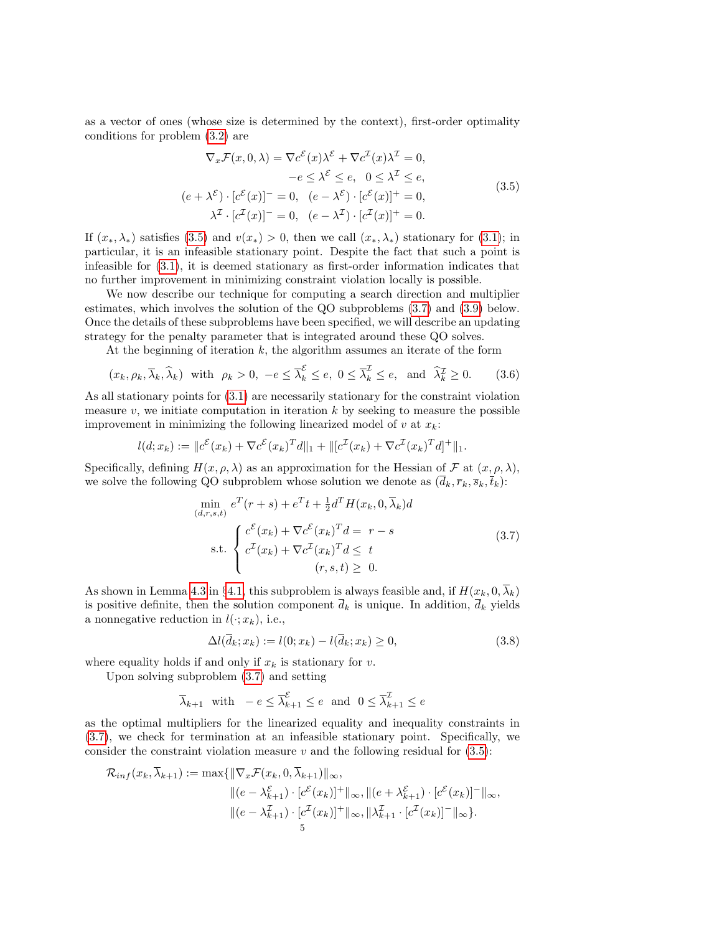as a vector of ones (whose size is determined by the context), first-order optimality conditions for problem [\(3.2\)](#page-3-0) are

<span id="page-4-0"></span>
$$
\nabla_x \mathcal{F}(x,0,\lambda) = \nabla c^{\mathcal{E}}(x)\lambda^{\mathcal{E}} + \nabla c^{\mathcal{I}}(x)\lambda^{\mathcal{I}} = 0,
$$
  
\n
$$
-e \leq \lambda^{\mathcal{E}} \leq e, \quad 0 \leq \lambda^{\mathcal{I}} \leq e,
$$
  
\n
$$
(e + \lambda^{\mathcal{E}}) \cdot [c^{\mathcal{E}}(x)]^{-} = 0, \quad (e - \lambda^{\mathcal{E}}) \cdot [c^{\mathcal{E}}(x)]^{+} = 0,
$$
  
\n
$$
\lambda^{\mathcal{I}} \cdot [c^{\mathcal{I}}(x)]^{-} = 0, \quad (e - \lambda^{\mathcal{I}}) \cdot [c^{\mathcal{I}}(x)]^{+} = 0.
$$
\n(3.5)

If  $(x_*, \lambda_*)$  satisfies [\(3.5\)](#page-4-0) and  $v(x_*) > 0$ , then we call  $(x_*, \lambda_*)$  stationary for [\(3.1\)](#page-2-1); in particular, it is an infeasible stationary point. Despite the fact that such a point is infeasible for [\(3.1\)](#page-2-1), it is deemed stationary as first-order information indicates that no further improvement in minimizing constraint violation locally is possible.

We now describe our technique for computing a search direction and multiplier estimates, which involves the solution of the QO subproblems [\(3.7\)](#page-4-1) and [\(3.9\)](#page-5-0) below. Once the details of these subproblems have been specified, we will describe an updating strategy for the penalty parameter that is integrated around these QO solves.

At the beginning of iteration  $k$ , the algorithm assumes an iterate of the form

<span id="page-4-3"></span>
$$
(x_k, \rho_k, \overline{\lambda}_k, \widehat{\lambda}_k)
$$
 with  $\rho_k > 0$ ,  $-e \le \overline{\lambda}_k^{\mathcal{E}} \le e$ ,  $0 \le \overline{\lambda}_k^{\mathcal{I}} \le e$ , and  $\widehat{\lambda}_k^{\mathcal{I}} \ge 0$ . (3.6)

As all stationary points for [\(3.1\)](#page-2-1) are necessarily stationary for the constraint violation measure v, we initiate computation in iteration  $k$  by seeking to measure the possible improvement in minimizing the following linearized model of  $v$  at  $x_k$ :

$$
l(d; x_k) := \|c^{\mathcal{E}}(x_k) + \nabla c^{\mathcal{E}}(x_k)^T d\|_1 + \| [c^{\mathcal{I}}(x_k) + \nabla c^{\mathcal{I}}(x_k)^T d]^{+}\|_1.
$$

Specifically, defining  $H(x, \rho, \lambda)$  as an approximation for the Hessian of F at  $(x, \rho, \lambda)$ , we solve the following QO subproblem whose solution we denote as  $(\bar{d}_k, \bar{r}_k, \bar{s}_k, \bar{t}_k)$ :

<span id="page-4-1"></span>
$$
\min_{(d,r,s,t)} e^T(r+s) + e^T t + \frac{1}{2} d^T H(x_k, 0, \overline{\lambda}_k) d
$$
\n
$$
\text{s.t.} \begin{cases} c^{\mathcal{E}}(x_k) + \nabla c^{\mathcal{E}}(x_k)^T d = r - s \\ c^T(x_k) + \nabla c^T(x_k)^T d \le t \\ (r, s, t) \ge 0. \end{cases} \tag{3.7}
$$

As shown in Lemma [4.3](#page-8-1) in §[4.1,](#page-8-2) this subproblem is always feasible and, if  $H(x_k, 0, \overline{\lambda}_k)$ is positive definite, then the solution component  $\overline{d}_k$  is unique. In addition,  $\overline{d}_k$  yields a nonnegative reduction in  $l(\cdot; x_k)$ , i.e.,

<span id="page-4-2"></span>
$$
\Delta l(\overline{d}_k; x_k) := l(0; x_k) - l(\overline{d}_k; x_k) \ge 0,
$$
\n(3.8)

where equality holds if and only if  $x_k$  is stationary for v.

Upon solving subproblem [\(3.7\)](#page-4-1) and setting

$$
\overline{\lambda}_{k+1} \quad \text{with} \quad -e \le \overline{\lambda}_{k+1}^{\mathcal{E}} \le e \quad \text{and} \quad 0 \le \overline{\lambda}_{k+1}^{\mathcal{I}} \le e
$$

as the optimal multipliers for the linearized equality and inequality constraints in [\(3.7\)](#page-4-1), we check for termination at an infeasible stationary point. Specifically, we consider the constraint violation measure  $v$  and the following residual for  $(3.5)$ :

$$
\mathcal{R}_{inf}(x_k, \overline{\lambda}_{k+1}) := \max \{ \|\nabla_x \mathcal{F}(x_k, 0, \overline{\lambda}_{k+1})\|_{\infty}, \| (e - \lambda_{k+1}^{\mathcal{E}}) \cdot [c^{\mathcal{E}}(x_k)]^+ \|_{\infty}, \| (e + \lambda_{k+1}^{\mathcal{E}}) \cdot [c^{\mathcal{E}}(x_k)]^- \|_{\infty}, \| (e - \lambda_{k+1}^{\mathcal{I}}) \cdot [c^{\mathcal{I}}(x_k)]^+ \|_{\infty}, \| \lambda_{k+1}^{\mathcal{I}} \cdot [c^{\mathcal{I}}(x_k)]^- \|_{\infty} \}.
$$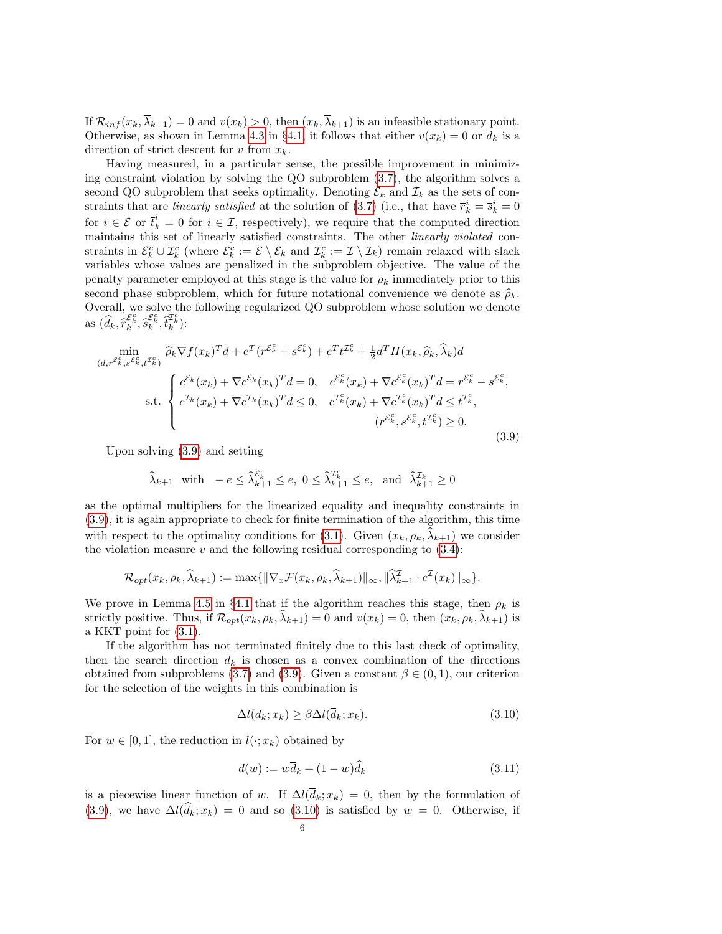If  $\mathcal{R}_{inf}(x_k, \lambda_{k+1}) = 0$  and  $v(x_k) > 0$ , then  $(x_k, \lambda_{k+1})$  is an infeasible stationary point. Otherwise, as shown in Lemma [4.3](#page-8-1) in §[4.1,](#page-8-2) it follows that either  $v(x_k) = 0$  or  $d_k$  is a direction of strict descent for  $v$  from  $x_k$ .

Having measured, in a particular sense, the possible improvement in minimizing constraint violation by solving the QO subproblem [\(3.7\)](#page-4-1), the algorithm solves a second QO subproblem that seeks optimality. Denoting  $\mathcal{E}_k$  and  $\mathcal{I}_k$  as the sets of constraints that are *linearly satisfied* at the solution of [\(3.7\)](#page-4-1) (i.e., that have  $\overline{r}_k^i = \overline{s}_k^i = 0$ for  $i \in \mathcal{E}$  or  $\bar{t}_k^i = 0$  for  $i \in \mathcal{I}$ , respectively), we require that the computed direction maintains this set of linearly satisfied constraints. The other linearly violated constraints in  $\mathcal{E}_k^c \cup \mathcal{I}_k^c$  (where  $\mathcal{E}_k^c := \mathcal{E} \setminus \mathcal{E}_k$  and  $\mathcal{I}_k^c := \mathcal{I} \setminus \mathcal{I}_k$ ) remain relaxed with slack variables whose values are penalized in the subproblem objective. The value of the penalty parameter employed at this stage is the value for  $\rho_k$  immediately prior to this second phase subproblem, which for future notational convenience we denote as  $\hat{\rho}_k$ . Overall, we solve the following regularized QO subproblem whose solution we denote as  $(\widehat{d}_k, \widehat{r}_k^{\mathcal{E}_k^c}, \widehat{s}_k^{\mathcal{E}_k^c}, \widehat{t}_k^{\mathcal{I}_k^c})$ :

<span id="page-5-0"></span>
$$
\min_{(d,r^{\mathcal{E}_{k}^c},s^{\mathcal{E}_{k}^c},t^{\mathcal{I}_{k}^c})} \hat{\rho}_{k} \nabla f(x_{k})^T d + e^T (r^{\mathcal{E}_{k}^c} + s^{\mathcal{E}_{k}^c}) + e^T t^{\mathcal{I}_{k}^c} + \frac{1}{2} d^T H(x_{k},\hat{\rho}_{k},\hat{\lambda}_{k}) d
$$
\n
$$
\text{s.t.} \begin{cases} c^{\mathcal{E}_{k}}(x_{k}) + \nabla c^{\mathcal{E}_{k}}(x_{k})^T d = 0, & c^{\mathcal{E}_{k}^c}(x_{k}) + \nabla c^{\mathcal{E}_{k}^c}(x_{k})^T d = r^{\mathcal{E}_{k}^c} - s^{\mathcal{E}_{k}^c}, \\ c^{\mathcal{I}_{k}}(x_{k}) + \nabla c^{\mathcal{I}_{k}}(x_{k})^T d \le 0, & c^{\mathcal{I}_{k}^c}(x_{k}) + \nabla c^{\mathcal{I}_{k}^c}(x_{k})^T d \le t^{\mathcal{I}_{k}^c}, \\ (r^{\mathcal{E}_{k}^c}, s^{\mathcal{E}_{k}^c}, t^{\mathcal{I}_{k}^c}) \ge 0. \end{cases} \tag{3.9}
$$

Upon solving [\(3.9\)](#page-5-0) and setting

$$
\widehat{\lambda}_{k+1} \ \ \text{with} \ \ -e\leq \widehat{\lambda}_{k+1}^{\mathcal{E}_k^c}\leq e, \ 0\leq \widehat{\lambda}_{k+1}^{\mathcal{I}_k^c}\leq e, \ \ \text{and} \ \ \widehat{\lambda}_{k+1}^{\mathcal{I}_k}\geq 0
$$

as the optimal multipliers for the linearized equality and inequality constraints in [\(3.9\)](#page-5-0), it is again appropriate to check for finite termination of the algorithm, this time with respect to the optimality conditions for [\(3.1\)](#page-2-1). Given  $(x_k, \rho_k, \lambda_{k+1})$  we consider the violation measure  $v$  and the following residual corresponding to  $(3.4)$ :

$$
\mathcal{R}_{opt}(x_k, \rho_k, \widehat{\lambda}_{k+1}) := \max\{\|\nabla_x \mathcal{F}(x_k, \rho_k, \widehat{\lambda}_{k+1})\|_{\infty}, \|\widehat{\lambda}_{k+1}^{\mathcal{I}} \cdot c^{\mathcal{I}}(x_k)\|_{\infty}\}.
$$

We prove in Lemma [4.5](#page-9-0) in §[4.1](#page-8-2) that if the algorithm reaches this stage, then  $\rho_k$  is strictly positive. Thus, if  $\mathcal{R}_{opt}(x_k, \rho_k, \lambda_{k+1}) = 0$  and  $v(x_k) = 0$ , then  $(x_k, \rho_k, \lambda_{k+1})$  is a KKT point for [\(3.1\)](#page-2-1).

If the algorithm has not terminated finitely due to this last check of optimality, then the search direction  $d_k$  is chosen as a convex combination of the directions obtained from subproblems [\(3.7\)](#page-4-1) and [\(3.9\)](#page-5-0). Given a constant  $\beta \in (0,1)$ , our criterion for the selection of the weights in this combination is

<span id="page-5-1"></span>
$$
\Delta l(d_k; x_k) \ge \beta \Delta l(\overline{d}_k; x_k). \tag{3.10}
$$

For  $w \in [0, 1]$ , the reduction in  $l(\cdot; x_k)$  obtained by

<span id="page-5-2"></span>
$$
d(w) := w\overline{d}_k + (1 - w)\widehat{d}_k \tag{3.11}
$$

is a piecewise linear function of w. If  $\Delta l(\bar{d}_k; x_k) = 0$ , then by the formulation of [\(3.9\)](#page-5-0), we have  $\Delta l(\hat{d}_k; x_k) = 0$  and so [\(3.10\)](#page-5-1) is satisfied by  $w = 0$ . Otherwise, if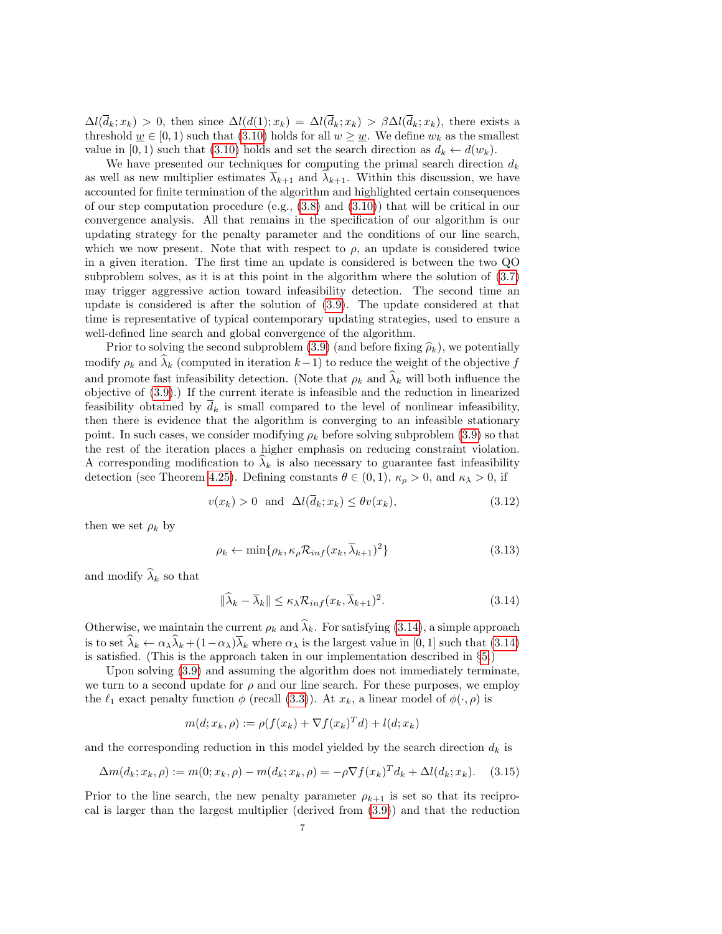$\Delta l(\bar{d}_k; x_k) > 0$ , then since  $\Delta l(d(1); x_k) = \Delta l(\bar{d}_k; x_k) > \beta \Delta l(\bar{d}_k; x_k)$ , there exists a threshold  $\underline{w} \in [0,1)$  such that [\(3.10\)](#page-5-1) holds for all  $w \ge \underline{w}$ . We define  $w_k$  as the smallest value in [0, 1) such that [\(3.10\)](#page-5-1) holds and set the search direction as  $d_k \leftarrow d(w_k)$ .

We have presented our techniques for computing the primal search direction  $d_k$ as well as new multiplier estimates  $\lambda_{k+1}$  and  $\lambda_{k+1}$ . Within this discussion, we have accounted for finite termination of the algorithm and highlighted certain consequences of our step computation procedure (e.g., [\(3.8\)](#page-4-2) and [\(3.10\)](#page-5-1)) that will be critical in our convergence analysis. All that remains in the specification of our algorithm is our updating strategy for the penalty parameter and the conditions of our line search, which we now present. Note that with respect to  $\rho$ , an update is considered twice in a given iteration. The first time an update is considered is between the two QO subproblem solves, as it is at this point in the algorithm where the solution of [\(3.7\)](#page-4-1) may trigger aggressive action toward infeasibility detection. The second time an update is considered is after the solution of [\(3.9\)](#page-5-0). The update considered at that time is representative of typical contemporary updating strategies, used to ensure a well-defined line search and global convergence of the algorithm.

Prior to solving the second subproblem [\(3.9\)](#page-5-0) (and before fixing  $\widehat{\rho}_k$ ), we potentially modify  $\rho_k$  and  $\lambda_k$  (computed in iteration  $k-1$ ) to reduce the weight of the objective f and promote fast infeasibility detection. (Note that  $\rho_k$  and  $\widehat{\lambda}_k$  will both influence the objective of [\(3.9\)](#page-5-0).) If the current iterate is infeasible and the reduction in linearized feasibility obtained by  $\overline{d}_k$  is small compared to the level of nonlinear infeasibility, then there is evidence that the algorithm is converging to an infeasible stationary point. In such cases, we consider modifying  $\rho_k$  before solving subproblem [\(3.9\)](#page-5-0) so that the rest of the iteration places a higher emphasis on reducing constraint violation. A corresponding modification to  $\lambda_k$  is also necessary to guarantee fast infeasibility detection (see Theorem [4.25\)](#page-24-0). Defining constants  $\theta \in (0,1)$ ,  $\kappa_{\rho} > 0$ , and  $\kappa_{\lambda} > 0$ , if

<span id="page-6-1"></span>
$$
v(x_k) > 0 \quad \text{and} \quad \Delta l(\overline{d}_k; x_k) \le \theta v(x_k), \tag{3.12}
$$

then we set  $\rho_k$  by

<span id="page-6-2"></span>
$$
\rho_k \leftarrow \min\{\rho_k, \kappa_\rho \mathcal{R}_{inf}(x_k, \overline{\lambda}_{k+1})^2\} \tag{3.13}
$$

and modify  $\widehat{\lambda}_k$  so that

<span id="page-6-0"></span>
$$
\|\widehat{\lambda}_k - \overline{\lambda}_k\| \le \kappa_\lambda \mathcal{R}_{inf}(x_k, \overline{\lambda}_{k+1})^2. \tag{3.14}
$$

Otherwise, we maintain the current  $\rho_k$  and  $\hat{\lambda}_k$ . For satisfying [\(3.14\)](#page-6-0), a simple approach is to set  $\widehat{\lambda}_k \leftarrow \alpha_\lambda \widehat{\lambda}_k + (1-\alpha_\lambda)\overline{\lambda}_k$  where  $\alpha_\lambda$  is the largest value in [0, 1] such that [\(3.14\)](#page-6-0) is satisfied. (This is the approach taken in our implementation described in §[5.](#page-27-0))

Upon solving [\(3.9\)](#page-5-0) and assuming the algorithm does not immediately terminate, we turn to a second update for  $\rho$  and our line search. For these purposes, we employ the  $\ell_1$  exact penalty function  $\phi$  (recall [\(3.3\)](#page-3-2)). At  $x_k$ , a linear model of  $\phi(\cdot, \rho)$  is

$$
m(d; x_k, \rho) := \rho(f(x_k) + \nabla f(x_k)^T d) + l(d; x_k)
$$

and the corresponding reduction in this model yielded by the search direction  $d_k$  is

<span id="page-6-3"></span>
$$
\Delta m(d_k; x_k, \rho) := m(0; x_k, \rho) - m(d_k; x_k, \rho) = -\rho \nabla f(x_k)^T d_k + \Delta l(d_k; x_k). \tag{3.15}
$$

Prior to the line search, the new penalty parameter  $\rho_{k+1}$  is set so that its reciprocal is larger than the largest multiplier (derived from [\(3.9\)](#page-5-0)) and that the reduction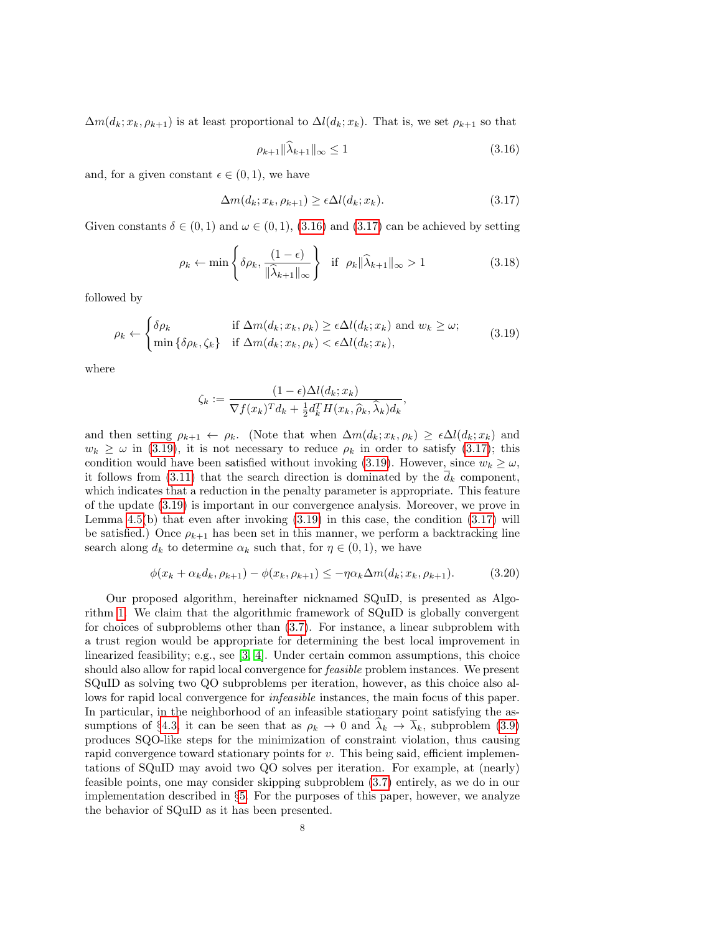$\Delta m(d_k; x_k, \rho_{k+1})$  is at least proportional to  $\Delta l(d_k; x_k)$ . That is, we set  $\rho_{k+1}$  so that

<span id="page-7-0"></span>
$$
\rho_{k+1} \|\lambda_{k+1}\|_{\infty} \le 1 \tag{3.16}
$$

,

and, for a given constant  $\epsilon \in (0,1)$ , we have

<span id="page-7-1"></span>
$$
\Delta m(d_k; x_k, \rho_{k+1}) \ge \epsilon \Delta l(d_k; x_k). \tag{3.17}
$$

Given constants  $\delta \in (0,1)$  and  $\omega \in (0,1)$ , [\(3.16\)](#page-7-0) and [\(3.17\)](#page-7-1) can be achieved by setting

<span id="page-7-3"></span>
$$
\rho_k \leftarrow \min \left\{ \delta \rho_k, \frac{(1 - \epsilon)}{\|\widehat{\lambda}_{k+1}\|_{\infty}} \right\} \quad \text{if} \quad \rho_k \|\widehat{\lambda}_{k+1}\|_{\infty} > 1 \tag{3.18}
$$

followed by

<span id="page-7-2"></span>
$$
\rho_k \leftarrow \begin{cases} \delta \rho_k & \text{if } \Delta m(d_k; x_k, \rho_k) \ge \epsilon \Delta l(d_k; x_k) \text{ and } w_k \ge \omega; \\ \min \{ \delta \rho_k, \zeta_k \} & \text{if } \Delta m(d_k; x_k, \rho_k) < \epsilon \Delta l(d_k; x_k), \end{cases} \tag{3.19}
$$

where

$$
\zeta_k := \frac{(1-\epsilon)\Delta l(d_k; x_k)}{\nabla f(x_k)^T d_k + \frac{1}{2} d_k^T H(x_k, \hat{\rho}_k, \hat{\lambda}_k) d_k}
$$

and then setting  $\rho_{k+1} \leftarrow \rho_k$ . (Note that when  $\Delta m(d_k; x_k, \rho_k) \geq \epsilon \Delta l(d_k; x_k)$  and  $w_k \geq \omega$  in [\(3.19\)](#page-7-2), it is not necessary to reduce  $\rho_k$  in order to satisfy [\(3.17\)](#page-7-1); this condition would have been satisfied without invoking [\(3.19\)](#page-7-2). However, since  $w_k \geq \omega$ , it follows from  $(3.11)$  that the search direction is dominated by the  $d_k$  component, which indicates that a reduction in the penalty parameter is appropriate. This feature of the update [\(3.19\)](#page-7-2) is important in our convergence analysis. Moreover, we prove in Lemma  $4.5(b)$  that even after invoking  $(3.19)$  in this case, the condition  $(3.17)$  will be satisfied.) Once  $\rho_{k+1}$  has been set in this manner, we perform a backtracking line search along  $d_k$  to determine  $\alpha_k$  such that, for  $\eta \in (0,1)$ , we have

<span id="page-7-4"></span>
$$
\phi(x_k + \alpha_k d_k, \rho_{k+1}) - \phi(x_k, \rho_{k+1}) \le -\eta \alpha_k \Delta m(d_k; x_k, \rho_{k+1}).
$$
\n(3.20)

Our proposed algorithm, hereinafter nicknamed SQuID, is presented as Algorithm [1.](#page-8-3) We claim that the algorithmic framework of SQuID is globally convergent for choices of subproblems other than [\(3.7\)](#page-4-1). For instance, a linear subproblem with a trust region would be appropriate for determining the best local improvement in linearized feasibility; e.g., see [\[3,](#page-31-0) [4\]](#page-31-1). Under certain common assumptions, this choice should also allow for rapid local convergence for feasible problem instances. We present SQuID as solving two QO subproblems per iteration, however, as this choice also allows for rapid local convergence for *infeasible* instances, the main focus of this paper. In particular, in the neighborhood of an infeasible stationary point satisfying the as-sumptions of §[4.3,](#page-19-0) it can be seen that as  $\rho_k \to 0$  and  $\hat{\lambda}_k \to \overline{\lambda}_k$ , subproblem [\(3.9\)](#page-5-0) produces SQO-like steps for the minimization of constraint violation, thus causing rapid convergence toward stationary points for v. This being said, efficient implementations of SQuID may avoid two QO solves per iteration. For example, at (nearly) feasible points, one may consider skipping subproblem [\(3.7\)](#page-4-1) entirely, as we do in our implementation described in §[5.](#page-27-0) For the purposes of this paper, however, we analyze the behavior of SQuID as it has been presented.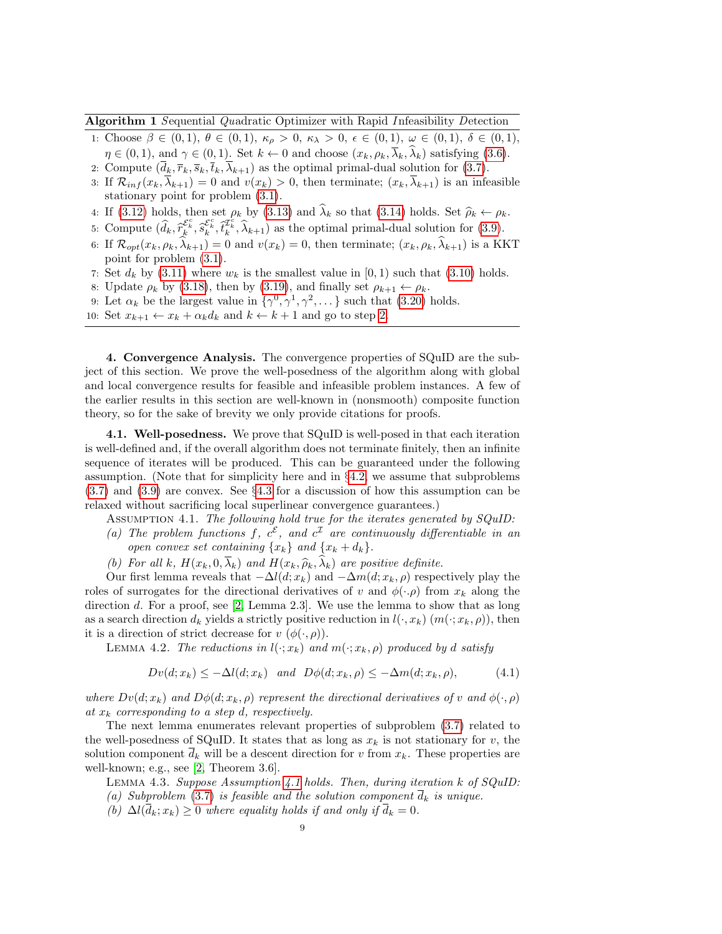<span id="page-8-3"></span>Algorithm 1 Sequential Quadratic Optimizer with Rapid Infeasibility Detection

- 1: Choose  $\beta \in (0,1), \ \theta \in (0,1), \ \kappa_{\rho} > 0, \ \kappa_{\lambda} > 0, \ \epsilon \in (0,1), \ \omega \in (0,1), \ \delta \in (0,1),$
- <span id="page-8-10"></span><span id="page-8-4"></span> $\eta \in (0,1)$ , and  $\gamma \in (0,1)$ . Set  $k \leftarrow 0$  and choose  $(x_k, \rho_k, \overline{\lambda}_k, \widehat{\lambda}_k)$  satisfying [\(3.6\)](#page-4-3).
- 2: Compute  $(\bar{d}_k, \bar{r}_k, \bar{s}_k, \bar{t}_k, \bar{\lambda}_{k+1})$  as the optimal primal-dual solution for [\(3.7\)](#page-4-1).
- <span id="page-8-7"></span>3: If  $\mathcal{R}_{inf}(x_k, \overline{\lambda}_{k+1}) = 0$  and  $v(x_k) > 0$ , then terminate;  $(x_k, \overline{\lambda}_{k+1})$  is an infeasible stationary point for problem [\(3.1\)](#page-2-1).
- 4: If [\(3.12\)](#page-6-1) holds, then set  $\rho_k$  by [\(3.13\)](#page-6-2) and  $\hat{\lambda}_k$  so that [\(3.14\)](#page-6-0) holds. Set  $\hat{\rho}_k \leftarrow \rho_k$ .
- <span id="page-8-12"></span><span id="page-8-6"></span>5: Compute  $(\hat{d}_k, \hat{r}_k^{\mathcal{E}_k^c}, \hat{s}_k^{\mathcal{E}_k^c}, \hat{t}_k^{\mathcal{I}_k^c}, \hat{\lambda}_{k+1})$  as the optimal primal-dual solution for [\(3.9\)](#page-5-0).
- <span id="page-8-11"></span>6: If  $\mathcal{R}_{opt}(x_k, \rho_k, \lambda_{k+1}) = 0$  and  $v(x_k) = 0$ , then terminate;  $(x_k, \rho_k, \lambda_{k+1})$  is a KKT point for problem [\(3.1\)](#page-2-1).
- <span id="page-8-8"></span>7: Set  $d_k$  by [\(3.11\)](#page-5-2) where  $w_k$  is the smallest value in [0, 1) such that [\(3.10\)](#page-5-1) holds.
- <span id="page-8-9"></span>8: Update  $\rho_k$  by [\(3.18\)](#page-7-3), then by [\(3.19\)](#page-7-2), and finally set  $\rho_{k+1} \leftarrow \rho_k$ .
- 9: Let  $\alpha_k$  be the largest value in  $\{\gamma^0, \gamma^1, \gamma^2, \dots\}$  such that [\(3.20\)](#page-7-4) holds.
- 10: Set  $x_{k+1} \leftarrow x_k + \alpha_k d_k$  and  $k \leftarrow k+1$  and go to step [2.](#page-8-4)

<span id="page-8-0"></span>4. Convergence Analysis. The convergence properties of SQuID are the subject of this section. We prove the well-posedness of the algorithm along with global and local convergence results for feasible and infeasible problem instances. A few of the earlier results in this section are well-known in (nonsmooth) composite function theory, so for the sake of brevity we only provide citations for proofs.

<span id="page-8-2"></span>4.1. Well-posedness. We prove that SQuID is well-posed in that each iteration is well-defined and, if the overall algorithm does not terminate finitely, then an infinite sequence of iterates will be produced. This can be guaranteed under the following assumption. (Note that for simplicity here and in §[4.2,](#page-11-0) we assume that subproblems [\(3.7\)](#page-4-1) and [\(3.9\)](#page-5-0) are convex. See §[4.3](#page-19-0) for a discussion of how this assumption can be relaxed without sacrificing local superlinear convergence guarantees.)

- <span id="page-8-5"></span>ASSUMPTION 4.1. The following hold true for the iterates generated by SQuID:
- (a) The problem functions f,  $c^{\mathcal{E}}$ , and  $c^{\mathcal{I}}$  are continuously differentiable in an open convex set containing  $\{x_k\}$  and  $\{x_k + d_k\}$ .
- (b) For all k,  $H(x_k, 0, \overline{\lambda}_k)$  and  $H(x_k, \widehat{\rho}_k, \widehat{\lambda}_k)$  are positive definite.

Our first lemma reveals that  $-\Delta l(d; x_k)$  and  $-\Delta m(d; x_k, \rho)$  respectively play the roles of surrogates for the directional derivatives of v and  $\phi(\cdot,\rho)$  from  $x_k$  along the direction d. For a proof, see  $[2, \text{Lemma } 2.3]$  $[2, \text{Lemma } 2.3]$ . We use the lemma to show that as long as a search direction  $d_k$  yields a strictly positive reduction in  $l(\cdot, x_k)$   $(m(\cdot; x_k, \rho))$ , then it is a direction of strict decrease for  $v \ (\phi(\cdot, \rho)).$ 

<span id="page-8-13"></span>LEMMA 4.2. The reductions in  $l(\cdot; x_k)$  and  $m(\cdot; x_k, \rho)$  produced by d satisfy

$$
Dv(d; x_k) \le -\Delta l(d; x_k) \quad and \quad D\phi(d; x_k, \rho) \le -\Delta m(d; x_k, \rho), \tag{4.1}
$$

where  $Dv(d; x_k)$  and  $D\phi(d; x_k, \rho)$  represent the directional derivatives of v and  $\phi(\cdot, \rho)$ at  $x_k$  corresponding to a step d, respectively.

The next lemma enumerates relevant properties of subproblem [\(3.7\)](#page-4-1) related to the well-posedness of SQuID. It states that as long as  $x_k$  is not stationary for v, the solution component  $\overline{d}_k$  will be a descent direction for v from  $x_k$ . These properties are well-known; e.g., see [\[2,](#page-31-9) Theorem 3.6].

<span id="page-8-1"></span>LEMMA 4.3. Suppose Assumption [4.1](#page-8-5) holds. Then, during iteration  $k$  of  $SQuID$ : (a) Subproblem [\(3.7\)](#page-4-1) is feasible and the solution component  $\overline{d}_k$  is unique.

(b)  $\Delta l(\overline{d}_k; x_k) \geq 0$  where equality holds if and only if  $\overline{d}_k = 0$ .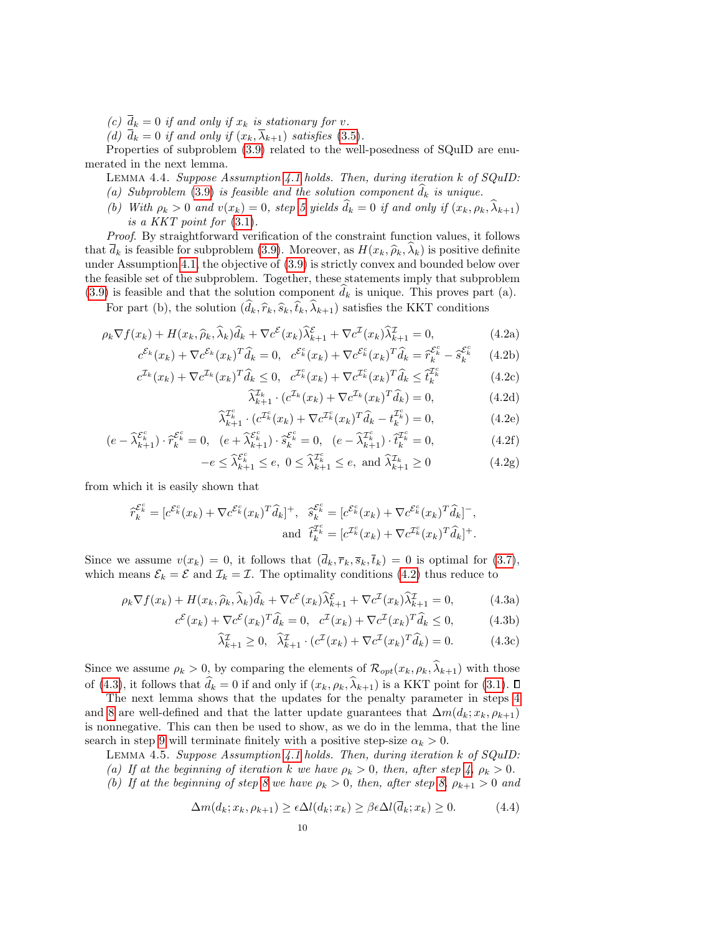- (c)  $\overline{d}_k = 0$  if and only if  $x_k$  is stationary for v.
- (d)  $\overline{d}_k = 0$  if and only if  $(x_k, \overline{\lambda}_{k+1})$  satisfies [\(3.5\)](#page-4-0).

Properties of subproblem  $(3.9)$  related to the well-posedness of SQuID are enumerated in the next lemma.

<span id="page-9-4"></span>LEMMA 4.4. Suppose Assumption [4.1](#page-8-5) holds. Then, during iteration  $k$  of  $SQuID$ : (a) Subproblem [\(3.9\)](#page-5-0) is feasible and the solution component  $d_k$  is unique.

(b) With  $\rho_k > 0$  and  $v(x_k) = 0$ , step [5](#page-8-6) yields  $\widehat{d}_k = 0$  if and only if  $(x_k, \rho_k, \widehat{\lambda}_{k+1})$ is a KKT point for [\(3.1\)](#page-2-1).

Proof. By straightforward verification of the constraint function values, it follows that  $\overline{d}_k$  is feasible for subproblem [\(3.9\)](#page-5-0). Moreover, as  $H(x_k, \hat{\rho}_k, \lambda_k)$  is positive definite under Assumption [4.1,](#page-8-5) the objective of [\(3.9\)](#page-5-0) is strictly convex and bounded below over the feasible set of the subproblem. Together, these statements imply that subproblem  $(3.9)$  is feasible and that the solution component  $d_k$  is unique. This proves part (a).

For part (b), the solution  $(\hat{d}_k, \hat{r}_k, \hat{s}_k, \hat{t}_k, \hat{\lambda}_{k+1})$  satisfies the KKT conditions

$$
\rho_k \nabla f(x_k) + H(x_k, \hat{\rho}_k, \hat{\lambda}_k) \hat{d}_k + \nabla c^{\mathcal{E}}(x_k) \hat{\lambda}_{k+1}^{\mathcal{E}} + \nabla c^{\mathcal{I}}(x_k) \hat{\lambda}_{k+1}^{\mathcal{I}} = 0,
$$
\n(4.2a)

$$
c^{\mathcal{E}_k}(x_k) + \nabla c^{\mathcal{E}_k}(x_k)^T \hat{d}_k = 0, \quad c^{\mathcal{E}_k^c}(x_k) + \nabla c^{\mathcal{E}_k^c}(x_k)^T \hat{d}_k = \hat{r}_k^{\mathcal{E}_k^c} - \hat{s}_k^{\mathcal{E}_k^c}
$$
(4.2b)

$$
c^{\mathcal{I}_k}(x_k) + \nabla c^{\mathcal{I}_k}(x_k)^T \widehat{d}_k \le 0, \quad c^{\mathcal{I}_k^c}(x_k) + \nabla c^{\mathcal{I}_k^c}(x_k)^T \widehat{d}_k \le \widehat{t}_k^{\mathcal{I}_k^c}
$$
(4.2c)

<span id="page-9-11"></span><span id="page-9-10"></span><span id="page-9-9"></span><span id="page-9-8"></span><span id="page-9-7"></span><span id="page-9-6"></span><span id="page-9-5"></span><span id="page-9-1"></span>
$$
\widehat{\lambda}_{k+1}^{\mathcal{I}_k} \cdot (c^{\mathcal{I}_k}(x_k) + \nabla c^{\mathcal{I}_k}(x_k)^T \widehat{d}_k) = 0,
$$
\n(4.2d)

$$
\widehat{\lambda}_{k+1}^{\mathcal{I}_k^c} \cdot (c^{\mathcal{I}_k^c}(x_k) + \nabla c^{\mathcal{I}_k^c}(x_k)^T \widehat{d}_k - t_k^{\mathcal{I}_k^c}) = 0,
$$
\n(4.2e)

$$
(e - \widehat{\lambda}_{k+1}^{\varepsilon_k^c}) \cdot \widehat{r}_k^{\varepsilon_k^c} = 0, \quad (e + \widehat{\lambda}_{k+1}^{\varepsilon_k^c}) \cdot \widehat{s}_k^{\varepsilon_k^c} = 0, \quad (e - \widehat{\lambda}_{k+1}^{\varepsilon_k^c}) \cdot \widehat{t}_k^{\varepsilon_k^c} = 0,
$$
\n
$$
(4.2f)
$$

$$
-e \le \widehat{\lambda}_{k+1}^{\mathcal{E}_k^c} \le e, \ 0 \le \widehat{\lambda}_{k+1}^{\mathcal{I}_k^c} \le e, \text{ and } \widehat{\lambda}_{k+1}^{\mathcal{I}_k} \ge 0 \tag{4.2g}
$$

from which it is easily shown that

$$
\widehat{r}_k^{\mathcal{E}_k^c} = [c^{\mathcal{E}_k^c}(x_k) + \nabla c^{\mathcal{E}_k^c}(x_k)^T \widehat{d}_k]^+, \quad \widehat{s}_k^{\mathcal{E}_k^c} = [c^{\mathcal{E}_k^c}(x_k) + \nabla c^{\mathcal{E}_k^c}(x_k)^T \widehat{d}_k]^-,
$$
  
and 
$$
\widehat{t}_k^{\mathcal{I}_k^c} = [c^{\mathcal{I}_k^c}(x_k) + \nabla c^{\mathcal{I}_k^c}(x_k)^T \widehat{d}_k]^+.
$$

Since we assume  $v(x_k) = 0$ , it follows that  $(\bar{d}_k, \bar{r}_k, \bar{s}_k, \bar{t}_k) = 0$  is optimal for [\(3.7\)](#page-4-1), which means  $\mathcal{E}_k = \mathcal{E}$  and  $\mathcal{I}_k = \mathcal{I}$ . The optimality conditions [\(4.2\)](#page-9-1) thus reduce to

$$
\rho_k \nabla f(x_k) + H(x_k, \widehat{\rho}_k, \widehat{\lambda}_k) \widehat{d}_k + \nabla c^{\mathcal{E}}(x_k) \widehat{\lambda}_{k+1}^{\mathcal{E}} + \nabla c^{\mathcal{I}}(x_k) \widehat{\lambda}_{k+1}^{\mathcal{I}} = 0, \tag{4.3a}
$$

$$
c^{\mathcal{E}}(x_k) + \nabla c^{\mathcal{E}}(x_k)^T \hat{d}_k = 0, \quad c^{\mathcal{I}}(x_k) + \nabla c^{\mathcal{I}}(x_k)^T \hat{d}_k \le 0,
$$
 (4.3b)

<span id="page-9-2"></span>
$$
\widehat{\lambda}_{k+1}^{\mathcal{I}} \ge 0, \quad \widehat{\lambda}_{k+1}^{\mathcal{I}} \cdot (c^{\mathcal{I}}(x_k) + \nabla c^{\mathcal{I}}(x_k)^T \widehat{d}_k) = 0. \tag{4.3c}
$$

Since we assume  $\rho_k > 0$ , by comparing the elements of  $\mathcal{R}_{opt}(x_k, \rho_k, \widehat{\lambda}_{k+1})$  with those of [\(4.3\)](#page-9-2), it follows that  $\hat{d}_k = 0$  if and only if  $(x_k, \rho_k, \hat{\lambda}_{k+1})$  is a KKT point for [\(3.1\)](#page-2-1).  $\Box$ 

The next lemma shows that the updates for the penalty parameter in steps [4](#page-8-7) and [8](#page-8-8) are well-defined and that the latter update guarantees that  $\Delta m(d_k; x_k, \rho_{k+1})$ is nonnegative. This can then be used to show, as we do in the lemma, that the line search in step [9](#page-8-9) will terminate finitely with a positive step-size  $\alpha_k > 0$ .

<span id="page-9-0"></span>LEMMA 4.5. Suppose Assumption [4.1](#page-8-5) holds. Then, during iteration  $k$  of  $SQuID$ :

(a) If at the beginning of iteration k we have  $\rho_k > 0$ , then, after step [4,](#page-8-7)  $\rho_k > 0$ .

(b) If at the beginning of step [8](#page-8-8) we have  $\rho_k > 0$ , then, after step [8,](#page-8-8)  $\rho_{k+1} > 0$  and

<span id="page-9-3"></span>
$$
\Delta m(d_k; x_k, \rho_{k+1}) \ge \epsilon \Delta l(d_k; x_k) \ge \beta \epsilon \Delta l(\overline{d}_k; x_k) \ge 0. \tag{4.4}
$$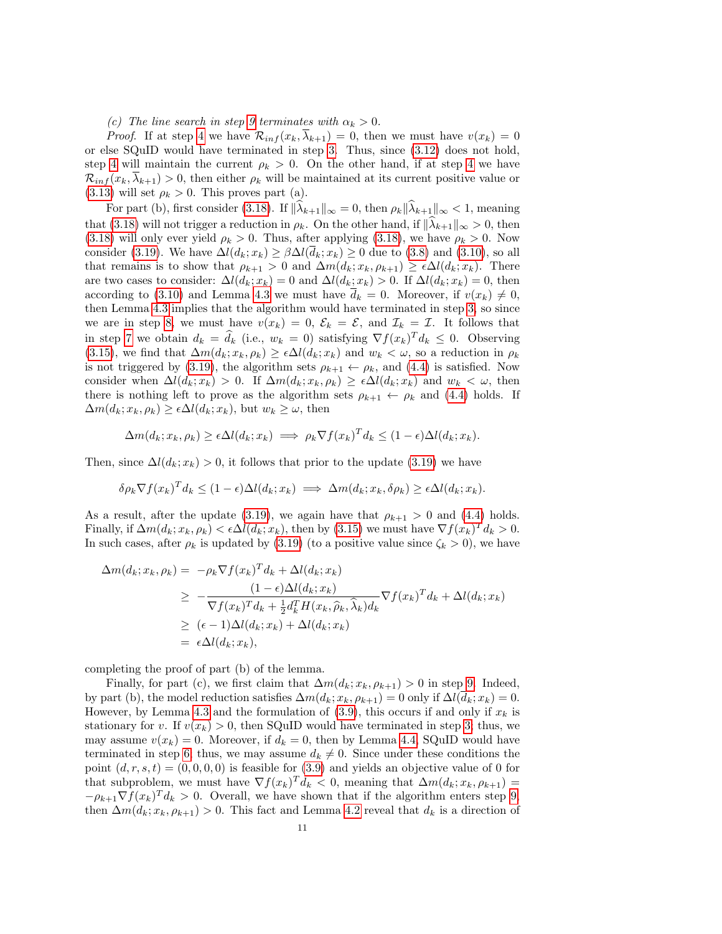(c) The line search in step [9](#page-8-9) terminates with  $\alpha_k > 0$ .

*Proof.* If at step [4](#page-8-7) we have  $\mathcal{R}_{inf}(x_k, \overline{\lambda}_{k+1}) = 0$ , then we must have  $v(x_k) = 0$ or else SQuID would have terminated in step [3.](#page-8-10) Thus, since [\(3.12\)](#page-6-1) does not hold, step [4](#page-8-7) will maintain the current  $\rho_k > 0$ . On the other hand, if at step 4 we have  $\mathcal{R}_{inf}(x_k, \overline{\lambda}_{k+1}) > 0$ , then either  $\rho_k$  will be maintained at its current positive value or  $(3.13)$  will set  $\rho_k > 0$ . This proves part (a).

For part (b), first consider [\(3.18\)](#page-7-3). If  $\|\tilde{\lambda}_{k+1}\|_{\infty} = 0$ , then  $\rho_k \|\tilde{\lambda}_{k+1}\|_{\infty} < 1$ , meaning that [\(3.18\)](#page-7-3) will not trigger a reduction in  $\rho_k$ . On the other hand, if  $\|\lambda_{k+1}\|_{\infty} > 0$ , then [\(3.18\)](#page-7-3) will only ever yield  $\rho_k > 0$ . Thus, after applying (3.18), we have  $\rho_k > 0$ . Now consider [\(3.19\)](#page-7-2). We have  $\Delta l(d_k; x_k) \geq \beta \Delta l(\overline{d}_k; x_k) \geq 0$  due to [\(3.8\)](#page-4-2) and [\(3.10\)](#page-5-1), so all that remains is to show that  $\rho_{k+1} > 0$  and  $\Delta m(d_k; x_k, \rho_{k+1}) \geq \epsilon \Delta l(d_k; x_k)$ . There are two cases to consider:  $\Delta l(d_k; x_k) = 0$  and  $\Delta l(d_k; x_k) > 0$ . If  $\Delta l(d_k; x_k) = 0$ , then according to [\(3.10\)](#page-5-1) and Lemma [4.3](#page-8-1) we must have  $\overline{d}_k = 0$ . Moreover, if  $v(x_k) \neq 0$ , then Lemma [4.3](#page-8-1) implies that the algorithm would have terminated in step [3,](#page-8-10) so since we are in step [8,](#page-8-8) we must have  $v(x_k) = 0$ ,  $\mathcal{E}_k = \mathcal{E}$ , and  $\mathcal{I}_k = \mathcal{I}$ . It follows that in step [7](#page-8-11) we obtain  $d_k = \hat{d}_k$  (i.e.,  $w_k = 0$ ) satisfying  $\nabla f(x_k)^T d_k \leq 0$ . Observing [\(3.15\)](#page-6-3), we find that  $\Delta m(d_k; x_k, \rho_k) \geq \epsilon \Delta l(d_k; x_k)$  and  $w_k < \omega$ , so a reduction in  $\rho_k$ is not triggered by [\(3.19\)](#page-7-2), the algorithm sets  $\rho_{k+1} \leftarrow \rho_k$ , and [\(4.4\)](#page-9-3) is satisfied. Now consider when  $\Delta l(d_k; x_k) > 0$ . If  $\Delta m(d_k; x_k, \rho_k) \geq \epsilon \Delta l(d_k; x_k)$  and  $w_k < \omega$ , then there is nothing left to prove as the algorithm sets  $\rho_{k+1} \leftarrow \rho_k$  and [\(4.4\)](#page-9-3) holds. If  $\Delta m(d_k; x_k, \rho_k) \geq \epsilon \Delta l(d_k; x_k)$ , but  $w_k \geq \omega$ , then

$$
\Delta m(d_k; x_k, \rho_k) \ge \epsilon \Delta l(d_k; x_k) \implies \rho_k \nabla f(x_k)^T d_k \le (1 - \epsilon) \Delta l(d_k; x_k).
$$

Then, since  $\Delta l(d_k; x_k) > 0$ , it follows that prior to the update [\(3.19\)](#page-7-2) we have

$$
\delta \rho_k \nabla f(x_k)^T d_k \leq (1 - \epsilon) \Delta l(d_k; x_k) \implies \Delta m(d_k; x_k, \delta \rho_k) \geq \epsilon \Delta l(d_k; x_k).
$$

As a result, after the update [\(3.19\)](#page-7-2), we again have that  $\rho_{k+1} > 0$  and [\(4.4\)](#page-9-3) holds. Finally, if  $\Delta m(d_k; x_k, \rho_k) < \epsilon \Delta l(d_k; x_k)$ , then by [\(3.15\)](#page-6-3) we must have  $\nabla f(x_k)^T d_k > 0$ . In such cases, after  $\rho_k$  is updated by [\(3.19\)](#page-7-2) (to a positive value since  $\zeta_k > 0$ ), we have

$$
\Delta m(d_k; x_k, \rho_k) = -\rho_k \nabla f(x_k)^T d_k + \Delta l(d_k; x_k)
$$
  
\n
$$
\geq -\frac{(1 - \epsilon) \Delta l(d_k; x_k)}{\nabla f(x_k)^T d_k + \frac{1}{2} d_k^T H(x_k, \hat{\rho}_k, \hat{\lambda}_k) d_k} \nabla f(x_k)^T d_k + \Delta l(d_k; x_k)
$$
  
\n
$$
\geq (\epsilon - 1) \Delta l(d_k; x_k) + \Delta l(d_k; x_k)
$$
  
\n
$$
= \epsilon \Delta l(d_k; x_k),
$$

completing the proof of part (b) of the lemma.

Finally, for part (c), we first claim that  $\Delta m(d_k; x_k, \rho_{k+1}) > 0$  in step [9.](#page-8-9) Indeed, by part (b), the model reduction satisfies  $\Delta m(d_k; x_k, \rho_{k+1}) = 0$  only if  $\Delta l(d_k; x_k) = 0$ . However, by Lemma [4.3](#page-8-1) and the formulation of [\(3.9\)](#page-5-0), this occurs if and only if  $x_k$  is stationary for v. If  $v(x_k) > 0$ , then SQuID would have terminated in step [3;](#page-8-10) thus, we may assume  $v(x_k) = 0$ . Moreover, if  $d_k = 0$ , then by Lemma [4.4,](#page-9-4) SQuID would have terminated in step [6;](#page-8-12) thus, we may assume  $d_k \neq 0$ . Since under these conditions the point  $(d, r, s, t) = (0, 0, 0, 0)$  is feasible for [\(3.9\)](#page-5-0) and yields an objective value of 0 for that subproblem, we must have  $\nabla f(x_k)^T d_k < 0$ , meaning that  $\Delta m(d_k; x_k, \rho_{k+1}) =$  $-\rho_{k+1}\nabla f(x_k)^T d_k > 0$ . Overall, we have shown that if the algorithm enters step [9,](#page-8-9) then  $\Delta m(d_k; x_k, \rho_{k+1}) > 0$ . This fact and Lemma [4.2](#page-8-13) reveal that  $d_k$  is a direction of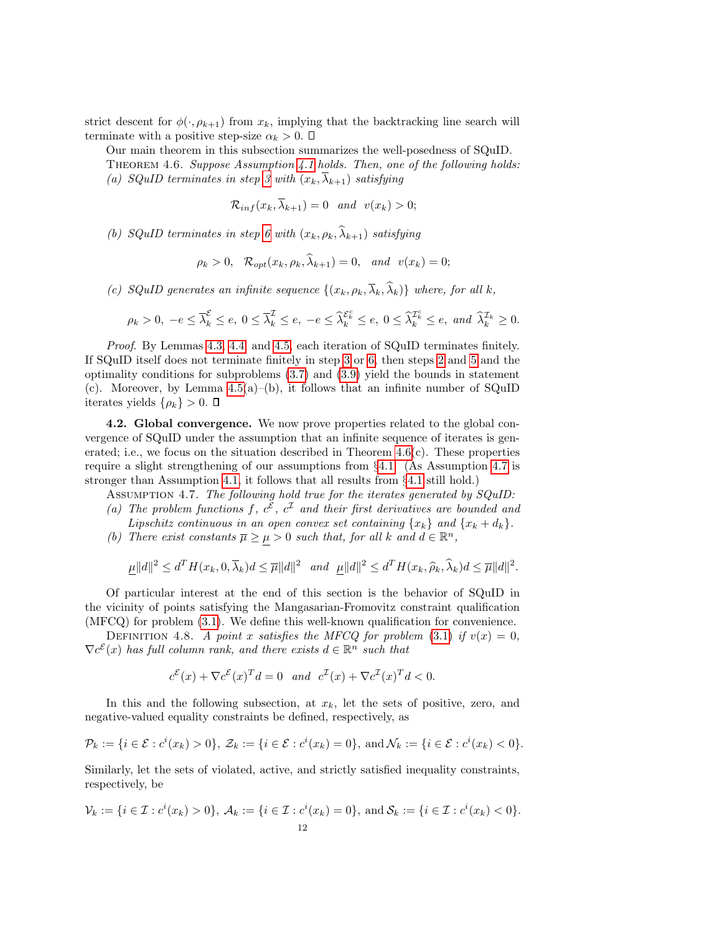strict descent for  $\phi(\cdot, \rho_{k+1})$  from  $x_k$ , implying that the backtracking line search will terminate with a positive step-size  $\alpha_k > 0$ .  $\Box$ 

Our main theorem in this subsection summarizes the well-posedness of SQuID.

<span id="page-11-1"></span>THEOREM 4.6. Suppose Assumption [4.1](#page-8-5) holds. Then, one of the following holds: (a) SQuID terminates in step [3](#page-8-10) with  $(x_k, \overline{\lambda}_{k+1})$  satisfying

$$
\mathcal{R}_{inf}(x_k, \overline{\lambda}_{k+1}) = 0
$$
 and  $v(x_k) > 0;$ 

(b) SQuID terminates in step [6](#page-8-12) with  $(x_k, \rho_k, \widehat{\lambda}_{k+1})$  satisfying

$$
\rho_k > 0
$$
,  $\mathcal{R}_{opt}(x_k, \rho_k, \lambda_{k+1}) = 0$ , and  $v(x_k) = 0$ ;

(c) SQuID generates an infinite sequence  $\{(x_k, \rho_k, \overline{\lambda}_k, \widehat{\lambda}_k)\}\$  where, for all k,

$$
\rho_k > 0, -e \le \overline{\lambda}_k^{\mathcal{E}} \le e, 0 \le \overline{\lambda}_k^{\mathcal{I}} \le e, -e \le \widehat{\lambda}_k^{e_k} \le e, 0 \le \widehat{\lambda}_k^{\mathcal{I}_k^c} \le e, \text{ and } \widehat{\lambda}_k^{\mathcal{I}_k} \ge 0.
$$

Proof. By Lemmas [4.3,](#page-8-1) [4.4,](#page-9-4) and [4.5,](#page-9-0) each iteration of SQuID terminates finitely. If SQuID itself does not terminate finitely in step [3](#page-8-10) or [6,](#page-8-12) then steps [2](#page-8-4) and [5](#page-8-6) and the optimality conditions for subproblems  $(3.7)$  and  $(3.9)$  yield the bounds in statement (c). Moreover, by Lemma  $4.5(a)$ –(b), it follows that an infinite number of SQuID iterates yields  $\{\rho_k\} > 0$ .  $\square$ 

<span id="page-11-0"></span>4.2. Global convergence. We now prove properties related to the global convergence of SQuID under the assumption that an infinite sequence of iterates is generated; i.e., we focus on the situation described in Theorem  $4.6(c)$ . These properties require a slight strengthening of our assumptions from §[4.1.](#page-8-2) (As Assumption [4.7](#page-11-2) is stronger than Assumption [4.1,](#page-8-5) it follows that all results from §[4.1](#page-8-2) still hold.)

<span id="page-11-2"></span>ASSUMPTION 4.7. The following hold true for the iterates generated by SQuID:

- (a) The problem functions f,  $c^{\mathcal{E}}$ ,  $c^{\mathcal{I}}$  and their first derivatives are bounded and Lipschitz continuous in an open convex set containing  $\{x_k\}$  and  $\{x_k+d_k\}$ .
- (b) There exist constants  $\overline{\mu} \geq \mu > 0$  such that, for all k and  $d \in \mathbb{R}^n$ ,

$$
\underline{\mu}||d||^2 \le d^T H(x_k, 0, \overline{\lambda}_k) d \le \overline{\mu}||d||^2 \quad \text{and} \quad \underline{\mu}||d||^2 \le d^T H(x_k, \widehat{\rho}_k, \widehat{\lambda}_k) d \le \overline{\mu}||d||^2.
$$

Of particular interest at the end of this section is the behavior of SQuID in the vicinity of points satisfying the Mangasarian-Fromovitz constraint qualification (MFCQ) for problem [\(3.1\)](#page-2-1). We define this well-known qualification for convenience.

DEFINITION 4.8. A point x satisfies the MFCQ for problem [\(3.1\)](#page-2-1) if  $v(x) = 0$ ,  $\nabla c^{\mathcal{E}}(x)$  has full column rank, and there exists  $d \in \mathbb{R}^n$  such that

$$
c^{\mathcal{E}}(x) + \nabla c^{\mathcal{E}}(x)^T d = 0 \quad and \quad c^{\mathcal{I}}(x) + \nabla c^{\mathcal{I}}(x)^T d < 0.
$$

In this and the following subsection, at  $x_k$ , let the sets of positive, zero, and negative-valued equality constraints be defined, respectively, as

$$
\mathcal{P}_k := \{ i \in \mathcal{E} : c^i(x_k) > 0 \}, \ \mathcal{Z}_k := \{ i \in \mathcal{E} : c^i(x_k) = 0 \}, \ \text{and} \ \mathcal{N}_k := \{ i \in \mathcal{E} : c^i(x_k) < 0 \}.
$$

Similarly, let the sets of violated, active, and strictly satisfied inequality constraints, respectively, be

$$
\mathcal{V}_k := \{ i \in \mathcal{I} : c^i(x_k) > 0 \}, \ \mathcal{A}_k := \{ i \in \mathcal{I} : c^i(x_k) = 0 \}, \ \text{and} \ \mathcal{S}_k := \{ i \in \mathcal{I} : c^i(x_k) < 0 \}.
$$
  
12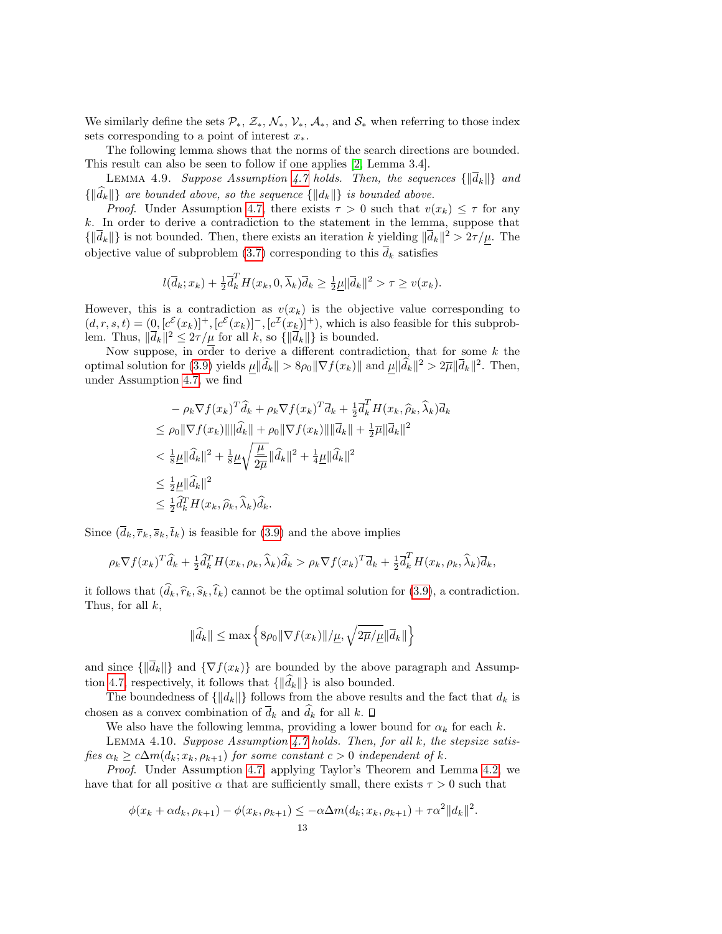We similarly define the sets  $\mathcal{P}_*, \mathcal{Z}_*, \mathcal{N}_*, \mathcal{V}_*, \mathcal{A}_*,$  and  $\mathcal{S}_*$  when referring to those index sets corresponding to a point of interest  $x_*$ .

The following lemma shows that the norms of the search directions are bounded. This result can also be seen to follow if one applies [\[2,](#page-31-9) Lemma 3.4].

<span id="page-12-0"></span>LEMMA 4.9. Suppose Assumption [4.7](#page-11-2) holds. Then, the sequences  $\{\|\vec{d}_k\|\}$  and  $\{\|\widehat{d}_k\|\}$  are bounded above, so the sequence  $\{\|d_k\|\}$  is bounded above.

*Proof.* Under Assumption [4.7,](#page-11-2) there exists  $\tau > 0$  such that  $v(x_k) \leq \tau$  for any k. In order to derive a contradiction to the statement in the lemma, suppose that  $\{\|\bar{d}_k\|\}$  is not bounded. Then, there exists an iteration k yielding  $\|\bar{d}_k\|^2 > 2\tau/\mu$ . The objective value of subproblem [\(3.7\)](#page-4-1) corresponding to this  $\bar{d}_k$  satisfies

$$
l(\overline{d}_k; x_k) + \frac{1}{2}\overline{d}_k^T H(x_k, 0, \overline{\lambda}_k) \overline{d}_k \ge \frac{1}{2}\underline{\mu} \|\overline{d}_k\|^2 > \tau \ge v(x_k).
$$

However, this is a contradiction as  $v(x_k)$  is the objective value corresponding to  $(d, r, s, t) = (0, [c^{\mathcal{E}}(x_k)]^+, [c^{\mathcal{E}}(x_k)]^-, [c^{\mathcal{I}}(x_k)]^+)$ , which is also feasible for this subproblem. Thus,  $\|\bar{d}_k\|^2 \leq 2\tau/\mu$  for all k, so  $\{\|\bar{d}_k\|\}$  is bounded.

Now suppose, in order to derive a different contradiction, that for some  $k$  the optimal solution for [\(3.9\)](#page-5-0) yields  $\underline{\mu} \|\widehat{d}_k\| > 8\rho_0 \|\nabla f(x_k)\|$  and  $\underline{\mu} \|\widehat{d}_k\|^2 > 2\overline{\mu} \|\overline{d}_k\|^2$ . Then, under Assumption [4.7,](#page-11-2) we find

$$
-\rho_k \nabla f(x_k)^T \widehat{d}_k + \rho_k \nabla f(x_k)^T \overline{d}_k + \frac{1}{2} \overline{d}_k^T H(x_k, \widehat{\rho}_k, \widehat{\lambda}_k) \overline{d}_k
$$
  
\n
$$
\leq \rho_0 \|\nabla f(x_k)\| \|\widehat{d}_k\| + \rho_0 \|\nabla f(x_k)\| \|\overline{d}_k\| + \frac{1}{2} \overline{\mu} \|\overline{d}_k\|^2
$$
  
\n
$$
< \frac{1}{8} \underline{\mu} \|\widehat{d}_k\|^2 + \frac{1}{8} \underline{\mu} \sqrt{\frac{\underline{\mu}}{2\overline{\mu}}} \|\widehat{d}_k\|^2 + \frac{1}{4} \underline{\mu} \|\widehat{d}_k\|^2
$$
  
\n
$$
\leq \frac{1}{2} \underline{\mu} \|\widehat{d}_k\|^2
$$
  
\n
$$
\leq \frac{1}{2} \overline{\mu} \|\widehat{d}_k\|^2
$$
  
\n
$$
\leq \frac{1}{2} \overline{\mu} \|\widehat{d}_k\|^2
$$

Since  $(\bar{d}_k, \bar{r}_k, \bar{s}_k, \bar{t}_k)$  is feasible for [\(3.9\)](#page-5-0) and the above implies

$$
\rho_k \nabla f(x_k)^T \widehat{d}_k + \frac{1}{2} \widehat{d}_k^T H(x_k, \rho_k, \widehat{\lambda}_k) \widehat{d}_k > \rho_k \nabla f(x_k)^T \overline{d}_k + \frac{1}{2} \overline{d}_k^T H(x_k, \rho_k, \widehat{\lambda}_k) \overline{d}_k,
$$

it follows that  $(\hat{d}_k, \hat{r}_k, \hat{s}_k, \hat{t}_k)$  cannot be the optimal solution for [\(3.9\)](#page-5-0), a contradiction. Thus, for all  $k$ ,

$$
\|\widehat{d}_k\| \le \max\left\{8\rho_0\|\nabla f(x_k)\|/\underline{\mu}, \sqrt{2\overline{\mu}/\underline{\mu}}\|\overline{d}_k\|\right\}
$$

and since  $\{\|\overline{d}_k\|\}$  and  $\{\nabla f(x_k)\}\$  are bounded by the above paragraph and Assump-tion [4.7,](#page-11-2) respectively, it follows that  $\{\|\hat{d}_k\|\}$  is also bounded.

The boundedness of  $\{\Vert d_k \Vert\}$  follows from the above results and the fact that  $d_k$  is chosen as a convex combination of  $\overline{d}_k$  and  $\widehat{d}_k$  for all  $k$ .  $\Box$ 

We also have the following lemma, providing a lower bound for  $\alpha_k$  for each k.

<span id="page-12-1"></span>LEMMA 4.10. Suppose Assumption [4.7](#page-11-2) holds. Then, for all  $k$ , the stepsize satisfies  $\alpha_k \geq c \Delta m(d_k; x_k, \rho_{k+1})$  for some constant  $c > 0$  independent of k.

Proof. Under Assumption [4.7,](#page-11-2) applying Taylor's Theorem and Lemma [4.2,](#page-8-13) we have that for all positive  $\alpha$  that are sufficiently small, there exists  $\tau > 0$  such that

$$
\phi(x_k + \alpha d_k, \rho_{k+1}) - \phi(x_k, \rho_{k+1}) \leq -\alpha \Delta m(d_k; x_k, \rho_{k+1}) + \tau \alpha^2 \|d_k\|^2.
$$
  
13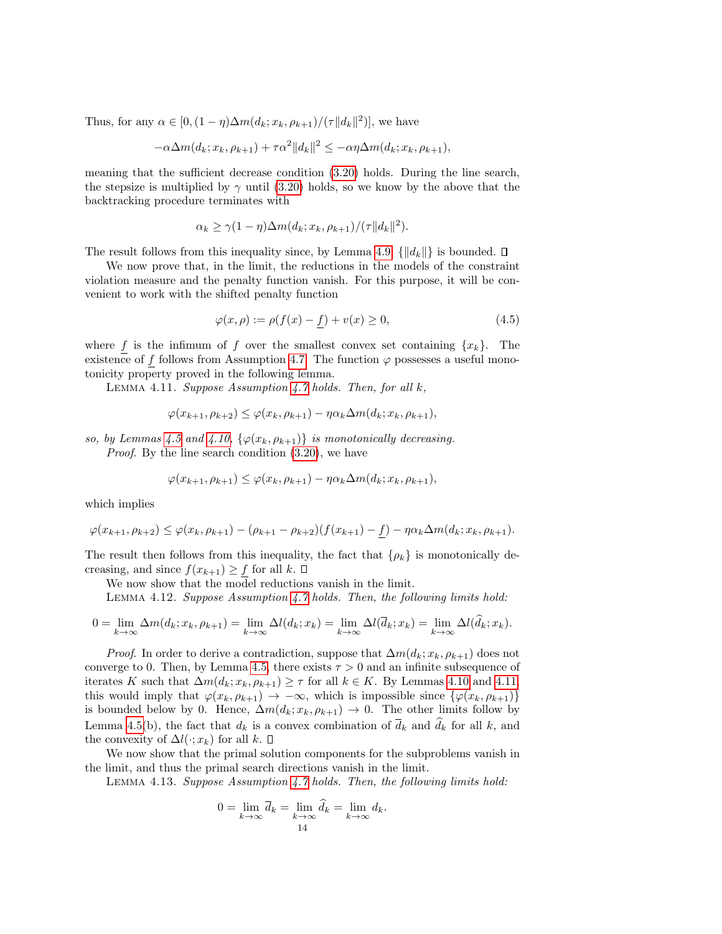Thus, for any  $\alpha \in [0, (1 - \eta) \Delta m(d_k; x_k, \rho_{k+1})/(\tau ||d_k||^2)]$ , we have

$$
-\alpha \Delta m(d_k; x_k, \rho_{k+1}) + \tau \alpha^2 \|d_k\|^2 \leq -\alpha \eta \Delta m(d_k; x_k, \rho_{k+1}),
$$

meaning that the sufficient decrease condition [\(3.20\)](#page-7-4) holds. During the line search, the stepsize is multiplied by  $\gamma$  until [\(3.20\)](#page-7-4) holds, so we know by the above that the backtracking procedure terminates with

$$
\alpha_k \ge \gamma (1 - \eta) \Delta m(d_k; x_k, \rho_{k+1}) / (\tau \| d_k \|^2).
$$

The result follows from this inequality since, by Lemma [4.9,](#page-12-0)  $\{||d_k||\}$  is bounded.  $\square$ 

We now prove that, in the limit, the reductions in the models of the constraint violation measure and the penalty function vanish. For this purpose, it will be convenient to work with the shifted penalty function

<span id="page-13-3"></span>
$$
\varphi(x,\rho) := \rho(f(x) - f) + v(x) \ge 0,\tag{4.5}
$$

where f is the infimum of f over the smallest convex set containing  $\{x_k\}$ . The existence of f follows from Assumption [4.7.](#page-11-2) The function  $\varphi$  possesses a useful monotonicity property proved in the following lemma.

<span id="page-13-0"></span>Lemma 4.11. Suppose Assumption [4.7](#page-11-2) holds. Then, for all k,

$$
\varphi(x_{k+1}, \rho_{k+2}) \leq \varphi(x_k, \rho_{k+1}) - \eta \alpha_k \Delta m(d_k; x_k, \rho_{k+1}),
$$

so, by Lemmas [4.5](#page-9-0) and [4.10,](#page-12-1)  $\{\varphi(x_k, \rho_{k+1})\}$  is monotonically decreasing.

Proof. By the line search condition  $(3.20)$ , we have

$$
\varphi(x_{k+1}, \rho_{k+1}) \leq \varphi(x_k, \rho_{k+1}) - \eta \alpha_k \Delta m(d_k; x_k, \rho_{k+1}),
$$

which implies

$$
\varphi(x_{k+1}, \rho_{k+2}) \leq \varphi(x_k, \rho_{k+1}) - (\rho_{k+1} - \rho_{k+2})(f(x_{k+1}) - \underline{f}) - \eta \alpha_k \Delta m(d_k; x_k, \rho_{k+1}).
$$

The result then follows from this inequality, the fact that  $\{\rho_k\}$  is monotonically decreasing, and since  $f(x_{k+1}) \geq f$  for all k.  $\Box$ 

We now show that the model reductions vanish in the limit.

<span id="page-13-1"></span>Lemma 4.12. Suppose Assumption [4.7](#page-11-2) holds. Then, the following limits hold:

$$
0 = \lim_{k \to \infty} \Delta m(d_k; x_k, \rho_{k+1}) = \lim_{k \to \infty} \Delta l(d_k; x_k) = \lim_{k \to \infty} \Delta l(\overline{d}_k; x_k) = \lim_{k \to \infty} \Delta l(\widehat{d}_k; x_k).
$$

*Proof.* In order to derive a contradiction, suppose that  $\Delta m(d_k; x_k, \rho_{k+1})$  does not converge to 0. Then, by Lemma [4.5,](#page-9-0) there exists  $\tau > 0$  and an infinite subsequence of iterates K such that  $\Delta m(d_k; x_k, \rho_{k+1}) \geq \tau$  for all  $k \in K$ . By Lemmas [4.10](#page-12-1) and [4.11,](#page-13-0) this would imply that  $\varphi(x_k, \rho_{k+1}) \to -\infty$ , which is impossible since  $\{\varphi(x_k, \rho_{k+1})\}$ is bounded below by 0. Hence,  $\Delta m(d_k; x_k, \rho_{k+1}) \to 0$ . The other limits follow by Lemma [4.5\(](#page-9-0)b), the fact that  $d_k$  is a convex combination of  $\overline{d}_k$  and  $\overline{d}_k$  for all k, and the convexity of  $\Delta l(\cdot; x_k)$  for all k.  $\Box$ 

We now show that the primal solution components for the subproblems vanish in the limit, and thus the primal search directions vanish in the limit.

<span id="page-13-2"></span>Lemma 4.13. Suppose Assumption [4.7](#page-11-2) holds. Then, the following limits hold:

$$
0 = \lim_{k \to \infty} \overline{d}_k = \lim_{k \to \infty} \widehat{d}_k = \lim_{k \to \infty} d_k.
$$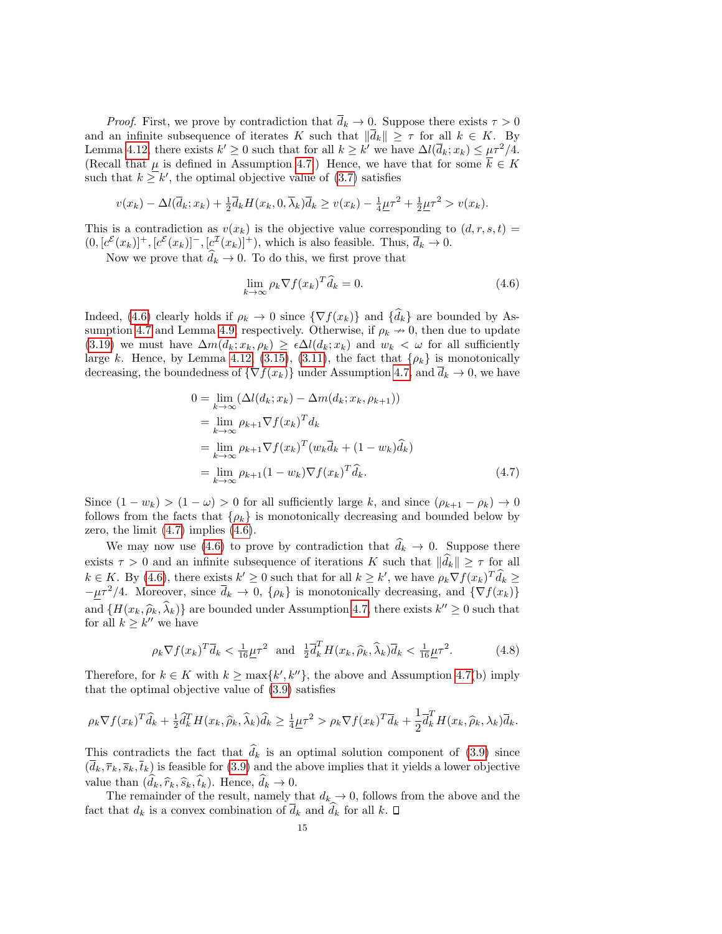*Proof.* First, we prove by contradiction that  $\overline{d}_k \to 0$ . Suppose there exists  $\tau > 0$ and an infinite subsequence of iterates K such that  $\|\bar{d}_k\| \geq \tau$  for all  $k \in K$ . By Lemma [4.12,](#page-13-1) there exists  $k' \geq 0$  such that for all  $k \geq k'$  we have  $\Delta l(\bar{d}_k; x_k) \leq \mu \tau^2/4$ . (Recall that  $\mu$  is defined in Assumption [4.7.](#page-11-2)) Hence, we have that for some  $\overline{k} \in K$ such that  $k \geq k'$ , the optimal objective value of [\(3.7\)](#page-4-1) satisfies

$$
v(x_k) - \Delta l(\overline{d}_k; x_k) + \frac{1}{2}\overline{d}_k H(x_k, 0, \overline{\lambda}_k)\overline{d}_k \ge v(x_k) - \frac{1}{4}\underline{\mu}\tau^2 + \frac{1}{2}\underline{\mu}\tau^2 > v(x_k).
$$

This is a contradiction as  $v(x_k)$  is the objective value corresponding to  $(d, r, s, t)$  $(0, [c^{\mathcal{E}}(x_k)]^+, [c^{\mathcal{E}}(x_k)]^-, [c^{\mathcal{I}}(x_k)]^+)$ , which is also feasible. Thus,  $\overline{d}_k \to 0$ .

Now we prove that  $\hat{d}_k \to 0$ . To do this, we first prove that

<span id="page-14-1"></span><span id="page-14-0"></span>
$$
\lim_{k \to \infty} \rho_k \nabla f(x_k)^T \hat{d}_k = 0.
$$
\n(4.6)

Indeed, [\(4.6\)](#page-14-0) clearly holds if  $\rho_k \to 0$  since  $\{\nabla f(x_k)\}\$  and  $\{\hat{d}_k\}$  are bounded by As-sumption [4.7](#page-11-2) and Lemma [4.9,](#page-12-0) respectively. Otherwise, if  $\rho_k \to 0$ , then due to update [\(3.19\)](#page-7-2) we must have  $\Delta m(d_k; x_k, \rho_k) \geq \epsilon \Delta l(d_k; x_k)$  and  $w_k < \omega$  for all sufficiently large k. Hence, by Lemma [4.12,](#page-13-1) [\(3.15\)](#page-6-3), [\(3.11\)](#page-5-2), the fact that  $\{\rho_k\}$  is monotonically decreasing, the boundedness of  $\{\nabla f(x_k)\}\$  under Assumption [4.7,](#page-11-2) and  $d_k \to 0$ , we have

$$
0 = \lim_{k \to \infty} (\Delta l(d_k; x_k) - \Delta m(d_k; x_k, \rho_{k+1}))
$$
  
\n
$$
= \lim_{k \to \infty} \rho_{k+1} \nabla f(x_k)^T d_k
$$
  
\n
$$
= \lim_{k \to \infty} \rho_{k+1} \nabla f(x_k)^T (w_k \overline{d}_k + (1 - w_k) \widehat{d}_k)
$$
  
\n
$$
= \lim_{k \to \infty} \rho_{k+1} (1 - w_k) \nabla f(x_k)^T \widehat{d}_k.
$$
 (4.7)

Since  $(1 - w_k) > (1 - \omega) > 0$  for all sufficiently large k, and since  $(\rho_{k+1} - \rho_k) \to 0$ follows from the facts that  $\{\rho_k\}$  is monotonically decreasing and bounded below by zero, the limit  $(4.7)$  implies  $(4.6)$ .

We may now use [\(4.6\)](#page-14-0) to prove by contradiction that  $\hat{d}_k \to 0$ . Suppose there exists  $\tau > 0$  and an infinite subsequence of iterations K such that  $\|\widehat{d}_k\| \geq \tau$  for all  $k \in K$ . By [\(4.6\)](#page-14-0), there exists  $k' \geq 0$  such that for all  $k \geq k'$ , we have  $\rho_k \nabla f(x_k)^T \hat{d}_k \geq$  $-\mu\tau^2/4$ . Moreover, since  $\bar{d}_k \to 0$ ,  $\{\rho_k\}$  is monotonically decreasing, and  $\{\nabla f(x_k)\}\$ and  $\{H(x_k, \hat{\rho}_k, \hat{\lambda}_k)\}\$  are bounded under Assumption [4.7,](#page-11-2) there exists  $k'' \geq 0$  such that for all  $k > k''$  we have for all  $k \geq k''$  we have

$$
\rho_k \nabla f(x_k)^T \overline{d}_k < \frac{1}{16} \underline{\mu} \tau^2 \quad \text{and} \quad \frac{1}{2} \overline{d}_k^T H(x_k, \widehat{\rho}_k, \widehat{\lambda}_k) \overline{d}_k < \frac{1}{16} \underline{\mu} \tau^2. \tag{4.8}
$$

Therefore, for  $k \in K$  with  $k \ge \max\{k', k''\}$ , the above and Assumption [4.7\(](#page-11-2)b) imply that the optimal objective value of [\(3.9\)](#page-5-0) satisfies

$$
\rho_k \nabla f(x_k)^T \widehat{d}_k + \frac{1}{2} \widehat{d}_k^T H(x_k, \widehat{\rho}_k, \widehat{\lambda}_k) \widehat{d}_k \ge \frac{1}{4} \underline{\mu} \tau^2 > \rho_k \nabla f(x_k)^T \overline{d}_k + \frac{1}{2} \overline{d}_k^T H(x_k, \widehat{\rho}_k, \lambda_k) \overline{d}_k.
$$

This contradicts the fact that  $\hat{d}_k$  is an optimal solution component of [\(3.9\)](#page-5-0) since  $(\bar{d}_k, \bar{r}_k, \bar{s}_k, \bar{t}_k)$  is feasible for [\(3.9\)](#page-5-0) and the above implies that it yields a lower objective value than  $(d_k, \hat{r}_k, \hat{s}_k, \hat{t}_k)$ . Hence,  $d_k \to 0$ .

The remainder of the result, namely that  $d_k \to 0$ , follows from the above and the fact that  $d_k$  is a convex combination of  $\overline{d}_k$  and  $\overline{d}_k$  for all  $k$ .  $\Box$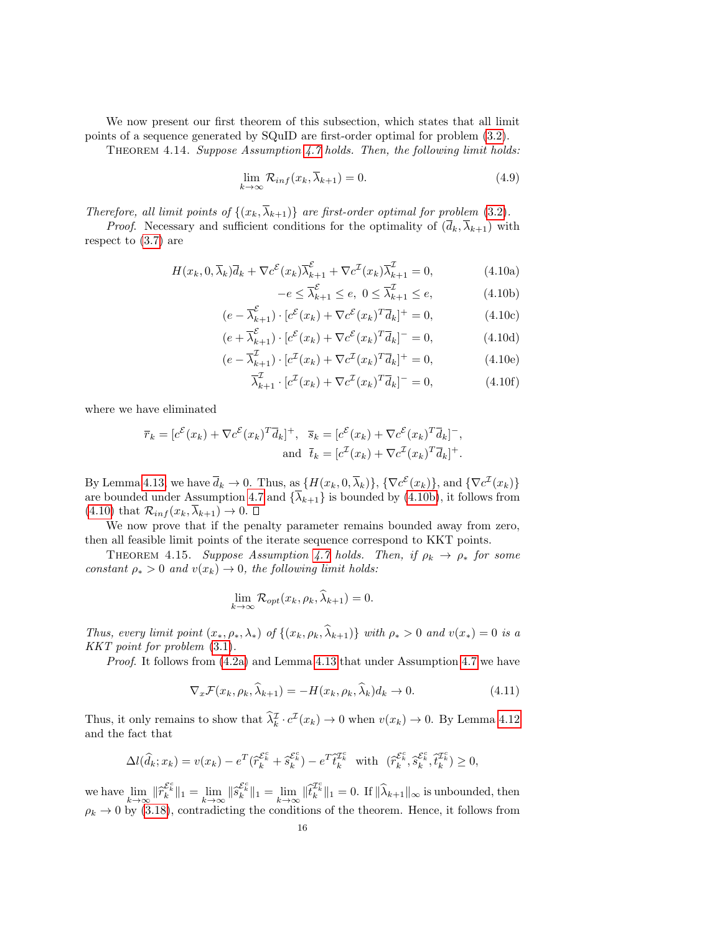We now present our first theorem of this subsection, which states that all limit points of a sequence generated by SQuID are first-order optimal for problem [\(3.2\)](#page-3-0).

<span id="page-15-6"></span>THEOREM 4.14. Suppose Assumption [4.7](#page-11-2) holds. Then, the following limit holds:

$$
\lim_{k \to \infty} \mathcal{R}_{inf}(x_k, \overline{\lambda}_{k+1}) = 0.
$$
\n(4.9)

Therefore, all limit points of  $\{(x_k, \overline{\lambda}_{k+1})\}$  are first-order optimal for problem [\(3.2\)](#page-3-0).

*Proof.* Necessary and sufficient conditions for the optimality of  $(\bar{d}_k, \bar{\lambda}_{k+1})$  with respect to [\(3.7\)](#page-4-1) are

<span id="page-15-1"></span>
$$
H(x_k, 0, \overline{\lambda}_k) \overline{d}_k + \nabla c^{\mathcal{E}}(x_k) \overline{\lambda}_{k+1}^{\mathcal{E}} + \nabla c^{\mathcal{I}}(x_k) \overline{\lambda}_{k+1}^{\mathcal{I}} = 0,
$$
\n(4.10a)

<span id="page-15-9"></span><span id="page-15-8"></span><span id="page-15-5"></span><span id="page-15-4"></span><span id="page-15-3"></span><span id="page-15-0"></span>
$$
-e \le \overline{\lambda}_{k+1}^{\mathcal{E}} \le e, \ 0 \le \overline{\lambda}_{k+1}^{\mathcal{I}} \le e,\tag{4.10b}
$$

$$
(e - \overline{\lambda}_{k+1}^{\mathcal{E}}) \cdot [c^{\mathcal{E}}(x_k) + \nabla c^{\mathcal{E}}(x_k)^T \overline{d}_k]^+ = 0, \tag{4.10c}
$$

$$
(e + \overline{\lambda}_{k+1}^{\varepsilon}) \cdot [c^{\varepsilon}(x_k) + \nabla c^{\varepsilon}(x_k)^T \overline{d}_k]^{-} = 0,
$$
\n(4.10d)

$$
(e - \overline{\lambda}_{k+1}^{\mathcal{I}}) \cdot [c^{\mathcal{I}}(x_k) + \nabla c^{\mathcal{I}}(x_k)^{T} \overline{d}_k]^{+} = 0, \qquad (4.10e)
$$

$$
\overline{\lambda}_{k+1}^{\mathcal{I}} \cdot [c^{\mathcal{I}}(x_k) + \nabla c^{\mathcal{I}}(x_k)^{T} \overline{d}_k]^{-} = 0, \qquad (4.10f)
$$

where we have eliminated

$$
\overline{r}_k = [c^{\mathcal{E}}(x_k) + \nabla c^{\mathcal{E}}(x_k)^T \overline{d}_k]^+, \quad \overline{s}_k = [c^{\mathcal{E}}(x_k) + \nabla c^{\mathcal{E}}(x_k)^T \overline{d}_k]^-,
$$
  
and 
$$
\overline{t}_k = [c^{\mathcal{I}}(x_k) + \nabla c^{\mathcal{I}}(x_k)^T \overline{d}_k]^+.
$$

By Lemma [4.13,](#page-13-2) we have  $\bar{d}_k \to 0$ . Thus, as  $\{H(x_k, 0, \bar{\lambda}_k)\}, \{\nabla c^{\mathcal{E}}(x_k)\},\$  and  $\{\nabla c^{\mathcal{I}}(x_k)\}$ are bounded under Assumption [4.7](#page-11-2) and  $\{\lambda_{k+1}\}\$ is bounded by [\(4.10b\)](#page-15-0), it follows from  $(4.10)$  that  $\mathcal{R}_{inf}(x_k, \overline{\lambda}_{k+1}) \to 0$ .  $\Box$ 

We now prove that if the penalty parameter remains bounded away from zero, then all feasible limit points of the iterate sequence correspond to KKT points.

<span id="page-15-7"></span>THEOREM 4.15. Suppose Assumption [4.7](#page-11-2) holds. Then, if  $\rho_k \to \rho_*$  for some constant  $\rho_* > 0$  and  $v(x_k) \to 0$ , the following limit holds:

$$
\lim_{k \to \infty} \mathcal{R}_{opt}(x_k, \rho_k, \widehat{\lambda}_{k+1}) = 0.
$$

Thus, every limit point  $(x_*, \rho_*, \lambda_*)$  of  $\{(x_k, \rho_k, \widehat{\lambda}_{k+1})\}$  with  $\rho_* > 0$  and  $v(x_*) = 0$  is a KKT point for problem [\(3.1\)](#page-2-1).

Proof. It follows from [\(4.2a\)](#page-9-5) and Lemma [4.13](#page-13-2) that under Assumption [4.7](#page-11-2) we have

<span id="page-15-2"></span>
$$
\nabla_x \mathcal{F}(x_k, \rho_k, \widehat{\lambda}_{k+1}) = -H(x_k, \rho_k, \widehat{\lambda}_k) d_k \to 0.
$$
 (4.11)

Thus, it only remains to show that  $\widehat{\lambda}_k^{\mathcal{I}} \cdot c^{\mathcal{I}}(x_k) \to 0$  when  $v(x_k) \to 0$ . By Lemma [4.12](#page-13-1) and the fact that

$$
\Delta l(\widehat{d}_k; x_k) = v(x_k) - e^T (\widehat{r}_k^{\mathcal{E}_k^c} + \widehat{s}_k^{\mathcal{E}_k^c}) - e^T \widehat{t}_k^{\mathcal{I}_k^c} \text{ with } (\widehat{r}_k^{\mathcal{E}_k^c}, \widehat{s}_k^{\mathcal{E}_k^c}, \widehat{t}_k^{\mathcal{I}_k^c}) \ge 0,
$$

we have  $\lim_{k \to \infty} \|\hat{r}_{k}^{\mathcal{E}_{k}^{c}}\|_{1} = \lim_{k \to \infty} \|\hat{s}_{k}^{\mathcal{E}_{k}^{c}}\|_{1} = \lim_{k \to \infty} \|\hat{t}_{k}^{\mathcal{I}_{k}^{c}}\|_{1} = 0$ . If  $\|\hat{\lambda}_{k+1}\|_{\infty}$  is unbounded, then  $\rho_k \to 0$  by [\(3.18\)](#page-7-3), contradicting the conditions of the theorem. Hence, it follows from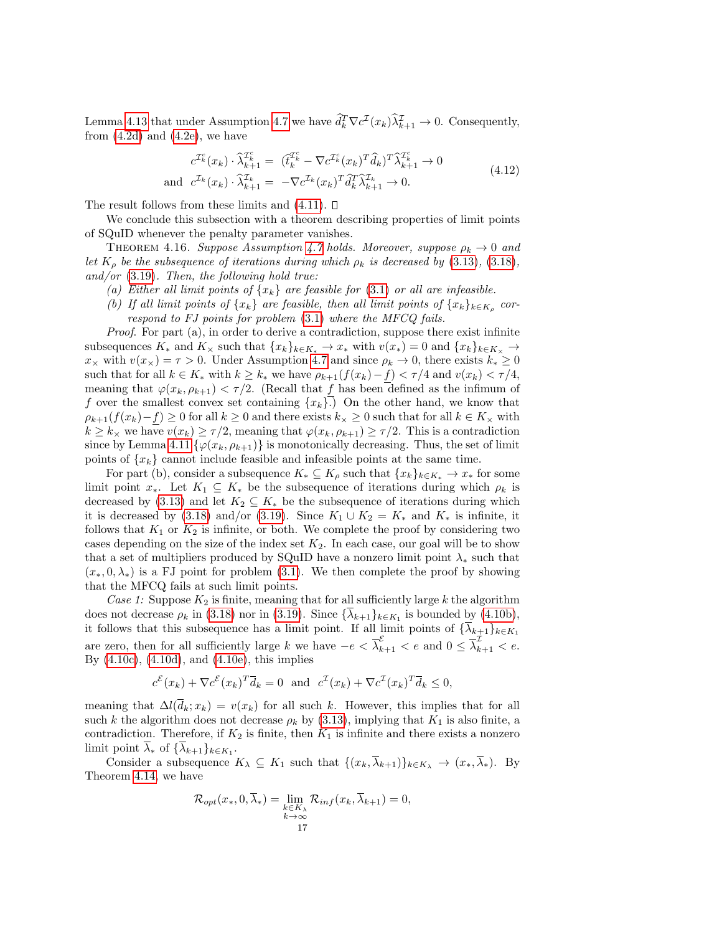Lemma [4.13](#page-13-2) that under Assumption [4.7](#page-11-2) we have  $\frac{\partial F}{\partial k} \nabla c^{\mathcal{I}}(x_k) \widehat{\lambda}_{k+1}^{\mathcal{I}} \to 0$ . Consequently, from  $(4.2d)$  and  $(4.2e)$ , we have

<span id="page-16-0"></span>
$$
c^{\mathcal{I}_k^c}(x_k) \cdot \hat{\lambda}_{k+1}^{\mathcal{I}_k^c} = (\hat{t}_k^{\mathcal{I}_k^c} - \nabla c^{\mathcal{I}_k^c}(x_k)^T \hat{d}_k)^T \hat{\lambda}_{k+1}^{\mathcal{I}_k^c} \to 0
$$
  
and 
$$
c^{\mathcal{I}_k}(x_k) \cdot \hat{\lambda}_{k+1}^{\mathcal{I}_k} = -\nabla c^{\mathcal{I}_k}(x_k)^T \hat{d}_k^T \hat{\lambda}_{k+1}^{\mathcal{I}_k} \to 0.
$$
 (4.12)

The result follows from these limits and  $(4.11)$ .  $\Box$ 

We conclude this subsection with a theorem describing properties of limit points of SQuID whenever the penalty parameter vanishes.

<span id="page-16-1"></span>THEOREM 4.16. Suppose Assumption [4.7](#page-11-2) holds. Moreover, suppose  $\rho_k \to 0$  and let  $K_{\rho}$  be the subsequence of iterations during which  $\rho_k$  is decreased by [\(3.13\)](#page-6-2), [\(3.18\)](#page-7-3), and/or  $(3.19)$ . Then, the following hold true:

- (a) Either all limit points of  $\{x_k\}$  are feasible for [\(3.1\)](#page-2-1) or all are infeasible.
- (b) If all limit points of  $\{x_k\}$  are feasible, then all limit points of  $\{x_k\}_{k\in K_\rho}$  correspond to FJ points for problem [\(3.1\)](#page-2-1) where the MFCQ fails.

Proof. For part (a), in order to derive a contradiction, suppose there exist infinite subsequences  $K_*$  and  $K_\times$  such that  $\{x_k\}_{k\in K_*} \to x_*$  with  $v(x_*)=0$  and  $\{x_k\}_{k\in K_\times} \to$  $x_{\times}$  with  $v(x_{\times}) = \tau > 0$ . Under Assumption [4.7](#page-11-2) and since  $\rho_k \to 0$ , there exists  $k_* \geq 0$ such that for all  $k \in K_*$  with  $k \geq k_*$  we have  $\rho_{k+1}(f(x_k)-f) < \tau/4$  and  $v(x_k) < \tau/4$ , meaning that  $\varphi(x_k, \rho_{k+1}) < \tau/2$ . (Recall that f has been defined as the infimum of f over the smallest convex set containing  ${x_k}$ . On the other hand, we know that  $\rho_{k+1}(f(x_k)-f) \geq 0$  for all  $k \geq 0$  and there exists  $k_{\times} \geq 0$  such that for all  $k \in K_{\times}$  with  $k \geq k_{\times}$  we have  $v(x_k) \geq \tau/2$ , meaning that  $\varphi(x_k, \rho_{k+1}) \geq \tau/2$ . This is a contradiction since by Lemma [4.11](#page-13-0)  $\{\varphi(x_k, \rho_{k+1})\}$  is monotonically decreasing. Thus, the set of limit points of  $\{x_k\}$  cannot include feasible and infeasible points at the same time.

For part (b), consider a subsequence  $K_* \subseteq K_\rho$  such that  $\{x_k\}_{k \in K_*} \to x_*$  for some limit point  $x_*$ . Let  $K_1 \subseteq K_*$  be the subsequence of iterations during which  $\rho_k$  is decreased by [\(3.13\)](#page-6-2) and let  $K_2 \subseteq K_*$  be the subsequence of iterations during which it is decreased by [\(3.18\)](#page-7-3) and/or [\(3.19\)](#page-7-2). Since  $K_1 \cup K_2 = K_*$  and  $K_*$  is infinite, it follows that  $K_1$  or  $K_2$  is infinite, or both. We complete the proof by considering two cases depending on the size of the index set  $K_2$ . In each case, our goal will be to show that a set of multipliers produced by SQuID have a nonzero limit point  $\lambda_*$  such that  $(x_*, 0, \lambda_*)$  is a FJ point for problem [\(3.1\)](#page-2-1). We then complete the proof by showing that the MFCQ fails at such limit points.

Case 1: Suppose  $K_2$  is finite, meaning that for all sufficiently large k the algorithm does not decrease  $\rho_k$  in [\(3.18\)](#page-7-3) nor in [\(3.19\)](#page-7-2). Since  $\{\lambda_{k+1}\}_{k\in K_1}$  is bounded by [\(4.10b\)](#page-15-0), it follows that this subsequence has a limit point. If all limit points of  $\{\bar{\lambda}_{k+1}\}_{k\in K_1}$ are zero, then for all sufficiently large k we have  $-e < \overline{\lambda}_{k+1}^{\mathcal{E}} < e$  and  $0 \le \overline{\lambda}_{k+1}^{\mathcal{I}} < e$ . By [\(4.10c\)](#page-15-3), [\(4.10d\)](#page-15-4), and [\(4.10e\)](#page-15-5), this implies

$$
c^{\mathcal{E}}(x_k) + \nabla c^{\mathcal{E}}(x_k)^T \overline{d}_k = 0
$$
 and  $c^{\mathcal{I}}(x_k) + \nabla c^{\mathcal{I}}(x_k)^T \overline{d}_k \leq 0$ ,

meaning that  $\Delta l(\overline{d}_k; x_k) = v(x_k)$  for all such k. However, this implies that for all such k the algorithm does not decrease  $\rho_k$  by [\(3.13\)](#page-6-2), implying that  $K_1$  is also finite, a contradiction. Therefore, if  $K_2$  is finite, then  $K_1$  is infinite and there exists a nonzero limit point  $\overline{\lambda}_*$  of  $\{\overline{\lambda}_{k+1}\}_{k \in K_1}$ .

Consider a subsequence  $K_{\lambda} \subseteq K_1$  such that  $\{(x_k, \overline{\lambda}_{k+1})\}_{k \in K_{\lambda}} \to (x_*, \overline{\lambda}_*)$ . By Theorem [4.14,](#page-15-6) we have

$$
\mathcal{R}_{opt}(x_*, 0, \overline{\lambda}_*) = \lim_{\substack{k \in K_{\lambda} \\ k \to \infty}} \mathcal{R}_{inf}(x_k, \overline{\lambda}_{k+1}) = 0,
$$
  
17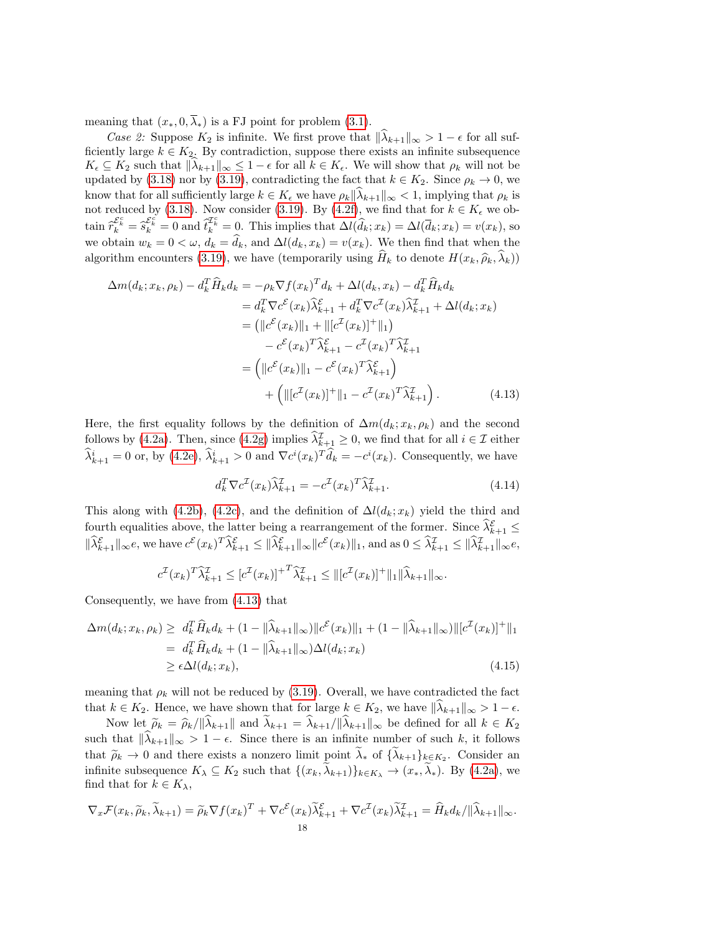meaning that  $(x_*,0,\overline{\lambda}_*)$  is a FJ point for problem [\(3.1\)](#page-2-1).

Case 2: Suppose  $K_2$  is infinite. We first prove that  $\|\widehat{\lambda}_{k+1}\|_{\infty} > 1 - \epsilon$  for all sufficiently large  $k \in K_2$ . By contradiction, suppose there exists an infinite subsequence  $K_{\epsilon} \subseteq K_2$  such that  $\|\lambda_{k+1}\|_{\infty} \leq 1 - \epsilon$  for all  $k \in K_{\epsilon}$ . We will show that  $\rho_k$  will not be updated by [\(3.18\)](#page-7-3) nor by [\(3.19\)](#page-7-2), contradicting the fact that  $k \in K_2$ . Since  $\rho_k \to 0$ , we know that for all sufficiently large  $k \in K_{\epsilon}$  we have  $\rho_k \|\hat{\lambda}_{k+1}\|_{\infty} < 1$ , implying that  $\rho_k$  is not reduced by [\(3.18\)](#page-7-3). Now consider [\(3.19\)](#page-7-2). By [\(4.2f\)](#page-9-8), we find that for  $k \in K_{\epsilon}$  we obtain  $\hat{r}_k^{\mathcal{E}_k^c} = \hat{s}_k^{\mathcal{E}_k^c} = 0$  and  $\hat{t}_k^{\mathcal{I}_k^c} = 0$ . This implies that  $\Delta l(\hat{d}_k; x_k) = \Delta l(\bar{d}_k; x_k) = v(x_k)$ , so we obtain  $w_k = 0 < \omega$ ,  $d_k = d_k$ , and  $\Delta l(d_k, x_k) = v(x_k)$ . We then find that when the algorithm encounters [\(3.19\)](#page-7-2), we have (temporarily using  $\hat{H}_k$  to denote  $H(x_k, \hat{\rho}_k, \hat{\lambda}_k)$ )

$$
\Delta m(d_k; x_k, \rho_k) - d_k^T \widehat{H}_k d_k = -\rho_k \nabla f(x_k)^T d_k + \Delta l(d_k, x_k) - d_k^T \widehat{H}_k d_k \n= d_k^T \nabla c^{\mathcal{E}}(x_k) \widehat{\lambda}_{k+1}^{\mathcal{E}} + d_k^T \nabla c^{\mathcal{I}}(x_k) \widehat{\lambda}_{k+1}^{\mathcal{I}} + \Delta l(d_k; x_k) \n= (||c^{\mathcal{E}}(x_k)||_1 + ||[c^{\mathcal{I}}(x_k)]^+||_1) \n- c^{\mathcal{E}}(x_k)^T \widehat{\lambda}_{k+1}^{\mathcal{E}} - c^{\mathcal{I}}(x_k)^T \widehat{\lambda}_{k+1}^{\mathcal{I}} \n= (||c^{\mathcal{E}}(x_k)||_1 - c^{\mathcal{E}}(x_k)^T \widehat{\lambda}_{k+1}^{\mathcal{E}}) \n+ (||[c^{\mathcal{I}}(x_k)]^+||_1 - c^{\mathcal{I}}(x_k)^T \widehat{\lambda}_{k+1}^{\mathcal{I}}).
$$
\n(4.13)

Here, the first equality follows by the definition of  $\Delta m(d_k; x_k, \rho_k)$  and the second follows by [\(4.2a\)](#page-9-5). Then, since [\(4.2g\)](#page-9-9) implies  $\widehat{\lambda}_{k+1}^{\mathcal{I}} \geq 0$ , we find that for all  $i \in \mathcal{I}$  either  $\hat{\lambda}_{k+1}^i = 0$  or, by [\(4.2e\)](#page-9-7),  $\hat{\lambda}_{k+1}^i > 0$  and  $\nabla c^i(x_k)^T \hat{d}_k = -c^i(x_k)$ . Consequently, we have

<span id="page-17-0"></span>
$$
d_k^T \nabla c^{\mathcal{I}}(x_k) \widehat{\lambda}_{k+1}^{\mathcal{I}} = -c^{\mathcal{I}}(x_k)^T \widehat{\lambda}_{k+1}^{\mathcal{I}}.
$$
\n(4.14)

This along with [\(4.2b\)](#page-9-10), [\(4.2c\)](#page-9-11), and the definition of  $\Delta l(d_k; x_k)$  yield the third and fourth equalities above, the latter being a rearrangement of the former. Since  $\hat{\lambda}_{k+1}^{\mathcal{E}} \leq$  $\|\widehat{\lambda}_{k+1}^{\mathcal{E}}\|_{\infty} e$ , we have  $c^{\mathcal{E}}(x_k)^T \widehat{\lambda}_{k+1}^{\mathcal{E}} \leq \|\widehat{\lambda}_{k+1}^{\mathcal{E}}\|_{\infty} \|c^{\mathcal{E}}(x_k)\|_1$ , and as  $0 \leq \widehat{\lambda}_{k+1}^{\mathcal{I}} \leq \|\widehat{\lambda}_{k+1}^{\mathcal{I}}\|_{\infty} e$ ,

$$
c^{\mathcal{I}}(x_k)^T \widehat{\lambda}_{k+1}^{\mathcal{I}} \leq [c^{\mathcal{I}}(x_k)]^{T} \widehat{\lambda}_{k+1}^{\mathcal{I}} \leq ||[c^{\mathcal{I}}(x_k)]^{+}||_1 ||\widehat{\lambda}_{k+1}||_{\infty}.
$$

Consequently, we have from [\(4.13\)](#page-17-0) that

$$
\Delta m(d_k; x_k, \rho_k) \geq d_k^T \hat{H}_k d_k + (1 - \|\hat{\lambda}_{k+1}\|_{\infty}) \|c^{\mathcal{E}}(x_k)\|_1 + (1 - \|\hat{\lambda}_{k+1}\|_{\infty}) \|[c^{\mathcal{I}}(x_k)]^+\|_1
$$
  
=  $d_k^T \hat{H}_k d_k + (1 - \|\hat{\lambda}_{k+1}\|_{\infty}) \Delta l(d_k; x_k)$   
 $\geq \epsilon \Delta l(d_k; x_k),$  (4.15)

meaning that  $\rho_k$  will not be reduced by [\(3.19\)](#page-7-2). Overall, we have contradicted the fact that  $k \in K_2$ . Hence, we have shown that for large  $k \in K_2$ , we have  $\|\widehat{\lambda}_{k+1}\|_{\infty} > 1 - \epsilon$ .

Now let  $\widetilde{\rho}_k = \widehat{\rho}_k / \|\widehat{\lambda}_{k+1}\|$  and  $\lambda_{k+1} = \widehat{\lambda}_{k+1} / \|\widehat{\lambda}_{k+1}\|_{\infty}$  be defined for all  $k \in K_2$ such that  $\|\widehat{\lambda}_{k+1}\|_{\infty} > 1 - \epsilon$ . Since there is an infinite number of such k, it follows that  $\widetilde{\rho}_k \to 0$  and there exists a nonzero limit point  $\lambda_*$  of  $\{\lambda_{k+1}\}_{k\in K_2}$ . Consider an infinite subsequence  $K_{\lambda} \subseteq K_2$  such that  $\{(x_k, \lambda_{k+1})\}_{k \in K_{\lambda}} \to (x_*, \lambda_*)$ . By [\(4.2a\)](#page-9-5), we find that for  $k \in K_{\lambda}$ ,

$$
\nabla_x \mathcal{F}(x_k, \widetilde{\rho}_k, \widetilde{\lambda}_{k+1}) = \widetilde{\rho}_k \nabla f(x_k)^T + \nabla c^{\mathcal{E}}(x_k) \widetilde{\lambda}_{k+1}^{\mathcal{E}} + \nabla c^{\mathcal{I}}(x_k) \widetilde{\lambda}_{k+1}^{\mathcal{I}} = \widehat{H}_k d_k / \|\widehat{\lambda}_{k+1}\|_{\infty}.
$$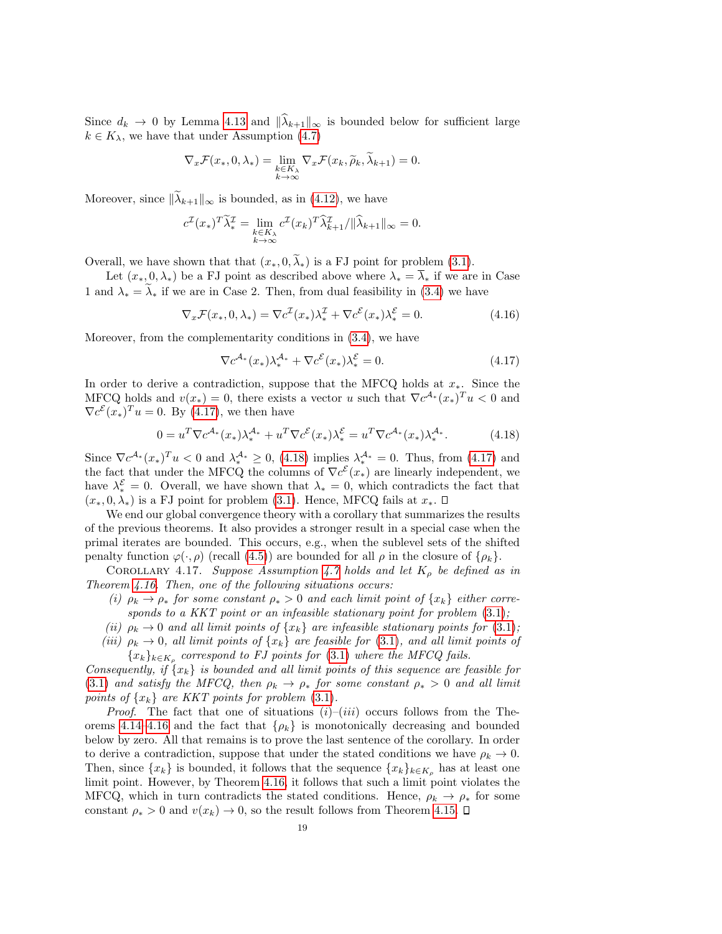Since  $d_k \to 0$  by Lemma [4.13](#page-13-2) and  $\|\hat{\lambda}_{k+1}\|_{\infty}$  is bounded below for sufficient large  $k \in K_{\lambda}$ , we have that under Assumption [\(4.7\)](#page-11-2)

$$
\nabla_x \mathcal{F}(x_*, 0, \lambda_*) = \lim_{\substack{k \in K_\lambda \\ k \to \infty}} \nabla_x \mathcal{F}(x_k, \widetilde{\rho}_k, \widetilde{\lambda}_{k+1}) = 0.
$$

Moreover, since  $\|\widetilde{\lambda}_{k+1}\|_{\infty}$  is bounded, as in [\(4.12\)](#page-16-0), we have

$$
c^{\mathcal{I}}(x_*)^T \widetilde{\lambda}_*^{\mathcal{I}} = \lim_{\substack{k \in K_{\lambda} \\ k \to \infty}} c^{\mathcal{I}}(x_k)^T \widetilde{\lambda}_{k+1}^{\mathcal{I}} / \|\widehat{\lambda}_{k+1}\|_{\infty} = 0.
$$

Overall, we have shown that that  $(x_*,0,\tilde{\lambda}_*)$  is a FJ point for problem [\(3.1\)](#page-2-1).

Let  $(x_*, 0, \lambda_*)$  be a FJ point as described above where  $\lambda_* = \lambda_*$  if we are in Case 1 and  $\lambda_* = \tilde{\lambda}_*$  if we are in Case 2. Then, from dual feasibility in [\(3.4\)](#page-3-1) we have

$$
\nabla_x \mathcal{F}(x_*, 0, \lambda_*) = \nabla c^{\mathcal{I}}(x_*) \lambda_*^{\mathcal{I}} + \nabla c^{\mathcal{E}}(x_*) \lambda_*^{\mathcal{E}} = 0.
$$
\n(4.16)

Moreover, from the complementarity conditions in [\(3.4\)](#page-3-1), we have

<span id="page-18-0"></span>
$$
\nabla c^{\mathcal{A}_*}(x_*) \lambda^{ \mathcal{A}_*}_{*} + \nabla c^{\mathcal{E}}(x_*) \lambda^{ \mathcal{E}}_{*} = 0. \tag{4.17}
$$

In order to derive a contradiction, suppose that the MFCQ holds at  $x_*$ . Since the MFCQ holds and  $v(x_*) = 0$ , there exists a vector u such that  $\nabla c^{\mathcal{A}_*}(x_*)^T u < 0$  and  $\nabla c^{\mathcal{E}}(x_*)^T u = 0$ . By [\(4.17\)](#page-18-0), we then have

<span id="page-18-1"></span>
$$
0 = u^T \nabla c^{\mathcal{A}_*}(x_*) \lambda_*^{\mathcal{A}_*} + u^T \nabla c^{\mathcal{E}}(x_*) \lambda_*^{\mathcal{E}} = u^T \nabla c^{\mathcal{A}_*}(x_*) \lambda_*^{\mathcal{A}_*}.
$$
 (4.18)

Since  $\nabla c^{\mathcal{A}_*}(x_*)^T u < 0$  and  $\lambda^{ \mathcal{A}_*}_{*} \geq 0$ , [\(4.18\)](#page-18-1) implies  $\lambda^{ \mathcal{A}_*}_{*} = 0$ . Thus, from [\(4.17\)](#page-18-0) and the fact that under the MFCQ the columns of  $\nabla c^{\mathcal{E}}(x_*)$  are linearly independent, we have  $\lambda_*^{\mathcal{E}} = 0$ . Overall, we have shown that  $\lambda_* = 0$ , which contradicts the fact that  $(x_*, 0, \lambda_*)$  is a FJ point for problem [\(3.1\)](#page-2-1). Hence, MFCQ fails at  $x_*$ .  $\Box$ 

We end our global convergence theory with a corollary that summarizes the results of the previous theorems. It also provides a stronger result in a special case when the primal iterates are bounded. This occurs, e.g., when the sublevel sets of the shifted penalty function  $\varphi(\cdot, \rho)$  (recall [\(4.5\)](#page-13-3)) are bounded for all  $\rho$  in the closure of  $\{\rho_k\}$ .

COROLLARY 4.17. Suppose Assumption [4.7](#page-11-2) holds and let  $K_{\rho}$  be defined as in Theorem [4.16.](#page-16-1) Then, one of the following situations occurs:

- (i)  $\rho_k \to \rho_*$  for some constant  $\rho_* > 0$  and each limit point of  $\{x_k\}$  either corresponds to a KKT point or an infeasible stationary point for problem  $(3.1)$ ;
- (ii)  $\rho_k \to 0$  and all limit points of  $\{x_k\}$  are infeasible stationary points for [\(3.1\)](#page-2-1);
- (iii)  $\rho_k \to 0$ , all limit points of  $\{x_k\}$  are feasible for [\(3.1\)](#page-2-1), and all limit points of  ${x_k}_{k \in K_\rho}$  correspond to FJ points for [\(3.1\)](#page-2-1) where the MFCQ fails.

Consequently, if  $\{x_k\}$  is bounded and all limit points of this sequence are feasible for [\(3.1\)](#page-2-1) and satisfy the MFCQ, then  $\rho_k \to \rho_*$  for some constant  $\rho_* > 0$  and all limit points of  $\{x_k\}$  are KKT points for problem [\(3.1\)](#page-2-1).

*Proof.* The fact that one of situations  $(i)-(iii)$  occurs follows from the The-orems [4.14–](#page-15-6)[4.16](#page-16-1) and the fact that  $\{\rho_k\}$  is monotonically decreasing and bounded below by zero. All that remains is to prove the last sentence of the corollary. In order to derive a contradiction, suppose that under the stated conditions we have  $\rho_k \to 0$ . Then, since  $\{x_k\}$  is bounded, it follows that the sequence  $\{x_k\}_{k\in K_\rho}$  has at least one limit point. However, by Theorem [4.16,](#page-16-1) it follows that such a limit point violates the MFCQ, which in turn contradicts the stated conditions. Hence,  $\rho_k \to \rho_*$  for some constant  $\rho_* > 0$  and  $v(x_k) \to 0$ , so the result follows from Theorem [4.15.](#page-15-7)  $\Box$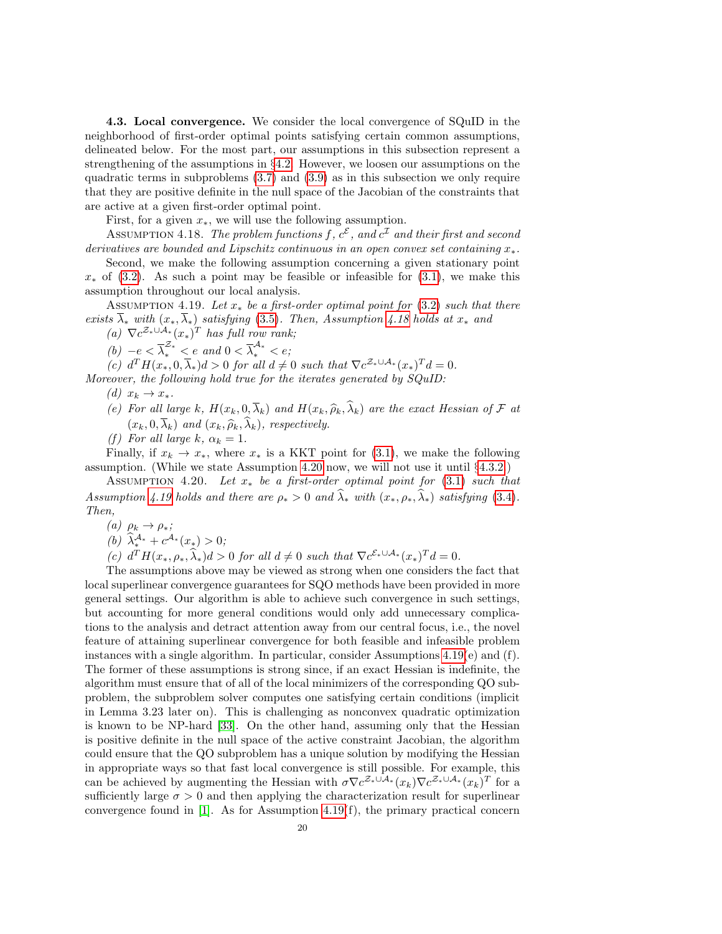<span id="page-19-0"></span>4.3. Local convergence. We consider the local convergence of SQuID in the neighborhood of first-order optimal points satisfying certain common assumptions, delineated below. For the most part, our assumptions in this subsection represent a strengthening of the assumptions in §[4.2.](#page-11-0) However, we loosen our assumptions on the quadratic terms in subproblems  $(3.7)$  and  $(3.9)$  as in this subsection we only require that they are positive definite in the null space of the Jacobian of the constraints that are active at a given first-order optimal point.

First, for a given  $x_*,$  we will use the following assumption.

<span id="page-19-1"></span>ASSUMPTION 4.18. The problem functions f,  $c^{\mathcal{E}}$ , and  $c^{\mathcal{I}}$  and their first and second derivatives are bounded and Lipschitz continuous in an open convex set containing  $x_*$ .

Second, we make the following assumption concerning a given stationary point  $x_*$  of [\(3.2\)](#page-3-0). As such a point may be feasible or infeasible for [\(3.1\)](#page-2-1), we make this assumption throughout our local analysis.

<span id="page-19-3"></span>ASSUMPTION 4.19. Let  $x_*$  be a first-order optimal point for [\(3.2\)](#page-3-0) such that there exists  $\overline{\lambda}_*$  with  $(x_*, \overline{\lambda}_*)$  satisfying [\(3.5\)](#page-4-0). Then, Assumption [4.18](#page-19-1) holds at  $x_*$  and

(a)  $\nabla c^{z_* \cup A_*}(x_*)^T$  has full row rank;

(b) 
$$
-e < \overline{\lambda}^{\mathcal{Z}*}_{*} < e
$$
 and  $0 < \overline{\lambda}^{\mathcal{A}*}_{*} < e$ ;

(c)  $d^T H(x_*, 0, \overline{\lambda}_*) d > 0$  for all  $d \neq 0$  such that  $\nabla c^{Z_* \cup A_*}(x_*)^T d = 0$ .

Moreover, the following hold true for the iterates generated by SQuID:

(d)  $x_k \rightarrow x_*$ .

- (e) For all large k,  $H(x_k, 0, \overline{\lambda}_k)$  and  $H(x_k, \widehat{\rho}_k, \widehat{\lambda}_k)$  are the exact Hessian of F at  $(x_k, 0, \overline{\lambda}_k)$  and  $(x_k, \widehat{\rho}_k, \widehat{\lambda}_k)$ , respectively.
- (f) For all large k,  $\alpha_k = 1$ .

Finally, if  $x_k \to x_*$ , where  $x_*$  is a KKT point for [\(3.1\)](#page-2-1), we make the following assumption. (While we state Assumption [4.20](#page-19-2) now, we will not use it until §[4.3.2.](#page-25-0))

<span id="page-19-2"></span>ASSUMPTION 4.20. Let  $x_*$  be a first-order optimal point for [\(3.1\)](#page-2-1) such that Assumption [4.19](#page-19-3) holds and there are  $\rho_* > 0$  and  $\hat{\lambda}_*$  with  $(x_*, \rho_*, \hat{\lambda}_*)$  satisfying [\(3.4\)](#page-3-1). Then,

- (a)  $\rho_k \rightarrow \rho_*;$
- (b)  $\lambda_*^{A_*} + c^{A_*}(x_*) > 0;$

(c)  $d^T H(x_*, \rho_*, \widehat{\lambda}_*)d > 0$  for all  $d \neq 0$  such that  $\nabla c^{\mathcal{E}_* \cup \mathcal{A}_*}(x_*)^T d = 0$ .

The assumptions above may be viewed as strong when one considers the fact that local superlinear convergence guarantees for SQO methods have been provided in more general settings. Our algorithm is able to achieve such convergence in such settings, but accounting for more general conditions would only add unnecessary complications to the analysis and detract attention away from our central focus, i.e., the novel feature of attaining superlinear convergence for both feasible and infeasible problem instances with a single algorithm. In particular, consider Assumptions  $4.19(e)$  and  $(f)$ . The former of these assumptions is strong since, if an exact Hessian is indefinite, the algorithm must ensure that of all of the local minimizers of the corresponding QO subproblem, the subproblem solver computes one satisfying certain conditions (implicit in Lemma 3.23 later on). This is challenging as nonconvex quadratic optimization is known to be NP-hard [\[33\]](#page-32-19). On the other hand, assuming only that the Hessian is positive definite in the null space of the active constraint Jacobian, the algorithm could ensure that the QO subproblem has a unique solution by modifying the Hessian in appropriate ways so that fast local convergence is still possible. For example, this can be achieved by augmenting the Hessian with  $\sigma \nabla c^{z_* \cup A_*}(x_k) \nabla c^{z_* \cup A_*}(x_k)^T$  for a sufficiently large  $\sigma > 0$  and then applying the characterization result for superlinear convergence found in  $[1]$ . As for Assumption 4.19 $(f)$ , the primary practical concern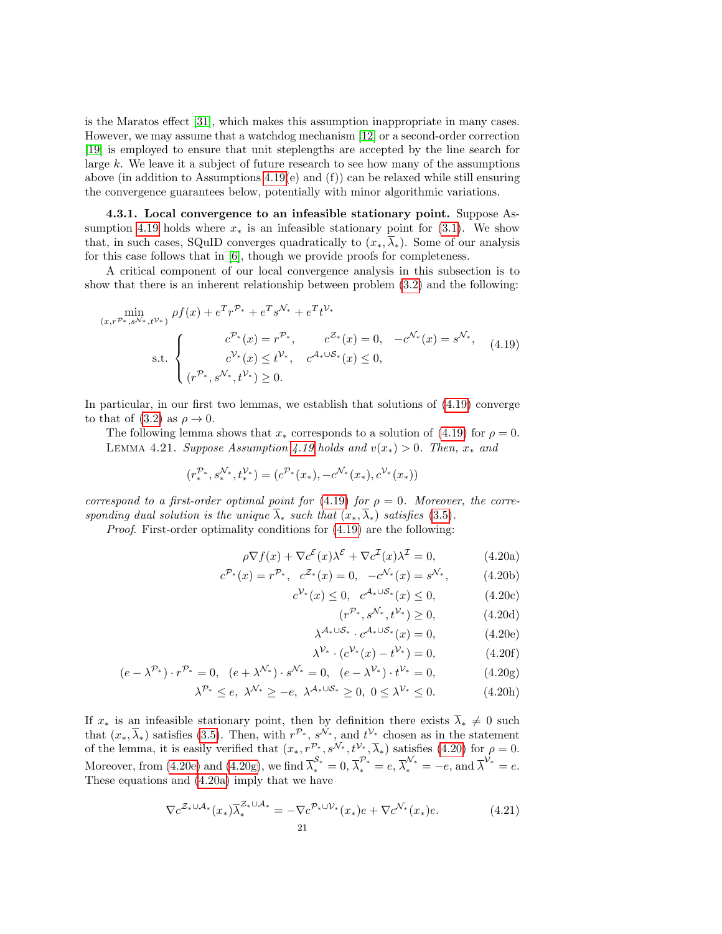is the Maratos effect [\[31\]](#page-32-20), which makes this assumption inappropriate in many cases. However, we may assume that a watchdog mechanism [\[12\]](#page-32-21) or a second-order correction [\[19\]](#page-32-6) is employed to ensure that unit steplengths are accepted by the line search for large k. We leave it a subject of future research to see how many of the assumptions above (in addition to Assumptions  $4.19(e)$  and  $(f)$ ) can be relaxed while still ensuring the convergence guarantees below, potentially with minor algorithmic variations.

4.3.1. Local convergence to an infeasible stationary point. Suppose As-sumption [4.19](#page-19-3) holds where  $x_*$  is an infeasible stationary point for [\(3.1\)](#page-2-1). We show that, in such cases, SQuID converges quadratically to  $(x_*,\overline{\lambda}_*)$ . Some of our analysis for this case follows that in [\[6\]](#page-31-3), though we provide proofs for completeness.

A critical component of our local convergence analysis in this subsection is to show that there is an inherent relationship between problem [\(3.2\)](#page-3-0) and the following:

<span id="page-20-0"></span>
$$
\min_{(x,r^{p_*}, s^{N_*}, t^{V_*})} \rho f(x) + e^T r^{p_*} + e^T s^{N_*} + e^T t^{V_*}
$$
\n
$$
\text{s.t.} \begin{cases}\n c^{p_*}(x) = r^{p_*}, & c^{z_*}(x) = 0, -c^{N_*}(x) = s^{N_*}, \\
 c^{V_*}(x) \le t^{V_*}, & c^{A_* \cup S_*}(x) \le 0, \\
 (r^{p_*}, s^{N_*}, t^{V_*}) \ge 0.\n\end{cases} (4.19)
$$

In particular, in our first two lemmas, we establish that solutions of [\(4.19\)](#page-20-0) converge to that of [\(3.2\)](#page-3-0) as  $\rho \rightarrow 0$ .

The following lemma shows that  $x_*$  corresponds to a solution of [\(4.19\)](#page-20-0) for  $\rho = 0$ . LEMMA 4.21. Suppose Assumption [4.19](#page-19-3) holds and  $v(x_*) > 0$ . Then,  $x_*$  and

$$
(r_*^{\mathcal{P}_*}, s_*^{\mathcal{N}_*}, t_*^{\mathcal{V}_*}) = (c^{\mathcal{P}_*}(x_*), -c^{\mathcal{N}_*}(x_*), c^{\mathcal{V}_*}(x_*))
$$

correspond to a first-order optimal point for [\(4.19\)](#page-20-0) for  $\rho = 0$ . Moreover, the corresponding dual solution is the unique  $\overline{\lambda}_*$  such that  $(x_*, \overline{\lambda}_*)$  satisfies [\(3.5\)](#page-4-0).

Proof. First-order optimality conditions for [\(4.19\)](#page-20-0) are the following:

$$
\rho \nabla f(x) + \nabla c^{\mathcal{E}}(x) \lambda^{\mathcal{E}} + \nabla c^{\mathcal{I}}(x) \lambda^{\mathcal{I}} = 0,
$$
\n(4.20a)

$$
c^{\mathcal{P}^*}(x) = r^{\mathcal{P}^*}, \quad c^{\mathcal{Z}^*}(x) = 0, \quad -c^{\mathcal{N}^*}(x) = s^{\mathcal{N}^*},
$$
 (4.20b)

$$
c^{\mathcal{V}_*}(x) \le 0, \quad c^{\mathcal{A}_* \cup \mathcal{S}_*}(x) \le 0,
$$
 (4.20c)

<span id="page-20-4"></span><span id="page-20-3"></span><span id="page-20-2"></span><span id="page-20-1"></span>
$$
(r^{\mathcal{P}_{*}}, s^{\mathcal{N}_{*}}, t^{\mathcal{V}_{*}}) \ge 0,
$$
\n(4.20d)

$$
\lambda^{\mathcal{A}_* \cup \mathcal{S}_*} \cdot c^{\mathcal{A}_* \cup \mathcal{S}_*}(x) = 0, \tag{4.20e}
$$

$$
\lambda^{\mathcal{V}_*} \cdot (c^{\mathcal{V}_*}(x) - t^{\mathcal{V}_*}) = 0, \tag{4.20f}
$$

$$
(e - \lambda^{\mathcal{P}_*}) \cdot r^{\mathcal{P}_*} = 0, \quad (e + \lambda^{\mathcal{N}_*}) \cdot s^{\mathcal{N}_*} = 0, \quad (e - \lambda^{\mathcal{V}_*}) \cdot t^{\mathcal{V}_*} = 0,\tag{4.20g}
$$

$$
\lambda^{\mathcal{P}_*} \le e, \ \lambda^{\mathcal{N}_*} \ge -e, \ \lambda^{\mathcal{A}_* \cup \mathcal{S}_*} \ge 0, \ 0 \le \lambda^{\mathcal{V}_*} \le 0. \tag{4.20h}
$$

If  $x_*$  is an infeasible stationary point, then by definition there exists  $\overline{\lambda}_* \neq 0$  such that  $(x_*,\overline{\lambda}_*)$  satisfies [\(3.5\)](#page-4-0). Then, with  $r^{\mathcal{P}_*}$ ,  $s^{\mathcal{N}_*}$ , and  $t^{\mathcal{V}_*}$  chosen as in the statement of the lemma, it is easily verified that  $(x_*, r^{\mathcal{P}_*}, s^{\mathcal{N}_*}, t^{\mathcal{V}_*}, \overline{\lambda}_*)$  satisfies [\(4.20\)](#page-20-1) for  $\rho = 0$ . Moreover, from [\(4.20e\)](#page-20-2) and [\(4.20g\)](#page-20-3), we find  $\overline{\lambda}_*^{S_*} = 0$ ,  $\overline{\lambda}_*^{P_*} = e$ ,  $\overline{\lambda}_*^{N_*} = -e$ , and  $\overline{\lambda}^{V_*} = e$ . These equations and [\(4.20a\)](#page-20-4) imply that we have

<span id="page-20-5"></span>
$$
\nabla c^{Z_* \cup \mathcal{A}_*}(x_*) \overline{\lambda}_*^{Z_* \cup \mathcal{A}_*} = -\nabla c^{P_* \cup \mathcal{V}_*}(x_*) e + \nabla c^{\mathcal{N}_*}(x_*) e. \tag{4.21}
$$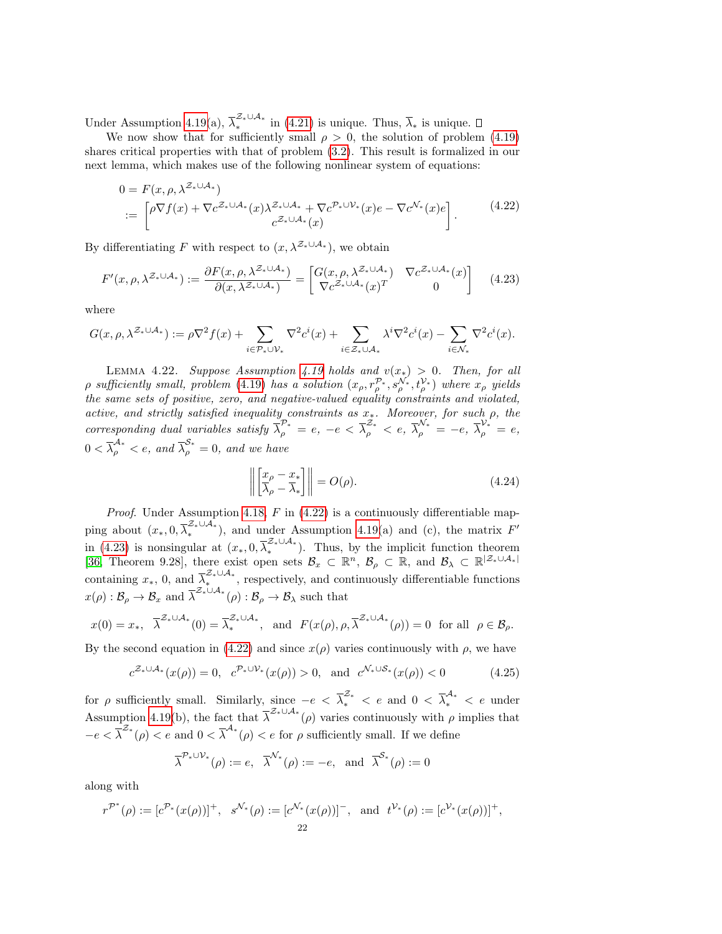Under Assumption [4.19\(](#page-19-3)a),  $\overline{\lambda}_*^{\mathcal{Z}_*\cup\mathcal{A}_*}$ <sup> $\sum_{*}$ </sup> in [\(4.21\)](#page-20-5) is unique. Thus,  $\lambda_{*}$  is unique.

We now show that for sufficiently small  $\rho > 0$ , the solution of problem [\(4.19\)](#page-20-0) shares critical properties with that of problem [\(3.2\)](#page-3-0). This result is formalized in our next lemma, which makes use of the following nonlinear system of equations:

<span id="page-21-0"></span>
$$
0 = F(x, \rho, \lambda^{\mathcal{Z}_* \cup \mathcal{A}_*})
$$
  
 := 
$$
\left[ \rho \nabla f(x) + \nabla c^{\mathcal{Z}_* \cup \mathcal{A}_*}(x) \lambda^{\mathcal{Z}_* \cup \mathcal{A}_*} + \nabla c^{\mathcal{P}_* \cup \mathcal{V}_*}(x) e - \nabla c^{\mathcal{N}_*}(x) e \right].
$$
 (4.22)

By differentiating F with respect to  $(x, \lambda^{Z_* \cup A_*})$ , we obtain

<span id="page-21-1"></span>
$$
F'(x,\rho,\lambda^{\mathcal{Z}_*\cup\mathcal{A}_*}) := \frac{\partial F(x,\rho,\lambda^{\mathcal{Z}_*\cup\mathcal{A}_*})}{\partial(x,\lambda^{\mathcal{Z}_*\cup\mathcal{A}_*})} = \begin{bmatrix} G(x,\rho,\lambda^{\mathcal{Z}_*\cup\mathcal{A}_*}) & \nabla c^{\mathcal{Z}_*\cup\mathcal{A}_*}(x) \\ \nabla c^{\mathcal{Z}_*\cup\mathcal{A}_*}(x)^T & 0 \end{bmatrix} \tag{4.23}
$$

where

$$
G(x,\rho,\lambda^{\mathcal{Z}_*\cup\mathcal{A}_*}):=\rho \nabla^2 f(x)+\sum_{i\in\mathcal{P}_*\cup\mathcal{V}_*}\nabla^2 c^i(x)+\sum_{i\in\mathcal{Z}_*\cup\mathcal{A}_*}\lambda^i \nabla^2 c^i(x)-\sum_{i\in\mathcal{N}_*}\nabla^2 c^i(x).
$$

<span id="page-21-4"></span>LEMMA 4.22. Suppose Assumption [4.19](#page-19-3) holds and  $v(x_*) > 0$ . Then, for all p sufficiently small, problem [\(4.19\)](#page-20-0) has a solution  $(x_\rho, r_\rho^{\mathcal{P}_*}, s_\rho^{\mathcal{N}_*}, t_\rho^{\mathcal{V}_*})$  where  $x_\rho$  yields the same sets of positive, zero, and negative-valued equality constraints and violated, active, and strictly satisfied inequality constraints as  $x<sub>*</sub>$ . Moreover, for such  $\rho$ , the corresponding dual variables satisfy  $\overline{\lambda}_{\rho}^{\mathcal{P}_{*}} = e$ ,  $-e < \overline{\lambda}_{\rho}^{\mathcal{Z}_{*}} < e$ ,  $\overline{\lambda}_{\rho}^{\mathcal{N}_{*}} = -e$ ,  $\overline{\lambda}_{\rho}^{\mathcal{V}_{*}} = e$ ,  $0 < \overline{\lambda}_{\rho}^{\mathcal{A}_{*}} < e$ , and  $\overline{\lambda}_{\rho}^{\mathcal{S}_{*}} = 0$ , and we have

<span id="page-21-3"></span>
$$
\left\| \begin{bmatrix} x_{\rho} - x_{*} \\ \overline{\lambda}_{\rho} - \overline{\lambda}_{*} \end{bmatrix} \right\| = O(\rho). \tag{4.24}
$$

*Proof.* Under Assumption [4.18,](#page-19-1) F in  $(4.22)$  is a continuously differentiable mapping about  $(x_*,0,\overline{\lambda}_*^{\mathcal{Z}_*\cup\mathcal{A}_*})$  $(\mathcal{L}_*^{\omega, \mathcal{A}_*})$ , and under Assumption [4.19\(](#page-19-3)a) and (c), the matrix  $F'$ in [\(4.23\)](#page-21-1) is nonsingular at  $(x_*,0,\overline{\lambda}_*^{\mathcal{Z}_*\cup\mathcal{A}_*})$ ∗ ). Thus, by the implicit function theorem [\[36,](#page-32-22) Theorem 9.28], there exist open sets  $\mathcal{B}_x \subset \mathbb{R}^n$ ,  $\mathcal{B}_\rho \subset \mathbb{R}$ , and  $\mathcal{B}_\lambda \subset \mathbb{R}^{|\mathcal{Z}_*\cup\mathcal{A}_*|}$ containing  $x_*, 0$ , and  $\overline{\lambda}_*^{\mathcal{Z}_*\cup\mathcal{A}_*}$ ∗ , respectively, and continuously differentiable functions  $x(\rho): \mathcal{B}_{\rho} \to \mathcal{B}_{x}$  and  $\overline{\lambda}^{\mathcal{Z}_{*} \cup \mathcal{A}_{*}}(\rho): \mathcal{B}_{\rho} \to \mathcal{B}_{\lambda}$  such that

$$
x(0)=x_*,\;\;\overline{\lambda}^{\mathcal{Z}_*\cup\mathcal{A}_*}(0)=\overline{\lambda}^{\mathcal{Z}_*\cup\mathcal{A}_*}_*,\;\;\text{and}\;\;F(x(\rho),\rho,\overline{\lambda}^{\mathcal{Z}_*\cup\mathcal{A}_*}(\rho))=0\;\;\text{for all}\;\;\rho\in\mathcal{B}_\rho.
$$

By the second equation in [\(4.22\)](#page-21-0) and since  $x(\rho)$  varies continuously with  $\rho$ , we have

<span id="page-21-2"></span>
$$
c^{\mathcal{Z}_* \cup \mathcal{A}_*}(x(\rho)) = 0, \quad c^{\mathcal{P}_* \cup \mathcal{V}_*}(x(\rho)) > 0, \quad \text{and} \quad c^{\mathcal{N}_* \cup \mathcal{S}_*}(x(\rho)) < 0 \tag{4.25}
$$

for  $\rho$  sufficiently small. Similarly, since  $-e < \overline{\lambda}_*^{z_*} < e$  and  $0 < \overline{\lambda}_*^{A_*} < e$  under Assumption [4.19\(](#page-19-3)b), the fact that  $\overline{\lambda}^{\mathcal{Z}_*\cup\mathcal{A}_*}(\rho)$  varies continuously with  $\rho$  implies that  $-e<\overline{\lambda}^{\mathcal{Z}_*}(\rho) and  $0<\overline{\lambda}^{\mathcal{A}_*}(\rho) for  $\rho$  sufficiently small. If we define$$ 

$$
\overline{\lambda}^{\mathcal{P}_*\cup\mathcal{V}_*}(\rho) := e, \quad \overline{\lambda}^{\mathcal{N}_*}(\rho) := -e, \text{ and } \overline{\lambda}^{\mathcal{S}_*}(\rho) := 0
$$

along with

$$
r^{\mathcal{P}^*}(\rho) := [c^{\mathcal{P}_*}(x(\rho))]^+, \quad s^{\mathcal{N}_*}(\rho) := [c^{\mathcal{N}_*}(x(\rho))]^-, \quad \text{and} \quad t^{\mathcal{V}_*}(\rho) := [c^{\mathcal{V}_*}(x(\rho))]^+,
$$
  
22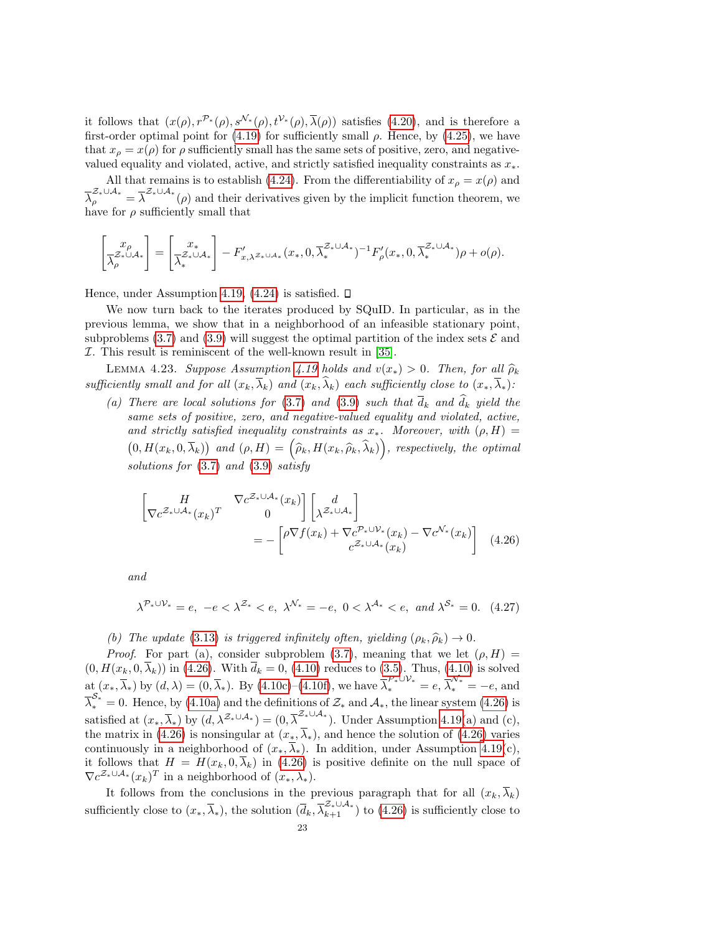it follows that  $(x(\rho), r^{\mathcal{P}_*}(\rho), s^{\mathcal{N}_*}(\rho), t^{\mathcal{V}_*}(\rho), \overline{\lambda}(\rho))$  satisfies [\(4.20\)](#page-20-1), and is therefore a first-order optimal point for  $(4.19)$  for sufficiently small  $\rho$ . Hence, by  $(4.25)$ , we have that  $x_{\rho} = x(\rho)$  for  $\rho$  sufficiently small has the same sets of positive, zero, and negativevalued equality and violated, active, and strictly satisfied inequality constraints as  $x_*$ .

All that remains is to establish [\(4.24\)](#page-21-3). From the differentiability of  $x_{\rho} = x(\rho)$  and  $\overline{\lambda}_{\rho}^{\mathcal{Z}_*\cup\mathcal{A}_*}=\overline{\lambda}^{\mathcal{Z}_*\cup\mathcal{A}_*}(\rho)$  and their derivatives given by the implicit function theorem, we have for  $\rho$  sufficiently small that

$$
\begin{bmatrix} x_{\rho} \\ \overline{\lambda}_{\rho}^{\mathcal{Z}_*\cup\mathcal{A}_*} \end{bmatrix} = \begin{bmatrix} x_* \\ \overline{\lambda}_*^{\mathcal{Z}_*\cup\mathcal{A}_*} \end{bmatrix} - F'_{x,\lambda^{\mathcal{Z}_*\cup\mathcal{A}_*}}(x_*,0,\overline{\lambda}_*^{\mathcal{Z}_*\cup\mathcal{A}_*})^{-1} F'_{\rho}(x_*,0,\overline{\lambda}_*^{\mathcal{Z}_*\cup\mathcal{A}_*})\rho + o(\rho).
$$

Hence, under Assumption [4.19,](#page-19-3) [\(4.24\)](#page-21-3) is satisfied.  $\square$ 

We now turn back to the iterates produced by SQuID. In particular, as in the previous lemma, we show that in a neighborhood of an infeasible stationary point, subproblems [\(3.7\)](#page-4-1) and [\(3.9\)](#page-5-0) will suggest the optimal partition of the index sets  $\mathcal E$  and  $I$ . This result is reminiscent of the well-known result in [\[35\]](#page-32-3).

<span id="page-22-1"></span>LEMMA 4.23. Suppose Assumption [4.19](#page-19-3) holds and  $v(x_*) > 0$ . Then, for all  $\hat{\rho}_k$ sufficiently small and for all  $(x_k, \overline{\lambda}_k)$  and  $(x_k, \widehat{\lambda}_k)$  each sufficiently close to  $(x_*, \overline{\lambda}_k)$ :

(a) There are local solutions for [\(3.7\)](#page-4-1) and [\(3.9\)](#page-5-0) such that  $\bar{d}_k$  and  $\hat{d}_k$  yield the same sets of positive, zero, and negative-valued equality and violated, active, and strictly satisfied inequality constraints as  $x<sub>*</sub>$ . Moreover, with  $(\rho, H)$  =  $(0, H(x_k, 0, \overline{\lambda}_k))$  and  $(\rho, H) = (\widehat{\rho}_k, H(x_k, \widehat{\rho}_k, \widehat{\lambda}_k))$ , respectively, the optimal solutions for [\(3.7\)](#page-4-1) and [\(3.9\)](#page-5-0) satisfy

<span id="page-22-0"></span>
$$
\begin{bmatrix}\nH & \nabla c^{z_{*} \cup A_{*}}(x_{k}) \\
\nabla c^{z_{*} \cup A_{*}}(x_{k})^{T} & 0\n\end{bmatrix}\n\begin{bmatrix}\nd \\
\lambda^{z_{*} \cup A_{*}}\n\end{bmatrix}\n= -\begin{bmatrix}\n\rho \nabla f(x_{k}) + \nabla c^{p_{*} \cup V_{*}}(x_{k}) - \nabla c^{V_{*}}(x_{k}) \\
c^{z_{*} \cup A_{*}}(x_{k})\n\end{bmatrix}
$$
\n(4.26)

and

<span id="page-22-2"></span>
$$
\lambda^{\mathcal{P}_*\cup\mathcal{V}_*} = e, \ -e < \lambda^{\mathcal{Z}_*} < e, \ \lambda^{\mathcal{N}_*} = -e, \ 0 < \lambda^{\mathcal{A}_*} < e, \ \text{and} \ \lambda^{\mathcal{S}_*} = 0. \tag{4.27}
$$

## (b) The update [\(3.13\)](#page-6-2) is triggered infinitely often, yielding  $(\rho_k, \hat{\rho}_k) \rightarrow 0$ .

*Proof.* For part (a), consider subproblem [\(3.7\)](#page-4-1), meaning that we let  $(\rho, H)$  =  $(0, H(x_k, 0, \lambda_k))$  in [\(4.26\)](#page-22-0). With  $d_k = 0$ , [\(4.10\)](#page-15-1) reduces to [\(3.5\)](#page-4-0). Thus, (4.10) is solved at  $(x_*,\overline{\lambda}_*)$  by  $(d,\lambda)=(0,\overline{\lambda}_*)$ . By  $(4.10c)-(4.10f)$  $(4.10c)-(4.10f)$  $(4.10c)-(4.10f)$ , we have  $\overline{\lambda}_*^{\mathcal{P}_*\cup\mathcal{V}_*}=e, \overline{\lambda}_*^{\mathcal{N}_*}=-e$ , and  $\overline{\lambda}_*^{\mathcal{S}_*} = 0$ . Hence, by [\(4.10a\)](#page-15-9) and the definitions of  $\mathcal{Z}_*$  and  $\mathcal{A}_*$ , the linear system [\(4.26\)](#page-22-0) is satisfied at  $(x_*,\overline{\lambda}_*)$  by  $(d,\lambda^{\mathcal{Z}_*\cup\mathcal{A}_*})=(0,\overline{\lambda}^{\mathcal{Z}_*\cup\mathcal{A}_*})$ . Under Assumption [4.19\(](#page-19-3)a) and (c), the matrix in [\(4.26\)](#page-22-0) is nonsingular at  $(x_*,\overline{\lambda}_*)$ , and hence the solution of (4.26) varies continuously in a neighborhood of  $(x_*,\overline{\lambda}_*)$ . In addition, under Assumption [4.19\(](#page-19-3)c), it follows that  $H = H(x_k, 0, \overline{\lambda}_k)$  in [\(4.26\)](#page-22-0) is positive definite on the null space of  $\nabla c^{Z_* \cup A_*}(x_k)^T$  in a neighborhood of  $(x_*, \overline{\lambda}_*)$ .

It follows from the conclusions in the previous paragraph that for all  $(x_k, \overline{\lambda}_k)$ sufficiently close to  $(x_*,\overline{\lambda}_*)$ , the solution  $(\overline{d}_k,\overline{\lambda}_{k+1}^{\mathcal{Z}_*\cup\mathcal{A}_*})$  to  $(4.26)$  is sufficiently close to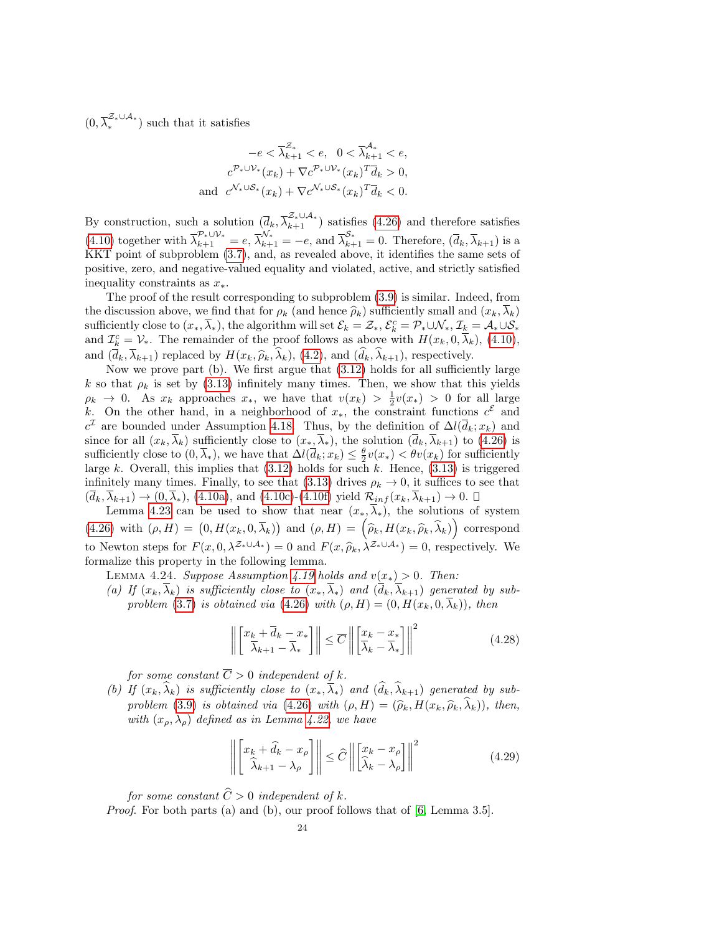$(0, \overline{\lambda}_*^{\mathcal{Z}_* \cup \mathcal{A}_*}$  $\binom{2*}{*}$  such that it satisfies

$$
-e < \overline{\lambda}_{k+1}^{Z_*} < e, \quad 0 < \overline{\lambda}_{k+1}^{A_*} < e, \\
 c^{\mathcal{P}_* \cup \mathcal{V}_*}(x_k) + \nabla c^{\mathcal{P}_* \cup \mathcal{V}_*}(x_k)^T \overline{d}_k > 0, \\
 \text{and } c^{\mathcal{N}_* \cup \mathcal{S}_*}(x_k) + \nabla c^{\mathcal{N}_* \cup \mathcal{S}_*}(x_k)^T \overline{d}_k < 0.
$$

By construction, such a solution  $(\bar{d}_k, \bar{\lambda}_{k+1}^{\mathcal{Z}_*\cup\mathcal{A}_*})$  satisfies [\(4.26\)](#page-22-0) and therefore satisfies [\(4.10\)](#page-15-1) together with  $\overline{\lambda}_{k+1}^{\mathcal{P}_*\cup\mathcal{V}_*} = e, \overline{\lambda}_{k+1}^{\mathcal{N}_*} = -e$ , and  $\overline{\lambda}_{k+1}^{\mathcal{S}_*} = 0$ . Therefore,  $(\overline{d}_k, \overline{\lambda}_{k+1})$  is a KKT point of subproblem [\(3.7\)](#page-4-1), and, as revealed above, it identifies the same sets of positive, zero, and negative-valued equality and violated, active, and strictly satisfied inequality constraints as  $x_*.$ 

The proof of the result corresponding to subproblem [\(3.9\)](#page-5-0) is similar. Indeed, from the discussion above, we find that for  $\rho_k$  (and hence  $\hat{\rho}_k$ ) sufficiently small and  $(x_k, \overline{\lambda}_k)$ sufficiently close to  $(x_*,\overline{\lambda}_*)$ , the algorithm will set  $\mathcal{E}_k = \mathcal{Z}_*, \mathcal{E}_k^c = \mathcal{P}_* \cup \mathcal{N}_*, \mathcal{I}_{\underline{k}} = \mathcal{A}_* \cup \mathcal{S}_*$ and  $\mathcal{I}_{k}^{c} = \mathcal{V}_{*}$ . The remainder of the proof follows as above with  $H(x_{k}, 0, \overline{\lambda}_{k}),$  [\(4.10\)](#page-15-1), and  $(\bar{d}_k, \bar{\lambda}_{k+1})$  replaced by  $H(x_k, \hat{\rho}_k, \bar{\lambda}_k)$ , [\(4.2\)](#page-9-1), and  $(\hat{d}_k, \hat{\lambda}_{k+1})$ , respectively.

Now we prove part (b). We first argue that [\(3.12\)](#page-6-1) holds for all sufficiently large k so that  $\rho_k$  is set by [\(3.13\)](#page-6-2) infinitely many times. Then, we show that this yields  $\rho_k \to 0$ . As  $x_k$  approaches  $x_*$ , we have that  $v(x_k) > \frac{1}{2}v(x_*) > 0$  for all large k. On the other hand, in a neighborhood of  $x_*$ , the constraint functions  $c^{\mathcal{E}}$  and  $c^{\mathcal{I}}$  are bounded under Assumption [4.18.](#page-19-1) Thus, by the definition of  $\Delta l(\bar{d}_k; x_k)$  and since for all  $(x_k, \overline{\lambda}_k)$  sufficiently close to  $(x_*, \overline{\lambda}_*)$ , the solution  $(\overline{d}_k, \overline{\lambda}_{k+1})$  to [\(4.26\)](#page-22-0) is sufficiently close to  $(0, \overline{\lambda}_*)$ , we have that  $\Delta l(\overline{d}_k; x_k) \leq \frac{\theta}{2}v(x_*) < \theta v(x_k)$  for sufficiently large k. Overall, this implies that  $(3.12)$  holds for such k. Hence,  $(3.13)$  is triggered infinitely many times. Finally, to see that  $(3.13)$  drives  $\rho_k \to 0$ , it suffices to see that  $(d_k, \lambda_{k+1}) \rightarrow (0, \lambda_*)$ , [\(4.10a\)](#page-15-9), and [\(4.10c\)](#page-15-3)-[\(4.10f\)](#page-15-8) yield  $\mathcal{R}_{inf}(x_k, \lambda_{k+1}) \rightarrow 0$ .

Lemma [4.23](#page-22-1) can be used to show that near  $(x_*, \lambda_*)$ , the solutions of system [\(4.26\)](#page-22-0) with  $(\rho, H) = (0, H(x_k, 0, \overline{\lambda}_k))$  and  $(\rho, H) = (\hat{\rho}_k, H(x_k, \hat{\rho}_k, \hat{\lambda}_k))$  correspond to Newton steps for  $F(x, 0, \lambda^{Z_* \cup A_*}) = 0$  and  $F(x, \hat{\rho}_k, \lambda^{Z_* \cup A_*}) = 0$ , respectively. We formalize this property in the following lemma.

<span id="page-23-1"></span>LEMMA 4.24. Suppose Assumption [4.19](#page-19-3) holds and  $v(x_*) > 0$ . Then:

(a) If  $(x_k, \overline{\lambda}_k)$  is sufficiently close to  $(x_*, \overline{\lambda}_*)$  and  $(\overline{d}_k, \overline{\lambda}_{k+1})$  generated by sub-problem [\(3.7\)](#page-4-1) is obtained via [\(4.26\)](#page-22-0) with  $(\rho, H) = (0, H(x_k, 0, \overline{\lambda}_k))$ , then

<span id="page-23-0"></span>
$$
\left\| \begin{bmatrix} x_k + \overline{d}_k - x_* \\ \overline{\lambda}_{k+1} - \overline{\lambda}_* \end{bmatrix} \right\| \leq \overline{C} \left\| \begin{bmatrix} x_k - x_* \\ \overline{\lambda}_k - \overline{\lambda}_* \end{bmatrix} \right\|^2 \tag{4.28}
$$

for some constant  $\overline{C} > 0$  independent of k.

(b) If  $(x_k, \widehat{\lambda}_k)$  is sufficiently close to  $(x_*, \overline{\lambda}_*)$  and  $(\widehat{d}_k, \widehat{\lambda}_{k+1})$  generated by sub-problem [\(3.9\)](#page-5-0) is obtained via [\(4.26\)](#page-22-0) with  $(\rho, H) = (\widehat{\rho}_k, H(x_k, \widehat{\rho}_k, \lambda_k))$ , then, with  $(x_{\rho}, \lambda_{\rho})$  defined as in Lemma [4.22,](#page-21-4) we have

$$
\left\| \begin{bmatrix} x_k + \hat{d}_k - x_\rho \\ \hat{\lambda}_{k+1} - \lambda_\rho \end{bmatrix} \right\| \le \widehat{C} \left\| \begin{bmatrix} x_k - x_\rho \\ \hat{\lambda}_k - \lambda_\rho \end{bmatrix} \right\|^2 \tag{4.29}
$$

for some constant  $\hat{C} > 0$  independent of k.

Proof. For both parts (a) and (b), our proof follows that of [\[6,](#page-31-3) Lemma 3.5].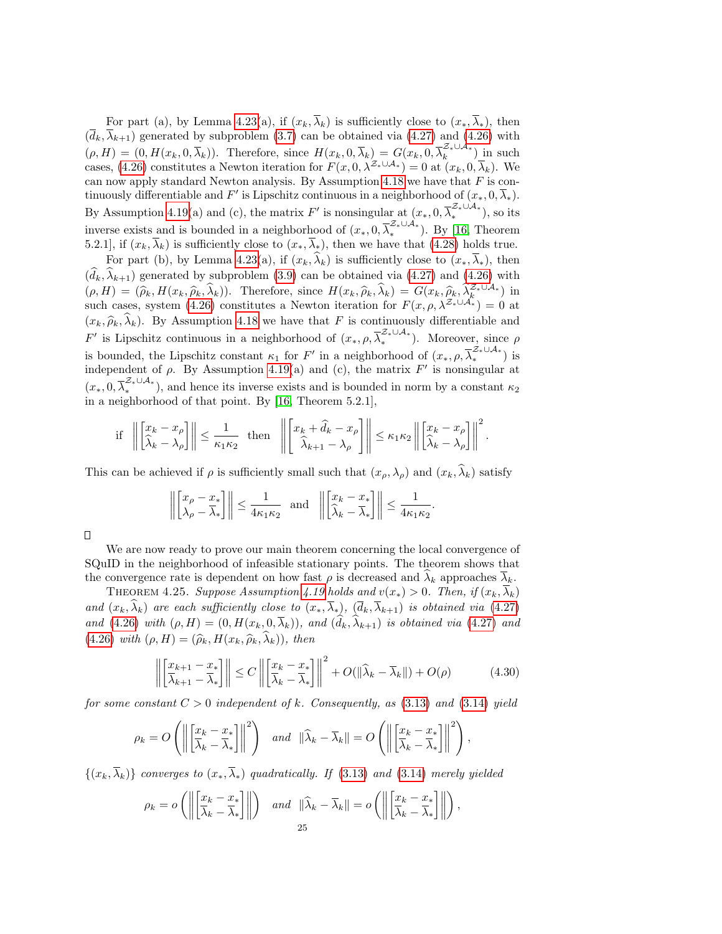For part (a), by Lemma [4.23\(](#page-22-1)a), if  $(x_k, \overline{\lambda}_k)$  is sufficiently close to  $(x_*, \overline{\lambda}_k)$ , then  $(\bar{d}_k, \bar{\lambda}_{k+1})$  generated by subproblem [\(3.7\)](#page-4-1) can be obtained via [\(4.27\)](#page-22-2) and [\(4.26\)](#page-22-0) with  $(\rho, H) = (0, H(x_k, 0, \overline{\lambda}_k))$ . Therefore, since  $H(x_k, 0, \overline{\lambda}_k) = G(x_k, 0, \overline{\lambda}_k^{\mathcal{Z}_* \cup \mathcal{A}_*}$  $\binom{n}{k}$  in such cases, [\(4.26\)](#page-22-0) constitutes a Newton iteration for  $F(x, 0, \lambda^{Z_* \cup A_*}) = 0$  at  $(x_k, 0, \overline{\lambda}_k)$ . We can now apply standard Newton analysis. By Assumption [4.18](#page-19-1) we have that  $F$  is continuously differentiable and  $F'$  is Lipschitz continuous in a neighborhood of  $(x_*,0,\overline{\lambda}_*)$ . By Assumption [4.19\(](#page-19-3)a) and (c), the matrix  $F'$  is nonsingular at  $(x_*, 0, \overline{\lambda}_*^{\mathcal{Z}_*\cup\mathcal{A}_*}$  $\binom{2*}{*}$ , so its inverse exists and is bounded in a neighborhood of  $(x_*, 0, \overline{\lambda}_*^{\mathcal{Z}_*\cup \mathcal{A}_*}$  $\overset{2}{\ast}$ <sup>\*</sup>,  $\overset{2}{\ast}$  By [\[16,](#page-32-23) Theorem 5.2.1], if  $(x_k, \overline{\lambda}_k)$  is sufficiently close to  $(x_*, \overline{\lambda}_k)$ , then we have that [\(4.28\)](#page-23-0) holds true.

For part (b), by Lemma [4.23\(](#page-22-1)a), if  $(x_k, \widehat{\lambda}_k)$  is sufficiently close to  $(x_*, \overline{\lambda}_*)$ , then  $(\widehat{d}_k, \widehat{\lambda}_{k+1})$  generated by subproblem [\(3.9\)](#page-5-0) can be obtained via [\(4.27\)](#page-22-2) and [\(4.26\)](#page-22-0) with  $(\rho, H) = (\hat{\rho}_k, H(x_k, \hat{\rho}_k, \hat{\lambda}_k))$ . Therefore, since  $H(x_k, \hat{\rho}_k, \hat{\lambda}_k) = G(x_k, \hat{\rho}_k, \hat{\lambda}_k^{Z_* \cup A_*})$  in such cases, system [\(4.26\)](#page-22-0) constitutes a Newton iteration for  $F(x, \rho, \lambda^{Z_* \cup A_*}) = 0$  at  $(x_k, \hat{\rho}_k, \hat{\lambda}_k)$ . By Assumption [4.18](#page-19-1) we have that F is continuously differentiable and  $F'$  is Lipschitz continuous in a neighborhood of  $(x_*, \rho, \overline{\lambda}_*^{\mathcal{Z}_* \cup \mathcal{A}_*}$  $\epsilon_* \rightarrow \epsilon_*$ . Moreover, since  $\rho$ is bounded, the Lipschitz constant  $\kappa_1$  for F' in a neighborhood of  $(x_*, \rho, \overline{\lambda}_*^{\mathcal{Z}_*\cup\mathcal{A}_*}$  $\binom{2*}{*}$  is independent of  $\rho$ . By Assumption [4.19\(](#page-19-3)a) and (c), the matrix  $F'$  is nonsingular at  $(x_*,0,\overline{\lambda}_*^{\mathcal{Z}_*\cup\mathcal{A}_*}$  $\binom{2*}{*}$ , and hence its inverse exists and is bounded in norm by a constant  $\kappa_2$ in a neighborhood of that point. By [\[16,](#page-32-23) Theorem 5.2.1],

$$
\text{if } \left\| \begin{bmatrix} x_k - x_\rho \\ \widehat{\lambda}_k - \lambda_\rho \end{bmatrix} \right\| \leq \frac{1}{\kappa_1 \kappa_2} \text{ then } \left\| \begin{bmatrix} x_k + \widehat{d}_k - x_\rho \\ \widehat{\lambda}_{k+1} - \lambda_\rho \end{bmatrix} \right\| \leq \kappa_1 \kappa_2 \left\| \begin{bmatrix} x_k - x_\rho \\ \widehat{\lambda}_k - \lambda_\rho \end{bmatrix} \right\|^2.
$$

This can be achieved if  $\rho$  is sufficiently small such that  $(x_{\rho}, \lambda_{\rho})$  and  $(x_k, \widehat{\lambda}_k)$  satisfy

$$
\left\| \begin{bmatrix} x_{\rho} - x_{*} \\ \lambda_{\rho} - \overline{\lambda}_{*} \end{bmatrix} \right\| \le \frac{1}{4\kappa_{1}\kappa_{2}} \text{ and } \left\| \begin{bmatrix} x_{k} - x_{*} \\ \widehat{\lambda}_{k} - \overline{\lambda}_{*} \end{bmatrix} \right\| \le \frac{1}{4\kappa_{1}\kappa_{2}}
$$

 $\Box$ 

We are now ready to prove our main theorem concerning the local convergence of SQuID in the neighborhood of infeasible stationary points. The theorem shows that the convergence rate is dependent on how fast  $\rho$  is decreased and  $\hat{\lambda}_k$  approaches  $\overline{\lambda}_k$ .

<span id="page-24-0"></span>THEOREM 4.25. Suppose Assumption [4.19](#page-19-3) holds and  $v(x_*) > 0$ . Then, if  $(x_k, \overline{\lambda}_k)$ and  $(x_k, \widehat{\lambda}_k)$  are each sufficiently close to  $(x_*, \overline{\lambda}_*)$ ,  $(\overline{d}_k, \overline{\lambda}_{k+1})$  is obtained via [\(4.27\)](#page-22-2) and [\(4.26\)](#page-22-0) with  $(\rho, H) = (0, H(x_k, 0, \overline{\lambda}_k))$ , and  $(\widehat{d}_k, \widehat{\lambda}_{k+1})$  is obtained via [\(4.27\)](#page-22-2) and [\(4.26\)](#page-22-0) with  $(\rho, H) = (\widehat{\rho}_k, H(x_k, \widehat{\rho}_k, \lambda_k))$ , then

<span id="page-24-1"></span>
$$
\left\| \left[ \frac{x_{k+1} - x_*}{\overline{\lambda}_{k+1} - \overline{\lambda}_*} \right] \right\| \le C \left\| \left[ \frac{x_k - x_*}{\overline{\lambda}_k - \overline{\lambda}_*} \right] \right\|^2 + O(\|\widehat{\lambda}_k - \overline{\lambda}_k\|) + O(\rho) \tag{4.30}
$$

.

for some constant  $C > 0$  independent of k. Consequently, as  $(3.13)$  and  $(3.14)$  yield

$$
\rho_k = O\left(\left\|\begin{bmatrix} x_k - x_* \\ \overline{\lambda}_k - \overline{\lambda}_* \end{bmatrix}\right\|^2\right) \quad \text{and} \quad \|\widehat{\lambda}_k - \overline{\lambda}_k\| = O\left(\left\|\begin{bmatrix} x_k - x_* \\ \overline{\lambda}_k - \overline{\lambda}_* \end{bmatrix}\right\|^2\right),
$$

 $\{(x_k, \overline{\lambda}_k)\}\)$  converges to  $(x_*, \overline{\lambda}_*)$  quadratically. If [\(3.13\)](#page-6-2) and [\(3.14\)](#page-6-0) merely yielded

$$
\rho_k = o\left(\left\|\left[\frac{x_k - x_*}{\overline{\lambda}_k - \overline{\lambda}_*}\right]\right\|\right) \quad \text{and} \quad \|\widehat{\lambda}_k - \overline{\lambda}_k\| = o\left(\left\|\left[\frac{x_k - x_*}{\overline{\lambda}_k - \overline{\lambda}_*}\right]\right\| \right),\newline 25
$$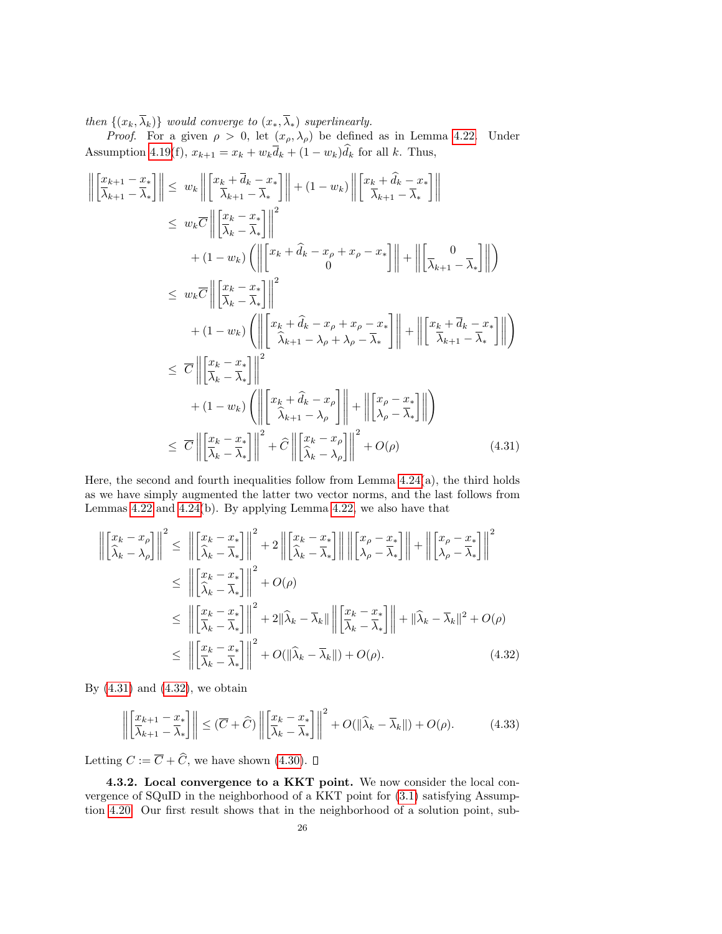then  $\{(x_k, \overline{\lambda}_k)\}\)$  would converge to  $(x_*, \overline{\lambda}_*)$  superlinearly.

*Proof.* For a given  $\rho > 0$ , let  $(x_{\rho}, \lambda_{\rho})$  be defined as in Lemma [4.22.](#page-21-4) Under Assumption [4.19\(](#page-19-3)f),  $x_{k+1} = x_k + w_k \overline{d}_k + (1 - w_k)\widehat{d}_k$  for all k. Thus,

$$
\left\| \begin{bmatrix} x_{k+1} - x_{*} \\ \overline{\lambda}_{k+1} - \overline{\lambda}_{*} \end{bmatrix} \right\| \leq w_{k} \left\| \begin{bmatrix} x_{k} + \overline{d}_{k} - x_{*} \\ \overline{\lambda}_{k+1} - \overline{\lambda}_{*} \end{bmatrix} \right\| + (1 - w_{k}) \left\| \begin{bmatrix} x_{k} + \widehat{d}_{k} - x_{*} \\ \overline{\lambda}_{k+1} - \overline{\lambda}_{*} \end{bmatrix} \right\|
$$
  
\n
$$
\leq w_{k} \overline{C} \left\| \begin{bmatrix} x_{k} - x_{*} \\ \overline{\lambda}_{k} - \overline{\lambda}_{*} \end{bmatrix} \right\|^{2}
$$
  
\n
$$
\leq w_{k} \overline{C} \left\| \begin{bmatrix} x_{k} - x_{*} \\ \overline{\lambda}_{k} - \overline{\lambda}_{*} \end{bmatrix} \right\|^{2}
$$
  
\n
$$
+ (1 - w_{k}) \left( \left\| \begin{bmatrix} x_{k} + \widehat{d}_{k} - x_{\rho} + x_{\rho} - x_{*} \\ \overline{\lambda}_{k+1} - \lambda_{\rho} + \lambda_{\rho} - \overline{\lambda}_{*} \end{bmatrix} \right\| + \left\| \begin{bmatrix} x_{k} + \overline{d}_{k} - x_{*} \\ \overline{\lambda}_{k+1} - \overline{\lambda}_{*} \end{bmatrix} \right\| \right)
$$
  
\n
$$
\leq \overline{C} \left\| \begin{bmatrix} x_{k} - x_{*} \\ \overline{\lambda}_{k} - \overline{\lambda}_{*} \end{bmatrix} \right\|^{2}
$$
  
\n
$$
+ (1 - w_{k}) \left( \left\| \begin{bmatrix} x_{k} + \widehat{d}_{k} - x_{\rho} + x_{\rho} - x_{*} \\ \overline{\lambda}_{k+1} - \lambda_{\rho} + \lambda_{\rho} - \overline{\lambda}_{*} \end{bmatrix} \right\| + \left\| \begin{bmatrix} x_{k} + \overline{d}_{k} - x_{*} \\ \overline{\lambda}_{k+1} - \overline{\lambda}_{*} \end{bmatrix} \right\| \right)
$$
  
\n
$$
\leq \overline{C} \left\| \begin{
$$

Here, the second and fourth inequalities follow from Lemma  $4.24(a)$ , the third holds as we have simply augmented the latter two vector norms, and the last follows from Lemmas [4.22](#page-21-4) and [4.24\(](#page-23-1)b). By applying Lemma [4.22,](#page-21-4) we also have that

<span id="page-25-1"></span>
$$
\left\| \begin{bmatrix} x_k - x_\rho \\ \hat{\lambda}_k - \lambda_\rho \end{bmatrix} \right\|^2 \leq \left\| \begin{bmatrix} x_k - x_* \\ \hat{\lambda}_k - \overline{\lambda}_* \end{bmatrix} \right\|^2 + 2 \left\| \begin{bmatrix} x_k - x_* \\ \hat{\lambda}_k - \overline{\lambda}_* \end{bmatrix} \right\| \left\| \begin{bmatrix} x_\rho - x_* \\ \lambda_\rho - \overline{\lambda}_* \end{bmatrix} \right\| + \left\| \begin{bmatrix} x_\rho - x_* \\ \lambda_\rho - \overline{\lambda}_* \end{bmatrix} \right\|^2
$$
  
\n
$$
\leq \left\| \begin{bmatrix} x_k - x_* \\ \hat{\lambda}_k - \overline{\lambda}_* \end{bmatrix} \right\|^2 + O(\rho)
$$
  
\n
$$
\leq \left\| \begin{bmatrix} x_k - x_* \\ \overline{\lambda}_k - \overline{\lambda}_* \end{bmatrix} \right\|^2 + 2 \|\hat{\lambda}_k - \overline{\lambda}_k\| \left\| \begin{bmatrix} x_k - x_* \\ \overline{\lambda}_k - \overline{\lambda}_* \end{bmatrix} \right\| + \|\hat{\lambda}_k - \overline{\lambda}_k\|^2 + O(\rho)
$$
  
\n
$$
\leq \left\| \begin{bmatrix} x_k - x_* \\ \overline{\lambda}_k - \overline{\lambda}_* \end{bmatrix} \right\|^2 + O(\|\hat{\lambda}_k - \overline{\lambda}_k\|) + O(\rho).
$$
 (4.32)

By  $(4.31)$  and  $(4.32)$ , we obtain

<span id="page-25-2"></span>
$$
\left\| \begin{bmatrix} x_{k+1} - x_* \\ \overline{\lambda}_{k+1} - \overline{\lambda}_* \end{bmatrix} \right\| \leq (\overline{C} + \widehat{C}) \left\| \begin{bmatrix} x_k - x_* \\ \overline{\lambda}_k - \overline{\lambda}_* \end{bmatrix} \right\|^2 + O(\|\widehat{\lambda}_k - \overline{\lambda}_k\|) + O(\rho). \tag{4.33}
$$

Letting  $C := \overline{C} + \widehat{C}$ , we have shown [\(4.30\)](#page-24-1).  $\Box$ 

<span id="page-25-0"></span>4.3.2. Local convergence to a KKT point. We now consider the local convergence of SQuID in the neighborhood of a KKT point for [\(3.1\)](#page-2-1) satisfying Assumption [4.20.](#page-19-2) Our first result shows that in the neighborhood of a solution point, sub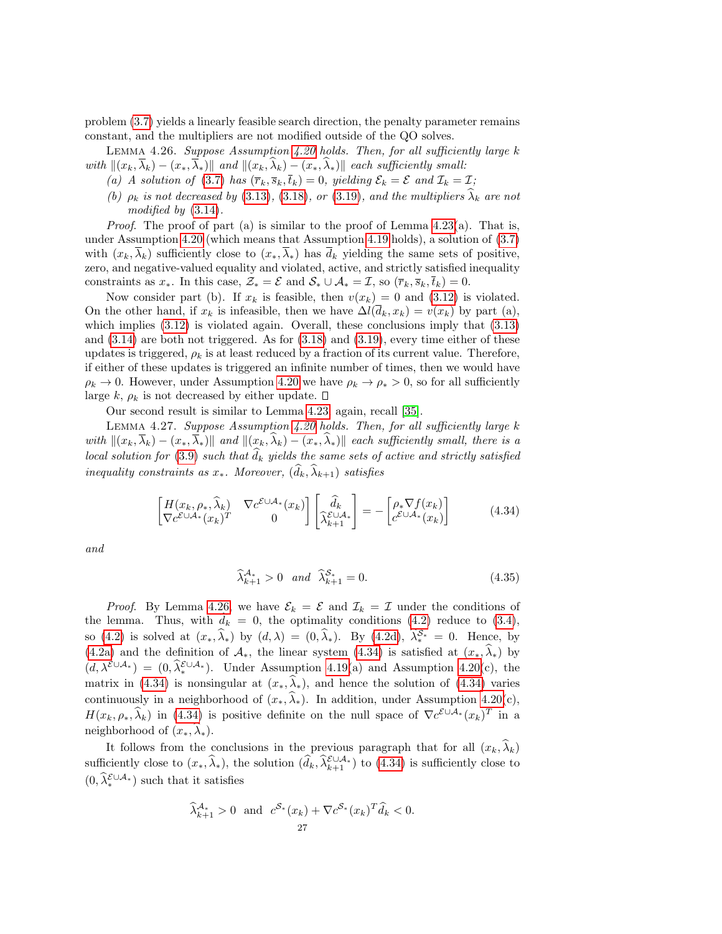problem [\(3.7\)](#page-4-1) yields a linearly feasible search direction, the penalty parameter remains constant, and the multipliers are not modified outside of the QO solves.

<span id="page-26-0"></span>LEMMA 4.26. Suppose Assumption [4.20](#page-19-2) holds. Then, for all sufficiently large  $k$ with  $\|(x_k, \overline{\lambda}_k) - (x_*, \overline{\lambda}_*)\|$  and  $\|(x_k, \lambda_k) - (x_*, \lambda_*)\|$  each sufficiently small:

- (a) A solution of [\(3.7\)](#page-4-1) has  $(\bar{r}_k, \bar{s}_k, \bar{t}_k) = 0$ , yielding  $\mathcal{E}_k = \mathcal{E}$  and  $\mathcal{I}_k = \mathcal{I}$ ;
- (b)  $\rho_k$  is not decreased by [\(3.13\)](#page-6-2), [\(3.18\)](#page-7-3), or [\(3.19\)](#page-7-2), and the multipliers  $\hat{\lambda}_k$  are not modified by  $(3.14)$ .

*Proof.* The proof of part (a) is similar to the proof of Lemma  $4.23(a)$ . That is, under Assumption [4.20](#page-19-2) (which means that Assumption [4.19](#page-19-3) holds), a solution of [\(3.7\)](#page-4-1) with  $(x_k, \overline{\lambda}_k)$  sufficiently close to  $(x_*, \overline{\lambda}_*)$  has  $\overline{d}_k$  yielding the same sets of positive, zero, and negative-valued equality and violated, active, and strictly satisfied inequality constraints as  $x_*$ . In this case,  $\mathcal{Z}_* = \mathcal{E}$  and  $\mathcal{S}_* \cup \mathcal{A}_* = \mathcal{I}$ , so  $(\overline{r}_k, \overline{s}_k, \overline{t}_k) = 0$ .

Now consider part (b). If  $x_k$  is feasible, then  $v(x_k) = 0$  and [\(3.12\)](#page-6-1) is violated. On the other hand, if  $x_k$  is infeasible, then we have  $\Delta l(\bar{d}_k, x_k) = v(x_k)$  by part (a), which implies [\(3.12\)](#page-6-1) is violated again. Overall, these conclusions imply that [\(3.13\)](#page-6-2) and [\(3.14\)](#page-6-0) are both not triggered. As for [\(3.18\)](#page-7-3) and [\(3.19\)](#page-7-2), every time either of these updates is triggered,  $\rho_k$  is at least reduced by a fraction of its current value. Therefore, if either of these updates is triggered an infinite number of times, then we would have  $\rho_k \to 0$ . However, under Assumption [4.20](#page-19-2) we have  $\rho_k \to \rho_* > 0$ , so for all sufficiently large k,  $\rho_k$  is not decreased by either update.  $\square$ 

Our second result is similar to Lemma [4.23;](#page-22-1) again, recall [\[35\]](#page-32-3).

<span id="page-26-2"></span>LEMMA 4.27. Suppose Assumption [4.20](#page-19-2) holds. Then, for all sufficiently large  $k$ with  $\|(x_k,\overline{\lambda}_k) - (x_*,\overline{\lambda}_*)\|$  and  $\|(x_k,\widehat{\lambda}_k) - (x_*,\widehat{\lambda}_*)\|$  each sufficiently small, there is a local solution for [\(3.9\)](#page-5-0) such that  $\widehat{d}_k$  yields the same sets of active and strictly satisfied inequality constraints as  $x_*$ . Moreover,  $(\widehat{d}_k, \widehat{\lambda}_{k+1})$  satisfies

<span id="page-26-1"></span>
$$
\begin{bmatrix}\nH(x_k, \rho_*, \widehat{\lambda}_k) & \nabla c^{\mathcal{E} \cup \mathcal{A}_*}(x_k) \\
\nabla c^{\mathcal{E} \cup \mathcal{A}_*}(x_k)^T & 0\n\end{bmatrix}\n\begin{bmatrix}\n\widehat{d}_k \\
\widehat{\lambda}_{k+1}^{\mathcal{E} \cup \mathcal{A}_*}\n\end{bmatrix} = -\n\begin{bmatrix}\n\rho_* \nabla f(x_k) \\
c^{\mathcal{E} \cup \mathcal{A}_*}(x_k)\n\end{bmatrix}
$$
\n(4.34)

and

<span id="page-26-3"></span>
$$
\widehat{\lambda}_{k+1}^{\mathcal{A}_*} > 0 \quad and \quad \widehat{\lambda}_{k+1}^{\mathcal{S}_*} = 0. \tag{4.35}
$$

*Proof.* By Lemma [4.26,](#page-26-0) we have  $\mathcal{E}_k = \mathcal{E}$  and  $\mathcal{I}_k = \mathcal{I}$  under the conditions of the lemma. Thus, with  $d_k = 0$ , the optimality conditions [\(4.2\)](#page-9-1) reduce to [\(3.4\)](#page-3-1), so [\(4.2\)](#page-9-1) is solved at  $(x_*,\hat{\lambda}_*)$  by  $(d,\lambda) = (0,\hat{\lambda}_*)$ . By [\(4.2d\)](#page-9-6),  $\hat{\lambda}_*^{S*} = 0$ . Hence, by [\(4.2a\)](#page-9-5) and the definition of  $\mathcal{A}_{*}$ , the linear system [\(4.34\)](#page-26-1) is satisfied at  $(x_*,\hat{\lambda}_*)$  by  $(d, \lambda^{\mathcal{E}\cup A_*}) = (0, \widehat{\lambda}_*^{\mathcal{E}\cup A_*})$ . Under Assumption [4.19\(](#page-19-3)a) and Assumption [4.20\(](#page-19-2)c), the matrix in [\(4.34\)](#page-26-1) is nonsingular at  $(x_*,\hat{\lambda}_*)$ , and hence the solution of (4.34) varies continuously in a neighborhood of  $(x_*,\widehat{\lambda}_*)$ . In addition, under Assumption [4.20\(](#page-19-2)c),  $H(x_k, \rho_*, \widehat{\lambda}_k)$  in [\(4.34\)](#page-26-1) is positive definite on the null space of  $\nabla c^{\mathcal{E} \cup \mathcal{A}_*}(x_k)^T$  in a neighborhood of  $(x_*,\widehat{\lambda}_*)$ .

It follows from the conclusions in the previous paragraph that for all  $(x_k, \hat{\lambda}_k)$ sufficiently close to  $(x_*,\hat{\lambda}_*)$ , the solution  $(\hat{d}_k, \hat{\lambda}_{k+1}^{\mathcal{E}\cup\mathcal{A}_*})$  to [\(4.34\)](#page-26-1) is sufficiently close to  $(0, \hat{\lambda}_*^{\mathcal{E} \cup \mathcal{A}_*})$  such that it satisfies

$$
\widehat{\lambda}_{k+1}^{\mathcal{A}_*} > 0 \text{ and } c^{\mathcal{S}_*}(x_k) + \nabla c^{\mathcal{S}_*}(x_k)^T \widehat{d}_k < 0.
$$
  
27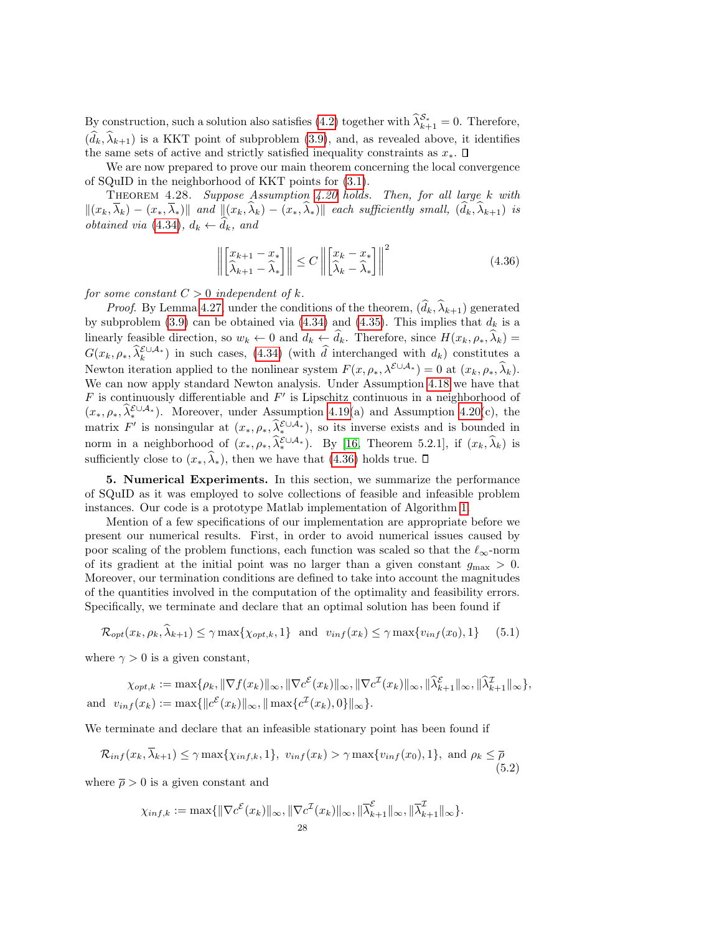By construction, such a solution also satisfies [\(4.2\)](#page-9-1) together with  $\hat{\lambda}_{k+1}^{S_*} = 0$ . Therefore,  $(\widehat{d}_k, \widehat{\lambda}_{k+1})$  is a KKT point of subproblem [\(3.9\)](#page-5-0), and, as revealed above, it identifies the same sets of active and strictly satisfied inequality constraints as  $x_*$ .  $\Box$ 

We are now prepared to prove our main theorem concerning the local convergence of SQuID in the neighborhood of KKT points for [\(3.1\)](#page-2-1).

THEOREM 4.28. Suppose Assumption  $4.20$  holds. Then, for all large k with  $\|(x_k, \overline{\lambda}_k) - (x_*, \overline{\lambda}_*)\|$  and  $\|(x_k, \widehat{\lambda}_k) - (x_*, \widehat{\lambda}_*)\|$  each sufficiently small,  $(\widehat{d}_k, \widehat{\lambda}_{k+1})$  is obtained via [\(4.34\)](#page-26-1),  $d_k \leftarrow \hat{d}_k$ , and

<span id="page-27-1"></span>
$$
\left\| \begin{bmatrix} x_{k+1} - x_* \\ \hat{\lambda}_{k+1} - \hat{\lambda}_* \end{bmatrix} \right\| \le C \left\| \begin{bmatrix} x_k - x_* \\ \hat{\lambda}_k - \hat{\lambda}_* \end{bmatrix} \right\|^2
$$
\n(4.36)

for some constant  $C > 0$  independent of k.

*Proof.* By Lemma [4.27,](#page-26-2) under the conditions of the theorem,  $(\hat{d}_k, \hat{\lambda}_{k+1})$  generated by subproblem [\(3.9\)](#page-5-0) can be obtained via [\(4.34\)](#page-26-1) and [\(4.35\)](#page-26-3). This implies that  $d_k$  is a linearly feasible direction, so  $w_k \leftarrow 0$  and  $d_k \leftarrow \hat{d}_k$ . Therefore, since  $H(x_k, \rho_*, \hat{\lambda}_k)$  $G(x_k, \rho_*, \hat{\lambda}_k^{\mathcal{E} \cup \mathcal{A}_*})$  in such cases, [\(4.34\)](#page-26-1) (with  $\hat{d}$  interchanged with  $d_k$ ) constitutes a Newton iteration applied to the nonlinear system  $F(x, \rho_*, \lambda^{\mathcal{E}\cup\mathcal{A}_*}) = 0$  at  $(x_k, \rho_*, \widehat{\lambda}_k)$ . We can now apply standard Newton analysis. Under Assumption [4.18](#page-19-1) we have that  $F$  is continuously differentiable and  $F'$  is Lipschitz continuous in a neighborhood of  $(x_*, \rho_*, \hat{\lambda}_*^{\text{EUA_*}})$ . Moreover, under Assumption [4.19\(](#page-19-3)a) and Assumption [4.20\(](#page-19-2)c), the matrix F' is nonsingular at  $(x_*, \rho_*, \widetilde{\lambda}_*^{\mathcal{E} \cup \mathcal{A}_*})$ , so its inverse exists and is bounded in norm in a neighborhood of  $(x_*, \rho_*, \hat{\lambda}_*^{\mathcal{E} \cup \mathcal{A}_*})$ . By [\[16,](#page-32-23) Theorem 5.2.1], if  $(x_k, \hat{\lambda}_k)$  is sufficiently close to  $(x_*,\hat{\lambda}_*)$ , then we have that [\(4.36\)](#page-27-1) holds true.  $\Box$ 

<span id="page-27-0"></span>5. Numerical Experiments. In this section, we summarize the performance of SQuID as it was employed to solve collections of feasible and infeasible problem instances. Our code is a prototype Matlab implementation of Algorithm [1.](#page-8-3)

Mention of a few specifications of our implementation are appropriate before we present our numerical results. First, in order to avoid numerical issues caused by poor scaling of the problem functions, each function was scaled so that the  $\ell_{\infty}$ -norm of its gradient at the initial point was no larger than a given constant  $g_{\text{max}} > 0$ . Moreover, our termination conditions are defined to take into account the magnitudes of the quantities involved in the computation of the optimality and feasibility errors. Specifically, we terminate and declare that an optimal solution has been found if

<span id="page-27-3"></span>
$$
\mathcal{R}_{opt}(x_k, \rho_k, \widehat{\lambda}_{k+1}) \le \gamma \max\{\chi_{opt,k}, 1\} \text{ and } v_{inf}(x_k) \le \gamma \max\{v_{inf}(x_0), 1\} \tag{5.1}
$$

where  $\gamma > 0$  is a given constant,

$$
\chi_{opt,k} := \max\{\rho_k, \|\nabla f(x_k)\|_{\infty}, \|\nabla c^{\mathcal{E}}(x_k)\|_{\infty}, \|\nabla c^{\mathcal{I}}(x_k)\|_{\infty}, \|\hat{\lambda}_{k+1}^{\mathcal{E}}\|_{\infty}, \|\hat{\lambda}_{k+1}^{\mathcal{I}}\|_{\infty}\},
$$
  
and  $v_{inf}(x_k) := \max\{\|c^{\mathcal{E}}(x_k)\|_{\infty}, \|\max\{c^{\mathcal{I}}(x_k), 0\}\|_{\infty}\}.$ 

We terminate and declare that an infeasible stationary point has been found if

<span id="page-27-2"></span>
$$
\mathcal{R}_{inf}(x_k, \overline{\lambda}_{k+1}) \le \gamma \max\{\chi_{inf,k}, 1\}, \ v_{inf}(x_k) > \gamma \max\{v_{inf}(x_0), 1\}, \text{ and } \rho_k \le \overline{\rho}
$$
\n
$$
(5.2)
$$

where  $\bar{\rho} > 0$  is a given constant and

$$
\chi_{inf,k} := \max\{\|\nabla c^{\mathcal{E}}(x_k)\|_{\infty}, \|\nabla c^{\mathcal{I}}(x_k)\|_{\infty}, \|\overline{\lambda}_{k+1}^{\mathcal{E}}\|_{\infty}, \|\overline{\lambda}_{k+1}^{\mathcal{I}}\|_{\infty}\}.
$$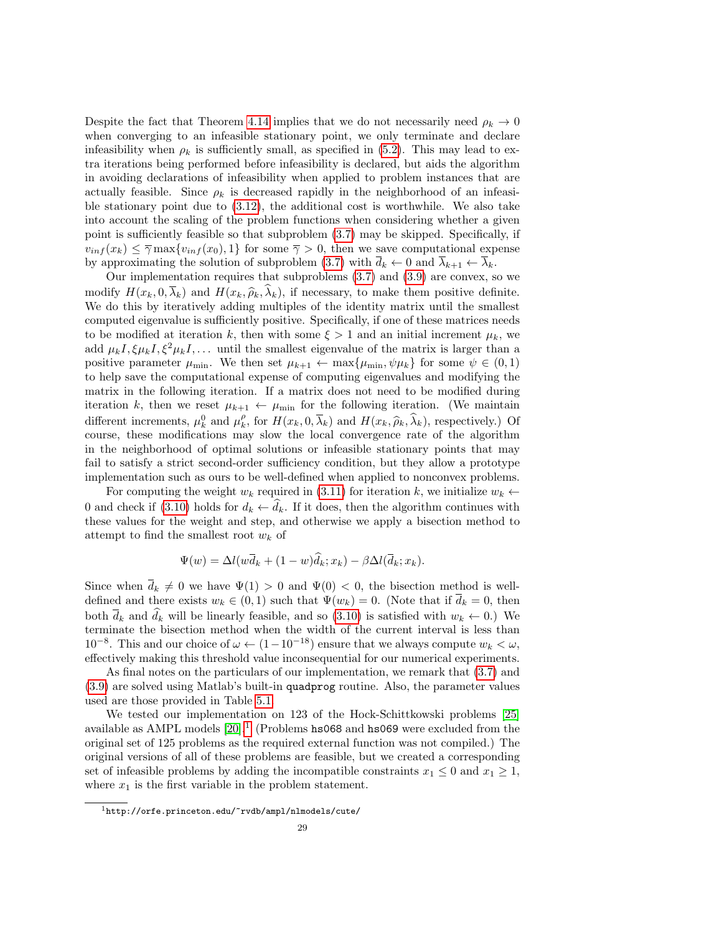Despite the fact that Theorem [4.14](#page-15-6) implies that we do not necessarily need  $\rho_k \to 0$ when converging to an infeasible stationary point, we only terminate and declare infeasibility when  $\rho_k$  is sufficiently small, as specified in [\(5.2\)](#page-27-2). This may lead to extra iterations being performed before infeasibility is declared, but aids the algorithm in avoiding declarations of infeasibility when applied to problem instances that are actually feasible. Since  $\rho_k$  is decreased rapidly in the neighborhood of an infeasible stationary point due to [\(3.12\)](#page-6-1), the additional cost is worthwhile. We also take into account the scaling of the problem functions when considering whether a given point is sufficiently feasible so that subproblem [\(3.7\)](#page-4-1) may be skipped. Specifically, if  $v_{inf}(x_k) \leq \overline{\gamma} \max\{v_{inf}(x_0), 1\}$  for some  $\overline{\gamma} > 0$ , then we save computational expense by approximating the solution of subproblem [\(3.7\)](#page-4-1) with  $\bar{d}_k \leftarrow 0$  and  $\bar{\lambda}_{k+1} \leftarrow \bar{\lambda}_k$ .

Our implementation requires that subproblems [\(3.7\)](#page-4-1) and [\(3.9\)](#page-5-0) are convex, so we modify  $H(x_k, 0, \overline{\lambda}_k)$  and  $H(x_k, \widehat{\rho}_k, \widehat{\lambda}_k)$ , if necessary, to make them positive definite. We do this by iteratively adding multiples of the identity matrix until the smallest computed eigenvalue is sufficiently positive. Specifically, if one of these matrices needs to be modified at iteration k, then with some  $\xi > 1$  and an initial increment  $\mu_k$ , we add  $\mu_k I, \xi \mu_k I, \xi^2 \mu_k I, \dots$  until the smallest eigenvalue of the matrix is larger than a positive parameter  $\mu_{\min}$ . We then set  $\mu_{k+1} \leftarrow \max{\mu_{\min}, \psi \mu_k}$  for some  $\psi \in (0, 1)$ to help save the computational expense of computing eigenvalues and modifying the matrix in the following iteration. If a matrix does not need to be modified during iteration k, then we reset  $\mu_{k+1} \leftarrow \mu_{\min}$  for the following iteration. (We maintain different increments,  $\mu_k^0$  and  $\mu_k^{\rho}$ , for  $H(x_k, 0, \overline{\lambda}_k)$  and  $H(x_k, \widehat{\rho}_k, \widehat{\lambda}_k)$ , respectively.) Of course, these modifications may slow the local convergence rate of the algorithm in the neighborhood of optimal solutions or infeasible stationary points that may fail to satisfy a strict second-order sufficiency condition, but they allow a prototype implementation such as ours to be well-defined when applied to nonconvex problems.

For computing the weight  $w_k$  required in [\(3.11\)](#page-5-2) for iteration k, we initialize  $w_k \leftarrow$ 0 and check if [\(3.10\)](#page-5-1) holds for  $d_k \leftarrow d_k$ . If it does, then the algorithm continues with these values for the weight and step, and otherwise we apply a bisection method to attempt to find the smallest root  $w_k$  of

$$
\Psi(w) = \Delta l(w\overline{d}_k + (1-w)\widehat{d}_k; x_k) - \beta \Delta l(\overline{d}_k; x_k).
$$

Since when  $\bar{d}_k \neq 0$  we have  $\Psi(1) > 0$  and  $\Psi(0) < 0$ , the bisection method is welldefined and there exists  $w_k \in (0,1)$  such that  $\Psi(w_k) = 0$ . (Note that if  $\overline{d}_k = 0$ , then both  $\bar{d}_k$  and  $\hat{d}_k$  will be linearly feasible, and so [\(3.10\)](#page-5-1) is satisfied with  $w_k \leftarrow 0$ .) We terminate the bisection method when the width of the current interval is less than 10<sup>-8</sup>. This and our choice of  $\omega \leftarrow (1-10^{-18})$  ensure that we always compute  $w_k < \omega$ , effectively making this threshold value inconsequential for our numerical experiments.

As final notes on the particulars of our implementation, we remark that [\(3.7\)](#page-4-1) and [\(3.9\)](#page-5-0) are solved using Matlab's built-in quadprog routine. Also, the parameter values used are those provided in Table [5.1.](#page-29-0)

We tested our implementation on 123 of the Hock-Schittkowski problems [\[25\]](#page-32-24) available as AMPL models  $[20].<sup>1</sup>$  $[20].<sup>1</sup>$  $[20].<sup>1</sup>$  $[20].<sup>1</sup>$  (Problems hs068 and hs069 were excluded from the original set of 125 problems as the required external function was not compiled.) The original versions of all of these problems are feasible, but we created a corresponding set of infeasible problems by adding the incompatible constraints  $x_1 \leq 0$  and  $x_1 \geq 1$ , where  $x_1$  is the first variable in the problem statement.

<span id="page-28-0"></span> $1$ http://orfe.princeton.edu/~rvdb/ampl/nlmodels/cute/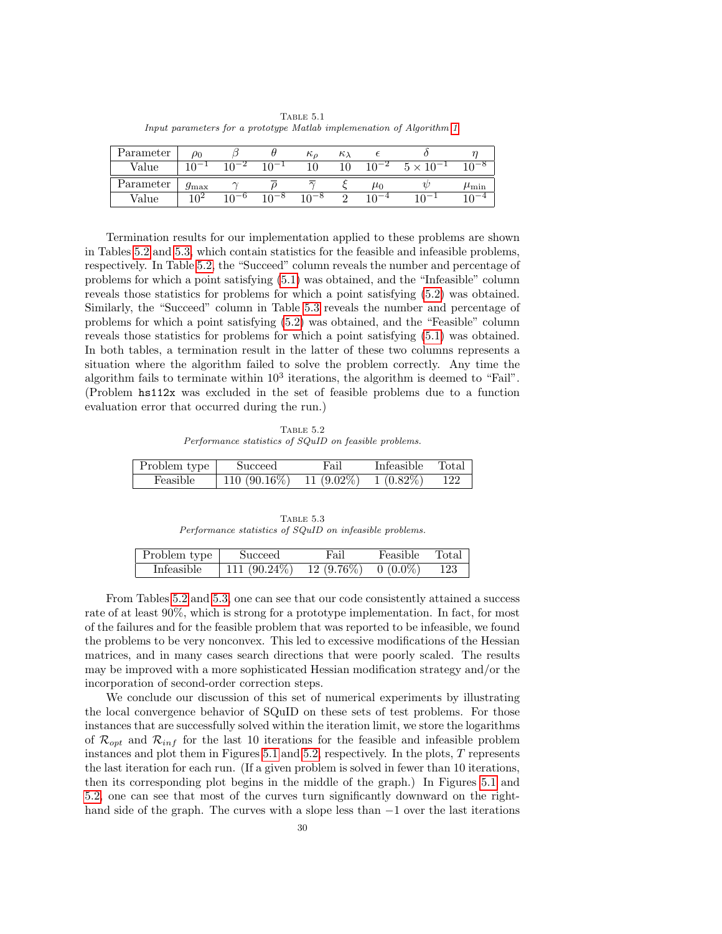| Parameter | Uς            |           |          | $\kappa_{\alpha}$ | rv) |     |              |
|-----------|---------------|-----------|----------|-------------------|-----|-----|--------------|
| Value     |               |           |          |                   |     | 5 Y |              |
| Parameter | $g_{\rm max}$ |           |          |                   |     |     | $\mu_{\min}$ |
| Value     |               | $-\sigma$ | $-\circ$ |                   |     |     |              |

<span id="page-29-0"></span>Table 5.1 Input parameters for a prototype Matlab implemenation of Algorithm [1.](#page-8-3)

Termination results for our implementation applied to these problems are shown in Tables [5.2](#page-29-1) and [5.3,](#page-29-2) which contain statistics for the feasible and infeasible problems, respectively. In Table [5.2,](#page-29-1) the "Succeed" column reveals the number and percentage of problems for which a point satisfying [\(5.1\)](#page-27-3) was obtained, and the "Infeasible" column reveals those statistics for problems for which a point satisfying [\(5.2\)](#page-27-2) was obtained. Similarly, the "Succeed" column in Table [5.3](#page-29-2) reveals the number and percentage of problems for which a point satisfying [\(5.2\)](#page-27-2) was obtained, and the "Feasible" column reveals those statistics for problems for which a point satisfying [\(5.1\)](#page-27-3) was obtained. In both tables, a termination result in the latter of these two columns represents a situation where the algorithm failed to solve the problem correctly. Any time the algorithm fails to terminate within  $10<sup>3</sup>$  iterations, the algorithm is deemed to "Fail". (Problem hs112x was excluded in the set of feasible problems due to a function evaluation error that occurred during the run.)

<span id="page-29-1"></span>TABLE  $5.2$ Performance statistics of SQuID on feasible problems.

| Problem type | Succeed                              | Fail | Infeasible | Total |  |
|--------------|--------------------------------------|------|------------|-------|--|
| Feasible     | 110 (90.16\%) 11 (9.02\%) 1 (0.82\%) |      |            | 122   |  |

<span id="page-29-2"></span>TABLE  $5.3$ Performance statistics of SQuID on infeasible problems.

| Problem type | Succeed                             | Fail | Feasible Total |     |
|--------------|-------------------------------------|------|----------------|-----|
| Infeasible   | 111 (90.24\%) 12 (9.76\%) 0 (0.0\%) |      |                | 123 |

From Tables [5.2](#page-29-1) and [5.3,](#page-29-2) one can see that our code consistently attained a success rate of at least 90%, which is strong for a prototype implementation. In fact, for most of the failures and for the feasible problem that was reported to be infeasible, we found the problems to be very nonconvex. This led to excessive modifications of the Hessian matrices, and in many cases search directions that were poorly scaled. The results may be improved with a more sophisticated Hessian modification strategy and/or the incorporation of second-order correction steps.

We conclude our discussion of this set of numerical experiments by illustrating the local convergence behavior of SQuID on these sets of test problems. For those instances that are successfully solved within the iteration limit, we store the logarithms of  $\mathcal{R}_{opt}$  and  $\mathcal{R}_{inf}$  for the last 10 iterations for the feasible and infeasible problem instances and plot them in Figures [5.1](#page-30-1) and [5.2,](#page-30-2) respectively. In the plots, T represents the last iteration for each run. (If a given problem is solved in fewer than 10 iterations, then its corresponding plot begins in the middle of the graph.) In Figures [5.1](#page-30-1) and [5.2,](#page-30-2) one can see that most of the curves turn significantly downward on the righthand side of the graph. The curves with a slope less than −1 over the last iterations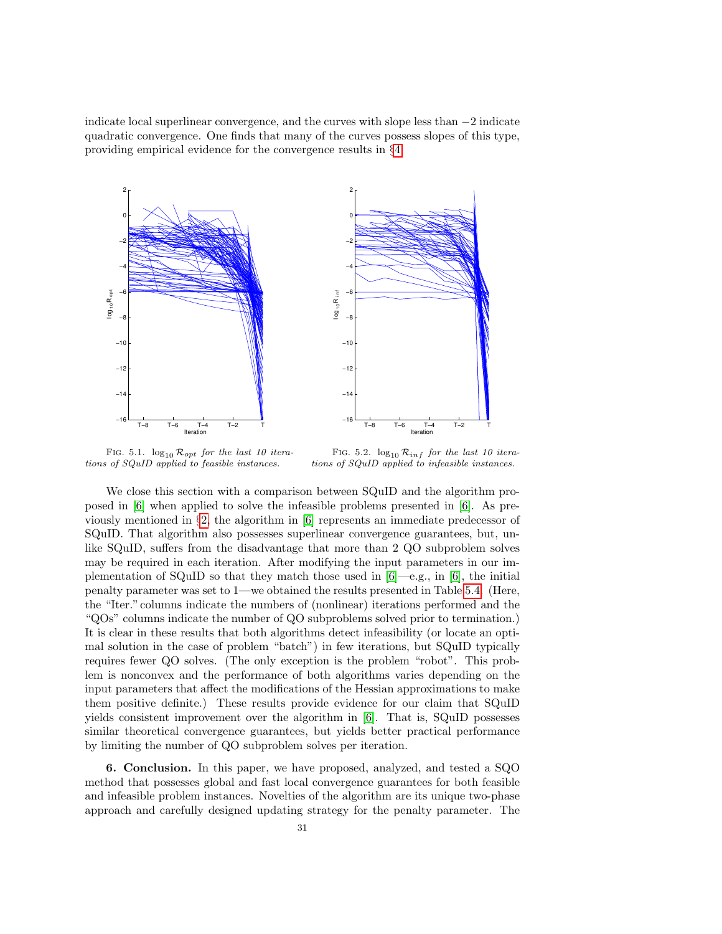indicate local superlinear convergence, and the curves with slope less than −2 indicate quadratic convergence. One finds that many of the curves possess slopes of this type, providing empirical evidence for the convergence results in §[4.](#page-8-0)



<span id="page-30-1"></span>FIG. 5.1.  $log_{10} \mathcal{R}_{opt}$  for the last 10 iterations of SQuID applied to feasible instances.

<span id="page-30-2"></span>FIG. 5.2.  $log_{10} \mathcal{R}_{inf}$  for the last 10 iterations of SQuID applied to infeasible instances.

We close this section with a comparison between SQuID and the algorithm proposed in [\[6\]](#page-31-3) when applied to solve the infeasible problems presented in [\[6\]](#page-31-3). As previously mentioned in §[2,](#page-1-0) the algorithm in [\[6\]](#page-31-3) represents an immediate predecessor of SQuID. That algorithm also possesses superlinear convergence guarantees, but, unlike SQuID, suffers from the disadvantage that more than 2 QO subproblem solves may be required in each iteration. After modifying the input parameters in our implementation of SQuID so that they match those used in  $[6]$ —e.g., in  $[6]$ , the initial penalty parameter was set to 1—we obtained the results presented in Table [5.4.](#page-31-11) (Here, the "Iter." columns indicate the numbers of (nonlinear) iterations performed and the "QOs" columns indicate the number of QO subproblems solved prior to termination.) It is clear in these results that both algorithms detect infeasibility (or locate an optimal solution in the case of problem "batch") in few iterations, but SQuID typically requires fewer QO solves. (The only exception is the problem "robot". This problem is nonconvex and the performance of both algorithms varies depending on the input parameters that affect the modifications of the Hessian approximations to make them positive definite.) These results provide evidence for our claim that SQuID yields consistent improvement over the algorithm in [\[6\]](#page-31-3). That is, SQuID possesses similar theoretical convergence guarantees, but yields better practical performance by limiting the number of QO subproblem solves per iteration.

<span id="page-30-0"></span>6. Conclusion. In this paper, we have proposed, analyzed, and tested a SQO method that possesses global and fast local convergence guarantees for both feasible and infeasible problem instances. Novelties of the algorithm are its unique two-phase approach and carefully designed updating strategy for the penalty parameter. The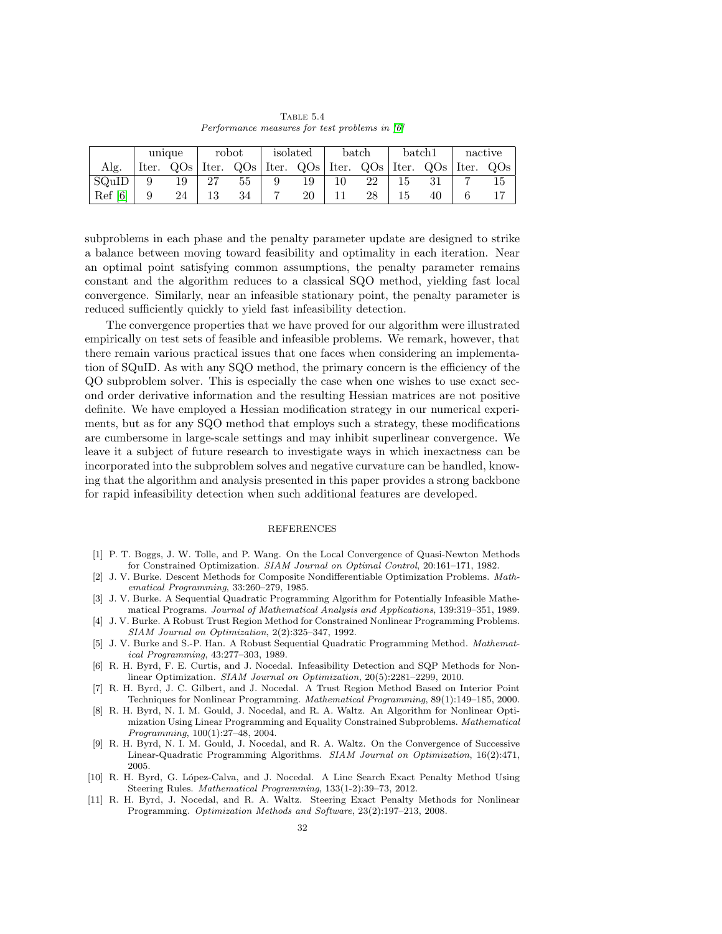|                          | unique |                                                                         | robot |    |  | isolated |  | batch |    | batch1 |  | nactive |  |
|--------------------------|--------|-------------------------------------------------------------------------|-------|----|--|----------|--|-------|----|--------|--|---------|--|
| Alg.                     |        | Iter. $QOs$ Iter. $QOs$ Iter. $QOs$ Iter. $QOs$ Iter. $QOs$ Iter. $QOs$ |       |    |  |          |  |       |    |        |  |         |  |
| SQuID                    |        | 19                                                                      | 27    | 55 |  | 19       |  | 22    | 15 |        |  |         |  |
| $\operatorname{Ref}$ [6] |        | 24                                                                      |       | 34 |  | 20       |  | 28    |    | 40     |  |         |  |

<span id="page-31-11"></span>Table 5.4 Performance measures for test problems in [\[6\]](#page-31-3)

subproblems in each phase and the penalty parameter update are designed to strike a balance between moving toward feasibility and optimality in each iteration. Near an optimal point satisfying common assumptions, the penalty parameter remains constant and the algorithm reduces to a classical SQO method, yielding fast local convergence. Similarly, near an infeasible stationary point, the penalty parameter is reduced sufficiently quickly to yield fast infeasibility detection.

The convergence properties that we have proved for our algorithm were illustrated empirically on test sets of feasible and infeasible problems. We remark, however, that there remain various practical issues that one faces when considering an implementation of SQuID. As with any SQO method, the primary concern is the efficiency of the QO subproblem solver. This is especially the case when one wishes to use exact second order derivative information and the resulting Hessian matrices are not positive definite. We have employed a Hessian modification strategy in our numerical experiments, but as for any SQO method that employs such a strategy, these modifications are cumbersome in large-scale settings and may inhibit superlinear convergence. We leave it a subject of future research to investigate ways in which inexactness can be incorporated into the subproblem solves and negative curvature can be handled, knowing that the algorithm and analysis presented in this paper provides a strong backbone for rapid infeasibility detection when such additional features are developed.

## **REFERENCES**

- <span id="page-31-10"></span>[1] P. T. Boggs, J. W. Tolle, and P. Wang. On the Local Convergence of Quasi-Newton Methods for Constrained Optimization. SIAM Journal on Optimal Control, 20:161–171, 1982.
- <span id="page-31-9"></span>[2] J. V. Burke. Descent Methods for Composite Nondifferentiable Optimization Problems. Mathematical Programming, 33:260–279, 1985.
- <span id="page-31-0"></span>[3] J. V. Burke. A Sequential Quadratic Programming Algorithm for Potentially Infeasible Mathematical Programs. Journal of Mathematical Analysis and Applications, 139:319–351, 1989.
- <span id="page-31-1"></span>[4] J. V. Burke. A Robust Trust Region Method for Constrained Nonlinear Programming Problems. SIAM Journal on Optimization, 2(2):325–347, 1992.
- <span id="page-31-2"></span>[5] J. V. Burke and S.-P. Han. A Robust Sequential Quadratic Programming Method. Mathematical Programming, 43:277–303, 1989.
- <span id="page-31-3"></span>[6] R. H. Byrd, F. E. Curtis, and J. Nocedal. Infeasibility Detection and SQP Methods for Nonlinear Optimization. SIAM Journal on Optimization, 20(5):2281–2299, 2010.
- <span id="page-31-8"></span>[7] R. H. Byrd, J. C. Gilbert, and J. Nocedal. A Trust Region Method Based on Interior Point Techniques for Nonlinear Programming. Mathematical Programming, 89(1):149–185, 2000.
- <span id="page-31-6"></span>[8] R. H. Byrd, N. I. M. Gould, J. Nocedal, and R. A. Waltz. An Algorithm for Nonlinear Optimization Using Linear Programming and Equality Constrained Subproblems. Mathematical Programming, 100(1):27–48, 2004.
- <span id="page-31-7"></span>[9] R. H. Byrd, N. I. M. Gould, J. Nocedal, and R. A. Waltz. On the Convergence of Successive Linear-Quadratic Programming Algorithms. SIAM Journal on Optimization, 16(2):471, 2005.
- <span id="page-31-5"></span>[10] R. H. Byrd, G. López-Calva, and J. Nocedal. A Line Search Exact Penalty Method Using Steering Rules. Mathematical Programming, 133(1-2):39–73, 2012.
- <span id="page-31-4"></span>[11] R. H. Byrd, J. Nocedal, and R. A. Waltz. Steering Exact Penalty Methods for Nonlinear Programming. Optimization Methods and Software, 23(2):197–213, 2008.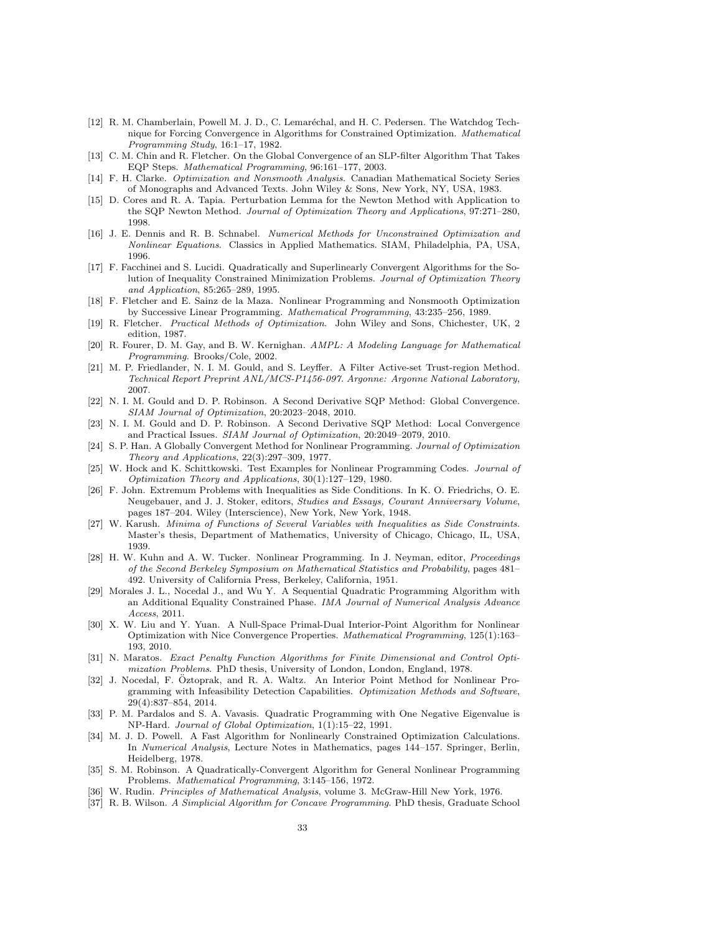- <span id="page-32-21"></span>[12] R. M. Chamberlain, Powell M. J. D., C. Lemaréchal, and H. C. Pedersen. The Watchdog Technique for Forcing Convergence in Algorithms for Constrained Optimization. Mathematical Programming Study, 16:1–17, 1982.
- <span id="page-32-7"></span>[13] C. M. Chin and R. Fletcher. On the Global Convergence of an SLP-filter Algorithm That Takes EQP Steps. Mathematical Programming, 96:161–177, 2003.
- <span id="page-32-15"></span>[14] F. H. Clarke. Optimization and Nonsmooth Analysis. Canadian Mathematical Society Series of Monographs and Advanced Texts. John Wiley & Sons, New York, NY, USA, 1983.
- <span id="page-32-5"></span>[15] D. Cores and R. A. Tapia. Perturbation Lemma for the Newton Method with Application to the SQP Newton Method. Journal of Optimization Theory and Applications, 97:271–280, 1998.
- <span id="page-32-23"></span>[16] J. E. Dennis and R. B. Schnabel. Numerical Methods for Unconstrained Optimization and Nonlinear Equations. Classics in Applied Mathematics. SIAM, Philadelphia, PA, USA, 1996.
- <span id="page-32-8"></span>[17] F. Facchinei and S. Lucidi. Quadratically and Superlinearly Convergent Algorithms for the Solution of Inequality Constrained Minimization Problems. Journal of Optimization Theory and Application, 85:265–289, 1995.
- <span id="page-32-9"></span>[18] F. Fletcher and E. Sainz de la Maza. Nonlinear Programming and Nonsmooth Optimization by Successive Linear Programming. Mathematical Programming, 43:235–256, 1989.
- <span id="page-32-6"></span>[19] R. Fletcher. Practical Methods of Optimization. John Wiley and Sons, Chichester, UK, 2 edition, 1987.
- <span id="page-32-25"></span>[20] R. Fourer, D. M. Gay, and B. W. Kernighan. AMPL: A Modeling Language for Mathematical Programming. Brooks/Cole, 2002.
- <span id="page-32-10"></span>[21] M. P. Friedlander, N. I. M. Gould, and S. Leyffer. A Filter Active-set Trust-region Method. Technical Report Preprint ANL/MCS-P1456-097. Argonne: Argonne National Laboratory, 2007.
- <span id="page-32-12"></span>[22] N. I. M. Gould and D. P. Robinson. A Second Derivative SQP Method: Global Convergence. SIAM Journal of Optimization, 20:2023–2048, 2010.
- <span id="page-32-13"></span>[23] N. I. M. Gould and D. P. Robinson. A Second Derivative SQP Method: Local Convergence and Practical Issues. SIAM Journal of Optimization, 20:2049–2079, 2010.
- <span id="page-32-0"></span>[24] S. P. Han. A Globally Convergent Method for Nonlinear Programming. Journal of Optimization Theory and Applications, 22(3):297–309, 1977.
- <span id="page-32-24"></span>[25] W. Hock and K. Schittkowski. Test Examples for Nonlinear Programming Codes. Journal of Optimization Theory and Applications, 30(1):127–129, 1980.
- <span id="page-32-16"></span>[26] F. John. Extremum Problems with Inequalities as Side Conditions. In K. O. Friedrichs, O. E. Neugebauer, and J. J. Stoker, editors, Studies and Essays, Courant Anniversary Volume, pages 187–204. Wiley (Interscience), New York, New York, 1948.
- <span id="page-32-17"></span>[27] W. Karush. Minima of Functions of Several Variables with Inequalities as Side Constraints. Master's thesis, Department of Mathematics, University of Chicago, Chicago, IL, USA, 1939.
- <span id="page-32-18"></span>[28] H. W. Kuhn and A. W. Tucker. Nonlinear Programming. In J. Neyman, editor, Proceedings of the Second Berkeley Symposium on Mathematical Statistics and Probability, pages 481– 492. University of California Press, Berkeley, California, 1951.
- <span id="page-32-11"></span>[29] Morales J. L., Nocedal J., and Wu Y. A Sequential Quadratic Programming Algorithm with an Additional Equality Constrained Phase. IMA Journal of Numerical Analysis Advance Access, 2011.
- <span id="page-32-14"></span>[30] X. W. Liu and Y. Yuan. A Null-Space Primal-Dual Interior-Point Algorithm for Nonlinear Optimization with Nice Convergence Properties. Mathematical Programming, 125(1):163– 193, 2010.
- <span id="page-32-20"></span>[31] N. Maratos. Exact Penalty Function Algorithms for Finite Dimensional and Control Optimization Problems. PhD thesis, University of London, London, England, 1978.
- <span id="page-32-4"></span>[32] J. Nocedal, F. Oztoprak, and R. A. Waltz. An Interior Point Method for Nonlinear Programming with Infeasibility Detection Capabilities. Optimization Methods and Software, 29(4):837–854, 2014.
- <span id="page-32-19"></span>[33] P. M. Pardalos and S. A. Vavasis. Quadratic Programming with One Negative Eigenvalue is NP-Hard. Journal of Global Optimization, 1(1):15–22, 1991.
- <span id="page-32-1"></span>[34] M. J. D. Powell. A Fast Algorithm for Nonlinearly Constrained Optimization Calculations. In Numerical Analysis, Lecture Notes in Mathematics, pages 144–157. Springer, Berlin, Heidelberg, 1978.
- <span id="page-32-3"></span>[35] S. M. Robinson. A Quadratically-Convergent Algorithm for General Nonlinear Programming Problems. Mathematical Programming, 3:145–156, 1972.
- <span id="page-32-22"></span>[36] W. Rudin. Principles of Mathematical Analysis, volume 3. McGraw-Hill New York, 1976.
- <span id="page-32-2"></span>[37] R. B. Wilson. A Simplicial Algorithm for Concave Programming. PhD thesis, Graduate School